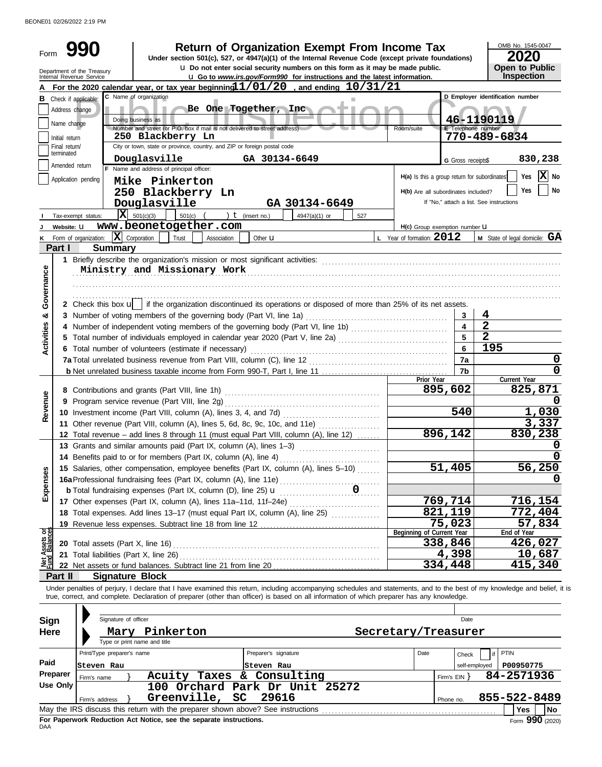BEONE01 02/26/2022 2:19 PM

|                                |                             | <b>Return of Organization Exempt From Income Tax</b>                                                                                                                                                                                                                                                                     |     |                                              |                        | OMB No. 1545-0047                        |
|--------------------------------|-----------------------------|--------------------------------------------------------------------------------------------------------------------------------------------------------------------------------------------------------------------------------------------------------------------------------------------------------------------------|-----|----------------------------------------------|------------------------|------------------------------------------|
| Form                           |                             | 990<br>Under section 501(c), 527, or 4947(a)(1) of the Internal Revenue Code (except private foundations)                                                                                                                                                                                                                |     |                                              |                        | 2020                                     |
|                                |                             | u Do not enter social security numbers on this form as it may be made public.                                                                                                                                                                                                                                            |     |                                              |                        | Open to Public                           |
|                                |                             | Department of the Treasury<br>Internal Revenue Service<br><b>u</b> Go to www.irs.gov/Form990 for instructions and the latest information.                                                                                                                                                                                |     |                                              |                        | Inspection                               |
|                                |                             | For the 2020 calendar year, or tax year beginning 1/01/20, and ending 10/31/21                                                                                                                                                                                                                                           |     |                                              |                        |                                          |
|                                |                             | C Name of organization<br><b>B</b> Check if applicable:                                                                                                                                                                                                                                                                  | ш   |                                              |                        | D Employer identification number         |
|                                | Address change              | Be One Together, Inc.                                                                                                                                                                                                                                                                                                    |     |                                              |                        |                                          |
|                                | Name change                 | Doing business as<br>Number and street (or P.O. box if mail is not delivered to street address)                                                                                                                                                                                                                          |     | Room/suite                                   | E Telephone number     | 46-1190119                               |
|                                | Initial return              | 250 Blackberry Ln                                                                                                                                                                                                                                                                                                        |     |                                              |                        | 770-489-6834                             |
|                                | Final return/<br>terminated | City or town, state or province, country, and ZIP or foreign postal code                                                                                                                                                                                                                                                 |     |                                              |                        |                                          |
|                                |                             | Douglasville<br>GA 30134-6649                                                                                                                                                                                                                                                                                            |     |                                              | G Gross receipts\$     | 830,238                                  |
|                                | Amended return              | F Name and address of principal officer:                                                                                                                                                                                                                                                                                 |     | H(a) Is this a group return for subordinates |                        | $ \mathbf{X} $ No<br>Yes                 |
|                                |                             | Application pending<br>Mike Pinkerton                                                                                                                                                                                                                                                                                    |     |                                              |                        |                                          |
|                                |                             | 250 Blackberry Ln                                                                                                                                                                                                                                                                                                        |     | H(b) Are all subordinates included?          |                        | Yes<br>No                                |
|                                |                             | Douglasville<br>GA 30134-6649                                                                                                                                                                                                                                                                                            |     |                                              |                        | If "No," attach a list. See instructions |
|                                |                             | $ \mathbf{X} $ 501(c)(3)<br>501(c)<br>) $t$ (insert no.)<br>4947(a)(1) or<br>Tax-exempt status:                                                                                                                                                                                                                          | 527 |                                              |                        |                                          |
|                                | Website: U                  | www.beonetogether.com                                                                                                                                                                                                                                                                                                    |     | H(c) Group exemption number <b>U</b>         |                        |                                          |
| Κ                              |                             | $ \mathbf{X} $ Corporation<br>Form of organization:<br>Trust<br>Other <b>u</b><br>Association                                                                                                                                                                                                                            |     | L Year of formation: 2012                    |                        | <b>M</b> State of legal domicile: $GA$   |
|                                | Part I                      | <b>Summary</b>                                                                                                                                                                                                                                                                                                           |     |                                              |                        |                                          |
|                                |                             |                                                                                                                                                                                                                                                                                                                          |     |                                              |                        |                                          |
| Governance                     |                             | Ministry and Missionary Work                                                                                                                                                                                                                                                                                             |     |                                              |                        |                                          |
|                                |                             |                                                                                                                                                                                                                                                                                                                          |     |                                              |                        |                                          |
|                                |                             |                                                                                                                                                                                                                                                                                                                          |     |                                              |                        |                                          |
|                                |                             | 2 Check this box $\mathbf{u}$   if the organization discontinued its operations or disposed of more than 25% of its net assets.                                                                                                                                                                                          |     |                                              |                        | 4                                        |
| య                              |                             |                                                                                                                                                                                                                                                                                                                          |     |                                              |                        | $\overline{\mathbf{2}}$                  |
|                                |                             | 4 Number of independent voting members of the governing body (Part VI, line 1b)                                                                                                                                                                                                                                          |     |                                              | 5                      | $\overline{2}$                           |
| <b>Activities</b>              |                             |                                                                                                                                                                                                                                                                                                                          |     |                                              | 6                      | 195                                      |
|                                |                             | 6 Total number of volunteers (estimate if necessary)                                                                                                                                                                                                                                                                     |     |                                              | 7a                     | 0                                        |
|                                |                             |                                                                                                                                                                                                                                                                                                                          |     |                                              | 7b                     | 0                                        |
|                                |                             |                                                                                                                                                                                                                                                                                                                          |     | Prior Year                                   |                        | Current Year                             |
|                                |                             |                                                                                                                                                                                                                                                                                                                          |     |                                              | 895,602                | 825,871                                  |
| Revenue                        |                             | 9 Program service revenue (Part VIII, line 2g)                                                                                                                                                                                                                                                                           |     |                                              |                        |                                          |
|                                |                             |                                                                                                                                                                                                                                                                                                                          |     |                                              | 540                    | 1,030                                    |
|                                |                             | 11 Other revenue (Part VIII, column (A), lines 5, 6d, 8c, 9c, 10c, and 11e)                                                                                                                                                                                                                                              |     |                                              |                        | 3,337                                    |
|                                |                             | 12 Total revenue - add lines 8 through 11 (must equal Part VIII, column (A), line 12)                                                                                                                                                                                                                                    |     |                                              | 896,142                | 830,238                                  |
|                                |                             | 13 Grants and similar amounts paid (Part IX, column (A), lines 1-3)                                                                                                                                                                                                                                                      |     |                                              |                        |                                          |
|                                |                             | 14 Benefits paid to or for members (Part IX, column (A), line 4)                                                                                                                                                                                                                                                         |     |                                              |                        | $\overline{0}$                           |
|                                |                             | 15 Salaries, other compensation, employee benefits (Part IX, column (A), lines 5-10)                                                                                                                                                                                                                                     |     |                                              | 51,405                 | 56,250                                   |
| Expenses                       |                             |                                                                                                                                                                                                                                                                                                                          |     |                                              |                        | O                                        |
|                                |                             |                                                                                                                                                                                                                                                                                                                          |     |                                              |                        |                                          |
|                                |                             | 17 Other expenses (Part IX, column (A), lines 11a-11d, 11f-24e)                                                                                                                                                                                                                                                          |     |                                              | 769,714                | 716,154                                  |
|                                |                             | 18 Total expenses. Add lines 13-17 (must equal Part IX, column (A), line 25)                                                                                                                                                                                                                                             |     |                                              | 821,119                | 772,404                                  |
|                                |                             | 19 Revenue less expenses. Subtract line 18 from line 12                                                                                                                                                                                                                                                                  |     |                                              | 75,023                 | 57,834                                   |
| Net Assets or<br>Fund Balances |                             |                                                                                                                                                                                                                                                                                                                          |     | Beginning of Current Year                    |                        | End of Year                              |
|                                |                             |                                                                                                                                                                                                                                                                                                                          |     |                                              | 338,846                | 426,027                                  |
|                                |                             |                                                                                                                                                                                                                                                                                                                          |     |                                              | 4,398<br>334,448       | 10,687<br>415,340                        |
|                                |                             | <b>Signature Block</b>                                                                                                                                                                                                                                                                                                   |     |                                              |                        |                                          |
|                                | Part II                     |                                                                                                                                                                                                                                                                                                                          |     |                                              |                        |                                          |
|                                |                             | Under penalties of perjury, I declare that I have examined this return, including accompanying schedules and statements, and to the best of my knowledge and belief, it is<br>true, correct, and complete. Declaration of preparer (other than officer) is based on all information of which preparer has any knowledge. |     |                                              |                        |                                          |
|                                |                             |                                                                                                                                                                                                                                                                                                                          |     |                                              |                        |                                          |
| Sign                           |                             | Signature of officer                                                                                                                                                                                                                                                                                                     |     |                                              | Date                   |                                          |
| <b>Here</b>                    |                             | Mary Pinkerton                                                                                                                                                                                                                                                                                                           |     |                                              |                        |                                          |
|                                |                             | Type or print name and title                                                                                                                                                                                                                                                                                             |     | Secretary/Treasurer                          |                        |                                          |
|                                |                             | Print/Type preparer's name<br>Preparer's signature                                                                                                                                                                                                                                                                       |     | Date                                         |                        | <b>PTIN</b>                              |
| Paid                           |                             | Steven Rau<br>Steven Rau                                                                                                                                                                                                                                                                                                 |     |                                              | Check<br>self-employed |                                          |
|                                | Preparer                    | Acuity Taxes & Consulting                                                                                                                                                                                                                                                                                                |     |                                              |                        | P00950775<br>84-2571936                  |
|                                | <b>Use Only</b>             | Firm's name<br>100 Orchard Park Dr Unit 25272                                                                                                                                                                                                                                                                            |     |                                              | Firm's $EIN$ }         |                                          |
|                                |                             | Greenville,<br>SC<br>29616<br>Firm's address                                                                                                                                                                                                                                                                             |     |                                              |                        | 855-522-8489                             |
|                                |                             |                                                                                                                                                                                                                                                                                                                          |     |                                              | Phone no.              | Yes<br><b>No</b>                         |
|                                |                             |                                                                                                                                                                                                                                                                                                                          |     |                                              |                        |                                          |

|            | סווגסוו כוווווו | 110111177 |                                                                    |                                                                                 |           |              | <u> 525. 235</u>  |    |
|------------|-----------------|-----------|--------------------------------------------------------------------|---------------------------------------------------------------------------------|-----------|--------------|-------------------|----|
| Use Only   |                 |           |                                                                    | 100 Orchard Park Dr Unit 25272                                                  |           |              |                   |    |
|            | Firm's address  |           | Greenville, SC 29616                                               |                                                                                 | Phone no. | 855-522-8489 |                   |    |
|            |                 |           |                                                                    | May the IRS discuss this return with the preparer shown above? See instructions |           |              | Yes               | No |
|            |                 |           | For Paperwork Reduction Act Notice, see the separate instructions. |                                                                                 |           |              | Form $990$ (2020) |    |
| <b>DAA</b> |                 |           |                                                                    |                                                                                 |           |              |                   |    |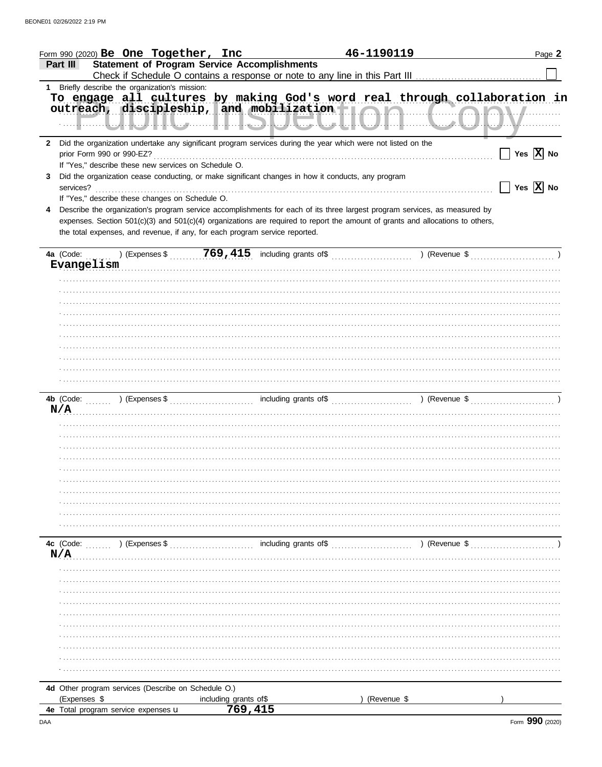|     | Form 990 (2020) $Be$ One Together, Inc                                                                                                                                                                                        |                                                     | 46-1190119    | Page 2                                            |
|-----|-------------------------------------------------------------------------------------------------------------------------------------------------------------------------------------------------------------------------------|-----------------------------------------------------|---------------|---------------------------------------------------|
|     | Part III                                                                                                                                                                                                                      | <b>Statement of Program Service Accomplishments</b> |               |                                                   |
|     | 1 Briefly describe the organization's mission:                                                                                                                                                                                |                                                     |               |                                                   |
|     | To engage all cultures by making God's word real through collaboration in<br>outreach, discipleship, and mobilization   AM                                                                                                    |                                                     |               |                                                   |
|     | 2 Did the organization undertake any significant program services during the year which were not listed on the<br>If "Yes," describe these new services on Schedule O.                                                        |                                                     |               | $\Box$ Yes $\overline{X}$ No                      |
| 3   | Did the organization cease conducting, or make significant changes in how it conducts, any program                                                                                                                            |                                                     |               | $\boxed{\phantom{1}}$ Yes $\boxed{\textbf{X}}$ No |
|     | If "Yes," describe these changes on Schedule O.<br>Describe the organization's program service accomplishments for each of its three largest program services, as measured by                                                 |                                                     |               |                                                   |
|     | expenses. Section 501(c)(3) and 501(c)(4) organizations are required to report the amount of grants and allocations to others,<br>the total expenses, and revenue, if any, for each program service reported.                 |                                                     |               |                                                   |
|     |                                                                                                                                                                                                                               |                                                     |               |                                                   |
|     | Evangelism and the communication of the communication of the communication of the communication of the communication of the communication of the communication of the communication of the communication of the communication |                                                     |               |                                                   |
|     |                                                                                                                                                                                                                               |                                                     |               |                                                   |
|     |                                                                                                                                                                                                                               |                                                     |               |                                                   |
|     |                                                                                                                                                                                                                               |                                                     |               |                                                   |
|     |                                                                                                                                                                                                                               |                                                     |               |                                                   |
|     |                                                                                                                                                                                                                               |                                                     |               |                                                   |
|     |                                                                                                                                                                                                                               |                                                     |               |                                                   |
|     |                                                                                                                                                                                                                               |                                                     |               |                                                   |
|     |                                                                                                                                                                                                                               |                                                     |               |                                                   |
|     |                                                                                                                                                                                                                               |                                                     |               |                                                   |
|     |                                                                                                                                                                                                                               |                                                     |               |                                                   |
|     |                                                                                                                                                                                                                               |                                                     |               |                                                   |
|     | N/A                                                                                                                                                                                                                           |                                                     |               |                                                   |
|     |                                                                                                                                                                                                                               |                                                     |               |                                                   |
|     |                                                                                                                                                                                                                               |                                                     |               |                                                   |
|     |                                                                                                                                                                                                                               |                                                     |               |                                                   |
|     |                                                                                                                                                                                                                               |                                                     |               |                                                   |
|     |                                                                                                                                                                                                                               |                                                     |               |                                                   |
|     |                                                                                                                                                                                                                               |                                                     |               |                                                   |
|     |                                                                                                                                                                                                                               |                                                     |               |                                                   |
|     |                                                                                                                                                                                                                               |                                                     |               |                                                   |
|     |                                                                                                                                                                                                                               |                                                     |               |                                                   |
|     | 4c (Code:                                                                                                                                                                                                                     | including grants of\$                               |               |                                                   |
| N/A | ) (Expenses \$                                                                                                                                                                                                                |                                                     | ) (Revenue \$ |                                                   |
|     |                                                                                                                                                                                                                               |                                                     |               |                                                   |
|     |                                                                                                                                                                                                                               |                                                     |               |                                                   |
|     |                                                                                                                                                                                                                               |                                                     |               |                                                   |
|     |                                                                                                                                                                                                                               |                                                     |               |                                                   |
|     |                                                                                                                                                                                                                               |                                                     |               |                                                   |
|     |                                                                                                                                                                                                                               |                                                     |               |                                                   |
|     |                                                                                                                                                                                                                               |                                                     |               |                                                   |
|     |                                                                                                                                                                                                                               |                                                     |               |                                                   |
|     |                                                                                                                                                                                                                               |                                                     |               |                                                   |
|     |                                                                                                                                                                                                                               |                                                     |               |                                                   |
|     |                                                                                                                                                                                                                               |                                                     |               |                                                   |
|     | 4d Other program services (Describe on Schedule O.)<br>(Expenses \$                                                                                                                                                           | including grants of \$                              | (Revenue \$   |                                                   |
|     | 4e Total program service expenses u                                                                                                                                                                                           | 769, 415                                            |               |                                                   |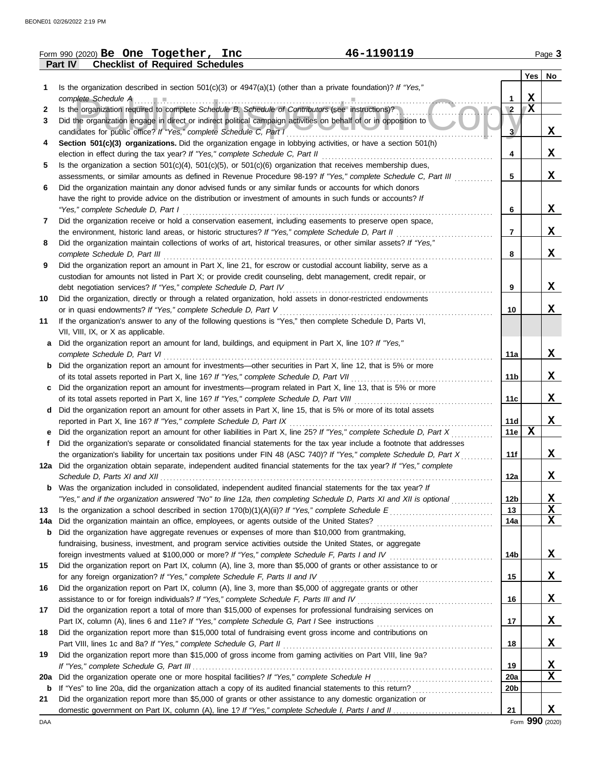|             | 46-1190119<br>Form 990 (2020) Be One Together, Inc                                                                                                                                                                        |                 |     | Page 3          |
|-------------|---------------------------------------------------------------------------------------------------------------------------------------------------------------------------------------------------------------------------|-----------------|-----|-----------------|
|             | <b>Checklist of Required Schedules</b><br>Part IV                                                                                                                                                                         |                 |     |                 |
|             |                                                                                                                                                                                                                           |                 | Yes | No              |
| 1.          | Is the organization described in section $501(c)(3)$ or $4947(a)(1)$ (other than a private foundation)? If "Yes,"                                                                                                         |                 |     |                 |
|             | complete Schedule A Processor Complete Schedule A Processor Complete Schedule A Processor Complete Schedule A                                                                                                             | 1               | X   |                 |
| 2           | Is the organization required to complete Schedule B, Schedule of Contributors (see instructions)?                                                                                                                         | $\overline{2}$  | X   |                 |
| 3           | Did the organization engage in direct or indirect political campaign activities on behalf of or in opposition to                                                                                                          |                 |     |                 |
|             | candidates for public office? If "Yes," complete Schedule C, Part I [ [ [ [ [ ] ]                                                                                                                                         | 3               |     | X,              |
| 4           | Section 501(c)(3) organizations. Did the organization engage in lobbying activities, or have a section 501(h)                                                                                                             |                 |     |                 |
|             |                                                                                                                                                                                                                           | 4               |     | X               |
| 5           | Is the organization a section $501(c)(4)$ , $501(c)(5)$ , or $501(c)(6)$ organization that receives membership dues,                                                                                                      | 5               |     |                 |
|             | assessments, or similar amounts as defined in Revenue Procedure 98-19? If "Yes," complete Schedule C, Part III<br>Did the organization maintain any donor advised funds or any similar funds or accounts for which donors |                 |     | X,              |
| 6           | have the right to provide advice on the distribution or investment of amounts in such funds or accounts? If                                                                                                               |                 |     |                 |
|             | "Yes," complete Schedule D, Part I                                                                                                                                                                                        | 6               |     | X.              |
| 7           | Did the organization receive or hold a conservation easement, including easements to preserve open space,                                                                                                                 |                 |     |                 |
|             | the environment, historic land areas, or historic structures? If "Yes," complete Schedule D, Part II                                                                                                                      | $\overline{7}$  |     | X               |
| 8           | Did the organization maintain collections of works of art, historical treasures, or other similar assets? If "Yes,"                                                                                                       |                 |     |                 |
|             |                                                                                                                                                                                                                           | 8               |     | X               |
| 9           | Did the organization report an amount in Part X, line 21, for escrow or custodial account liability, serve as a                                                                                                           |                 |     |                 |
|             | custodian for amounts not listed in Part X; or provide credit counseling, debt management, credit repair, or                                                                                                              |                 |     |                 |
|             | debt negotiation services? If "Yes," complete Schedule D, Part IV                                                                                                                                                         | 9               |     | X               |
| 10          | Did the organization, directly or through a related organization, hold assets in donor-restricted endowments                                                                                                              |                 |     |                 |
|             | or in quasi endowments? If "Yes," complete Schedule D, Part V                                                                                                                                                             | 10              |     | X.              |
| 11          | If the organization's answer to any of the following questions is "Yes," then complete Schedule D, Parts VI,                                                                                                              |                 |     |                 |
|             | VII, VIII, IX, or X as applicable.                                                                                                                                                                                        |                 |     |                 |
| a           | Did the organization report an amount for land, buildings, and equipment in Part X, line 10? If "Yes,"                                                                                                                    |                 |     |                 |
|             | complete Schedule D, Part VI                                                                                                                                                                                              | 11a             |     | X               |
| b           | Did the organization report an amount for investments—other securities in Part X, line 12, that is 5% or more                                                                                                             |                 |     |                 |
|             |                                                                                                                                                                                                                           | 11b             |     | X               |
|             | Did the organization report an amount for investments—program related in Part X, line 13, that is 5% or more                                                                                                              |                 |     |                 |
|             | d Did the organization report an amount for other assets in Part X, line 15, that is 5% or more of its total assets                                                                                                       | 11c             |     | X               |
|             | reported in Part X, line 16? If "Yes," complete Schedule D, Part IX                                                                                                                                                       | 11d             |     | X               |
|             | Did the organization report an amount for other liabilities in Part X, line 25? If "Yes," complete Schedule D, Part X                                                                                                     | 11e             | X   |                 |
| Ť.          | Did the organization's separate or consolidated financial statements for the tax year include a footnote that addresses                                                                                                   |                 |     |                 |
|             | the organization's liability for uncertain tax positions under FIN 48 (ASC 740)? If "Yes," complete Schedule D, Part X                                                                                                    | 11f             |     | X               |
|             | 12a Did the organization obtain separate, independent audited financial statements for the tax year? If "Yes," complete                                                                                                   |                 |     |                 |
|             |                                                                                                                                                                                                                           | 12a             |     | X               |
| b           | Was the organization included in consolidated, independent audited financial statements for the tax year? If                                                                                                              |                 |     |                 |
|             | "Yes," and if the organization answered "No" to line 12a, then completing Schedule D, Parts XI and XII is optional                                                                                                        | 12 <sub>b</sub> |     | <u>x</u>        |
| 13          |                                                                                                                                                                                                                           | 13              |     | $\mathbf x$     |
| 14a         |                                                                                                                                                                                                                           | 14a             |     | X               |
| b           | Did the organization have aggregate revenues or expenses of more than \$10,000 from grantmaking,                                                                                                                          |                 |     |                 |
|             | fundraising, business, investment, and program service activities outside the United States, or aggregate                                                                                                                 |                 |     |                 |
|             |                                                                                                                                                                                                                           | 14b             |     | X               |
| 15          | Did the organization report on Part IX, column (A), line 3, more than \$5,000 of grants or other assistance to or                                                                                                         |                 |     |                 |
|             | for any foreign organization? If "Yes," complete Schedule F, Parts II and IV                                                                                                                                              | 15              |     | X               |
| 16          | Did the organization report on Part IX, column (A), line 3, more than \$5,000 of aggregate grants or other                                                                                                                |                 |     |                 |
|             |                                                                                                                                                                                                                           | 16              |     | X               |
| 17          | Did the organization report a total of more than \$15,000 of expenses for professional fundraising services on                                                                                                            | 17              |     | X               |
| 18          | Did the organization report more than \$15,000 total of fundraising event gross income and contributions on                                                                                                               |                 |     |                 |
|             |                                                                                                                                                                                                                           | 18              |     | $\mathbf x$     |
| 19          | Did the organization report more than \$15,000 of gross income from gaming activities on Part VIII, line 9a?                                                                                                              |                 |     |                 |
|             |                                                                                                                                                                                                                           | 19              |     | X               |
| 20a         |                                                                                                                                                                                                                           | 20a             |     | $\mathbf x$     |
| $\mathbf b$ |                                                                                                                                                                                                                           | 20 <sub>b</sub> |     |                 |
| 21          | Did the organization report more than \$5,000 of grants or other assistance to any domestic organization or                                                                                                               |                 |     |                 |
|             |                                                                                                                                                                                                                           | 21              |     | X               |
| DAA         |                                                                                                                                                                                                                           |                 |     | Form 990 (2020) |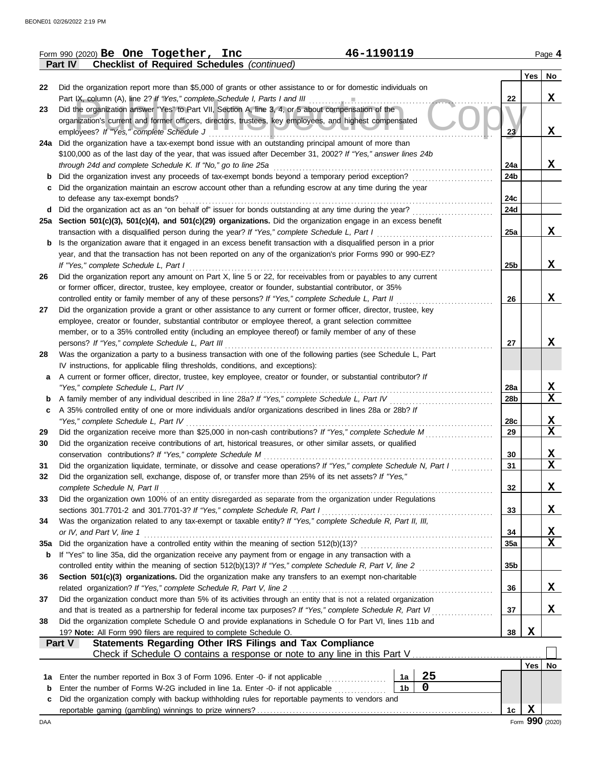|             | 46-1190119<br>Form 990 (2020) Be One Together, Inc                                                                 |                 |            | Page 4          |
|-------------|--------------------------------------------------------------------------------------------------------------------|-----------------|------------|-----------------|
|             | <b>Checklist of Required Schedules (continued)</b><br>Part IV                                                      |                 |            |                 |
|             |                                                                                                                    |                 | $Yes \mid$ | No              |
| 22          | Did the organization report more than \$5,000 of grants or other assistance to or for domestic individuals on      |                 |            |                 |
|             | Part IX, column (A), line 2? If "Yes," complete Schedule I, Parts I and III                                        | 22              |            | $\mathbf x$     |
| 23          | Did the organization answer "Yes" to Part VII, Section A, line 3, 4, or 5 about compensation of the                |                 |            |                 |
|             | organization's current and former officers, directors, trustees, key employees, and highest compensated            |                 |            |                 |
|             | employees? If "Yes," complete Schedule J                                                                           | 23 <sup>7</sup> |            | X               |
|             | 24a Did the organization have a tax-exempt bond issue with an outstanding principal amount of more than            |                 |            |                 |
|             | \$100,000 as of the last day of the year, that was issued after December 31, 2002? If "Yes," answer lines 24b      |                 |            |                 |
|             | through 24d and complete Schedule K. If "No," go to line 25a                                                       | 24a             |            | X               |
| b           | Did the organization invest any proceeds of tax-exempt bonds beyond a temporary period exception?                  | 24b             |            |                 |
| с           | Did the organization maintain an escrow account other than a refunding escrow at any time during the year          |                 |            |                 |
|             | to defease any tax-exempt bonds?                                                                                   | 24c             |            |                 |
| d           | Did the organization act as an "on behalf of" issuer for bonds outstanding at any time during the year?            | 24d             |            |                 |
|             | 25a Section 501(c)(3), 501(c)(4), and 501(c)(29) organizations. Did the organization engage in an excess benefit   |                 |            |                 |
|             | transaction with a disqualified person during the year? If "Yes," complete Schedule L, Part I                      | 25a             |            | X               |
| b           | Is the organization aware that it engaged in an excess benefit transaction with a disqualified person in a prior   |                 |            |                 |
|             | year, and that the transaction has not been reported on any of the organization's prior Forms 990 or 990-EZ?       |                 |            |                 |
|             | If "Yes," complete Schedule L, Part I                                                                              | 25 <sub>b</sub> |            | X               |
| 26          | Did the organization report any amount on Part X, line 5 or 22, for receivables from or payables to any current    |                 |            |                 |
|             | or former officer, director, trustee, key employee, creator or founder, substantial contributor, or 35%            |                 |            |                 |
|             | controlled entity or family member of any of these persons? If "Yes," complete Schedule L, Part II                 | 26              |            | X               |
| 27          | Did the organization provide a grant or other assistance to any current or former officer, director, trustee, key  |                 |            |                 |
|             | employee, creator or founder, substantial contributor or employee thereof, a grant selection committee             |                 |            |                 |
|             | member, or to a 35% controlled entity (including an employee thereof) or family member of any of these             |                 |            |                 |
|             | persons? If "Yes," complete Schedule L, Part III                                                                   | 27              |            | X               |
| 28          | Was the organization a party to a business transaction with one of the following parties (see Schedule L, Part     |                 |            |                 |
|             | IV instructions, for applicable filing thresholds, conditions, and exceptions):                                    |                 |            |                 |
| a           | A current or former officer, director, trustee, key employee, creator or founder, or substantial contributor? If   |                 |            |                 |
|             | "Yes," complete Schedule L, Part IV                                                                                | 28a             |            | X               |
| b           |                                                                                                                    | 28b             |            | X               |
| c           | A 35% controlled entity of one or more individuals and/or organizations described in lines 28a or 28b? If          |                 |            |                 |
|             | "Yes," complete Schedule L, Part IV                                                                                | 28c             |            | X               |
| 29          | Did the organization receive more than \$25,000 in non-cash contributions? If "Yes," complete Schedule M           | 29              |            | X               |
| 30          | Did the organization receive contributions of art, historical treasures, or other similar assets, or qualified     |                 |            |                 |
|             | conservation contributions? If "Yes," complete Schedule M                                                          | 30              |            | X               |
| 31          | Did the organization liquidate, terminate, or dissolve and cease operations? If "Yes," complete Schedule N, Part I | 31              |            | X               |
| 32          | Did the organization sell, exchange, dispose of, or transfer more than 25% of its net assets? If "Yes,"            |                 |            |                 |
|             | complete Schedule N, Part II                                                                                       | 32              |            | X               |
| 33          | Did the organization own 100% of an entity disregarded as separate from the organization under Regulations         |                 |            |                 |
|             | sections 301.7701-2 and 301.7701-3? If "Yes," complete Schedule R, Part I                                          | 33              |            | X               |
| 34          | Was the organization related to any tax-exempt or taxable entity? If "Yes," complete Schedule R, Part II, III,     |                 |            |                 |
|             | or IV, and Part V, line 1                                                                                          | 34              |            | X               |
| 35a         | Did the organization have a controlled entity within the meaning of section 512(b)(13)?                            | <b>35a</b>      |            | $\mathbf x$     |
| b           | If "Yes" to line 35a, did the organization receive any payment from or engage in any transaction with a            |                 |            |                 |
|             | controlled entity within the meaning of section 512(b)(13)? If "Yes," complete Schedule R, Part V, line 2          | 35 <sub>b</sub> |            |                 |
| 36          | Section 501(c)(3) organizations. Did the organization make any transfers to an exempt non-charitable               |                 |            |                 |
|             | related organization? If "Yes," complete Schedule R, Part V, line 2                                                | 36              |            | X               |
| 37          | Did the organization conduct more than 5% of its activities through an entity that is not a related organization   |                 |            |                 |
|             | and that is treated as a partnership for federal income tax purposes? If "Yes," complete Schedule R, Part VI       | 37              |            | X               |
| 38          | Did the organization complete Schedule O and provide explanations in Schedule O for Part VI, lines 11b and         |                 |            |                 |
|             | 19? Note: All Form 990 filers are required to complete Schedule O.                                                 | 38              | X          |                 |
|             | Statements Regarding Other IRS Filings and Tax Compliance<br>Part V                                                |                 |            |                 |
|             |                                                                                                                    |                 |            |                 |
|             |                                                                                                                    |                 | Yes        | No              |
| 1a          | 25<br>Enter the number reported in Box 3 of Form 1096. Enter -0- if not applicable<br>1a                           |                 |            |                 |
| $\mathbf b$ | $\mathbf 0$<br>1 <sub>b</sub><br>Enter the number of Forms W-2G included in line 1a. Enter -0- if not applicable   |                 |            |                 |
| c           | Did the organization comply with backup withholding rules for reportable payments to vendors and                   |                 |            |                 |
|             |                                                                                                                    | 1c              | X          |                 |
| DAA         |                                                                                                                    |                 |            | Form 990 (2020) |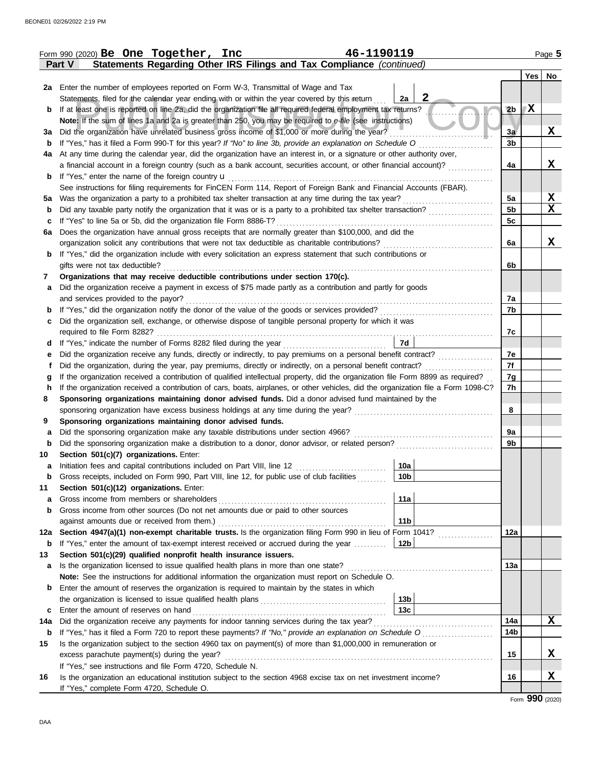|             | 46-1190119<br>Form 990 (2020) Be One Together, Inc                                                                                 |                    |                |     | Page 5      |
|-------------|------------------------------------------------------------------------------------------------------------------------------------|--------------------|----------------|-----|-------------|
|             | Statements Regarding Other IRS Filings and Tax Compliance (continued)<br>Part V                                                    |                    |                |     |             |
|             |                                                                                                                                    |                    |                | Yes | No          |
|             | 2a Enter the number of employees reported on Form W-3, Transmittal of Wage and Tax                                                 |                    |                |     |             |
|             | Statements, filed for the calendar year ending with or within the year covered by this return                                      | $\mathbf{2}$<br>2a |                |     |             |
| b           | If at least one is reported on line 2a, did the organization file all required federal employment tax returns?                     |                    | 2 <sub>b</sub> | X   |             |
|             | Note: If the sum of lines 1a and 2a is greater than 250, you may be required to e-file (see instructions)                          |                    |                |     |             |
| За          | Did the organization have unrelated business gross income of \$1,000 or more during the year?                                      |                    | 3a             |     | X           |
| $\mathbf b$ | If "Yes," has it filed a Form 990-T for this year? If "No" to line 3b, provide an explanation on Schedule O                        |                    | 3 <sub>b</sub> |     |             |
| 4a          | At any time during the calendar year, did the organization have an interest in, or a signature or other authority over,            |                    |                |     |             |
|             | a financial account in a foreign country (such as a bank account, securities account, or other financial account)?                 |                    | 4a             |     | X           |
| b           | If "Yes," enter the name of the foreign country <b>u</b>                                                                           |                    |                |     |             |
|             | See instructions for filing requirements for FinCEN Form 114, Report of Foreign Bank and Financial Accounts (FBAR).                |                    |                |     |             |
| 5а          | Was the organization a party to a prohibited tax shelter transaction at any time during the tax year?                              |                    | 5a             |     | $\mathbf x$ |
| b           | Did any taxable party notify the organization that it was or is a party to a prohibited tax shelter transaction?                   |                    | 5b             |     | X           |
| с           | If "Yes" to line 5a or 5b, did the organization file Form 8886-T?                                                                  |                    | 5c             |     |             |
| 6a          | Does the organization have annual gross receipts that are normally greater than \$100,000, and did the                             |                    |                |     |             |
|             | organization solicit any contributions that were not tax deductible as charitable contributions?                                   |                    | 6a             |     | x           |
| b           | If "Yes," did the organization include with every solicitation an express statement that such contributions or                     |                    |                |     |             |
|             | gifts were not tax deductible?                                                                                                     |                    | 6b             |     |             |
| 7           | Organizations that may receive deductible contributions under section 170(c).                                                      |                    |                |     |             |
| a           | Did the organization receive a payment in excess of \$75 made partly as a contribution and partly for goods                        |                    |                |     |             |
|             | and services provided to the payor?                                                                                                |                    | 7a<br>7b       |     |             |
| b           | If "Yes," did the organization notify the donor of the value of the goods or services provided?                                    |                    |                |     |             |
| с           | Did the organization sell, exchange, or otherwise dispose of tangible personal property for which it was                           |                    | 7c             |     |             |
|             |                                                                                                                                    | 7d                 |                |     |             |
| d<br>е      | Did the organization receive any funds, directly or indirectly, to pay premiums on a personal benefit contract?                    |                    | 7e             |     |             |
|             | Did the organization, during the year, pay premiums, directly or indirectly, on a personal benefit contract?                       |                    | 7f             |     |             |
| g           | If the organization received a contribution of qualified intellectual property, did the organization file Form 8899 as required?   |                    | 7g             |     |             |
| h           | If the organization received a contribution of cars, boats, airplanes, or other vehicles, did the organization file a Form 1098-C? |                    | 7h             |     |             |
| 8           | Sponsoring organizations maintaining donor advised funds. Did a donor advised fund maintained by the                               |                    |                |     |             |
|             |                                                                                                                                    |                    | 8              |     |             |
| 9           | Sponsoring organizations maintaining donor advised funds.                                                                          |                    |                |     |             |
| а           | Did the sponsoring organization make any taxable distributions under section 4966?                                                 |                    | 9а             |     |             |
| b           | Did the sponsoring organization make a distribution to a donor, donor advisor, or related person?                                  |                    | 9b             |     |             |
| 10          | Section 501(c)(7) organizations. Enter:                                                                                            |                    |                |     |             |
| a           | Initiation fees and capital contributions included on Part VIII, line 12 [11][11][11][11][11][11][11][11][11]                      | 10a                |                |     |             |
| $\mathbf b$ | Gross receipts, included on Form 990, Part VIII, line 12, for public use of club facilities                                        | 10 <sub>b</sub>    |                |     |             |
| 11          | Section 501(c)(12) organizations. Enter:                                                                                           |                    |                |     |             |
| a           | Gross income from members or shareholders                                                                                          | 11a                |                |     |             |
| $\mathbf b$ | Gross income from other sources (Do not net amounts due or paid to other sources                                                   |                    |                |     |             |
|             | against amounts due or received from them.)                                                                                        | 11 <sub>b</sub>    |                |     |             |
| 12a         | Section 4947(a)(1) non-exempt charitable trusts. Is the organization filing Form 990 in lieu of Form 1041?                         |                    | 12a            |     |             |
| b           | If "Yes," enter the amount of tax-exempt interest received or accrued during the year                                              | 12b                |                |     |             |
| 13          | Section 501(c)(29) qualified nonprofit health insurance issuers.                                                                   |                    |                |     |             |
| a           | Is the organization licensed to issue qualified health plans in more than one state?                                               |                    | 13a            |     |             |
|             | Note: See the instructions for additional information the organization must report on Schedule O.                                  |                    |                |     |             |
| b           | Enter the amount of reserves the organization is required to maintain by the states in which                                       |                    |                |     |             |
|             |                                                                                                                                    | 13 <sub>b</sub>    |                |     |             |
| c           | Enter the amount of reserves on hand                                                                                               | 13 <sub>c</sub>    |                |     |             |
| 14a         | Did the organization receive any payments for indoor tanning services during the tax year?                                         |                    | 14a            |     | x           |
| b           | If "Yes," has it filed a Form 720 to report these payments? If "No," provide an explanation on Schedule O                          |                    | 14b            |     |             |
| 15          | Is the organization subject to the section 4960 tax on payment(s) of more than \$1,000,000 in remuneration or                      |                    |                |     |             |
|             | excess parachute payment(s) during the year?                                                                                       |                    | 15             |     | X           |
|             | If "Yes," see instructions and file Form 4720, Schedule N.                                                                         |                    |                |     |             |
| 16          | Is the organization an educational institution subject to the section 4968 excise tax on net investment income?                    |                    | 16             |     | X           |
|             | If "Yes," complete Form 4720, Schedule O.                                                                                          |                    |                |     |             |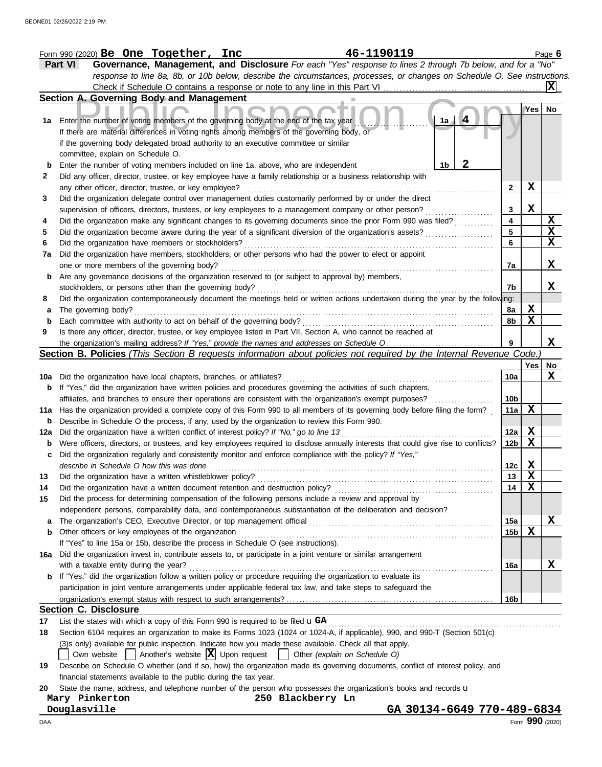|     | 46-1190119<br>Form 990 (2020) Be One Together, Inc                                                                                                                              |                 |                 | Page 6 |
|-----|---------------------------------------------------------------------------------------------------------------------------------------------------------------------------------|-----------------|-----------------|--------|
|     | Governance, Management, and Disclosure For each "Yes" response to lines 2 through 7b below, and for a "No"<br><b>Part VI</b>                                                    |                 |                 |        |
|     | response to line 8a, 8b, or 10b below, describe the circumstances, processes, or changes on Schedule O. See instructions.                                                       |                 |                 |        |
|     | Check if Schedule O contains a response or note to any line in this Part VI                                                                                                     |                 |                 |        |
|     | Section A. Governing Body and Management                                                                                                                                        |                 |                 |        |
|     |                                                                                                                                                                                 |                 | Yes   No        |        |
| 1a  | $\overline{4}$<br>1a<br>Enter the number of voting members of the governing body at the end of the tax year                                                                     |                 |                 |        |
|     | If there are material differences in voting rights among members of the governing body, or                                                                                      |                 |                 |        |
|     | if the governing body delegated broad authority to an executive committee or similar                                                                                            |                 |                 |        |
|     | committee, explain on Schedule O.                                                                                                                                               |                 |                 |        |
| b   | 2<br>Enter the number of voting members included on line 1a, above, who are independent<br>1b                                                                                   |                 |                 |        |
| 2   | Did any officer, director, trustee, or key employee have a family relationship or a business relationship with                                                                  |                 |                 |        |
|     |                                                                                                                                                                                 | 2               | $\mathbf x$     |        |
|     | any other officer, director, trustee, or key employee?                                                                                                                          |                 |                 |        |
| 3   | Did the organization delegate control over management duties customarily performed by or under the direct                                                                       |                 | X               |        |
|     | supervision of officers, directors, trustees, or key employees to a management company or other person?                                                                         | 3               |                 | X      |
| 4   | Did the organization make any significant changes to its governing documents since the prior Form 990 was filed?                                                                | 4               |                 |        |
| 5   | Did the organization become aware during the year of a significant diversion of the organization's assets?                                                                      | 5               |                 | X      |
| 6   | Did the organization have members or stockholders?                                                                                                                              | 6               |                 | X      |
| 7a  | Did the organization have members, stockholders, or other persons who had the power to elect or appoint                                                                         |                 |                 |        |
|     | one or more members of the governing body?                                                                                                                                      | 7a              |                 | X      |
| b   | Are any governance decisions of the organization reserved to (or subject to approval by) members,                                                                               |                 |                 |        |
|     | stockholders, or persons other than the governing body?                                                                                                                         | 7b              |                 | X      |
| 8   | Did the organization contemporaneously document the meetings held or written actions undertaken during the year by the following:                                               |                 |                 |        |
| а   | The governing body?                                                                                                                                                             | 8a              | X               |        |
| b   | Each committee with authority to act on behalf of the governing body?                                                                                                           | 8b              | X               |        |
| 9   | Is there any officer, director, trustee, or key employee listed in Part VII, Section A, who cannot be reached at                                                                |                 |                 |        |
|     |                                                                                                                                                                                 | 9               |                 | x      |
|     | Section B. Policies (This Section B requests information about policies not required by the Internal Revenue Code.)                                                             |                 |                 |        |
|     |                                                                                                                                                                                 |                 | Yes             | No     |
| 10a | Did the organization have local chapters, branches, or affiliates?                                                                                                              | 10a             |                 | X      |
| b   | If "Yes," did the organization have written policies and procedures governing the activities of such chapters,                                                                  |                 |                 |        |
|     | affiliates, and branches to ensure their operations are consistent with the organization's exempt purposes?                                                                     | 10 <sub>b</sub> |                 |        |
| 11a | Has the organization provided a complete copy of this Form 990 to all members of its governing body before filing the form?                                                     | 11a             | X               |        |
| b   | Describe in Schedule O the process, if any, used by the organization to review this Form 990.                                                                                   |                 |                 |        |
| 12a | Did the organization have a written conflict of interest policy? If "No," go to line 13                                                                                         | 12a             | X               |        |
| b   | Were officers, directors, or trustees, and key employees required to disclose annually interests that could give rise to conflicts?                                             | 12b             | X               |        |
|     |                                                                                                                                                                                 |                 |                 |        |
|     | Did the organization regularly and consistently monitor and enforce compliance with the policy? If "Yes,"                                                                       |                 | X               |        |
|     | describe in Schedule O how this was done                                                                                                                                        | 12c             |                 |        |
| 13  | Did the organization have a written whistleblower policy?                                                                                                                       | 13              | X               |        |
| 14  | Did the organization have a written document retention and destruction policy?                                                                                                  | 14              | X               |        |
| 15  | Did the process for determining compensation of the following persons include a review and approval by                                                                          |                 |                 |        |
|     | independent persons, comparability data, and contemporaneous substantiation of the deliberation and decision?                                                                   |                 |                 |        |
| a   | The organization's CEO, Executive Director, or top management official                                                                                                          | 15a             |                 | X      |
| b   | Other officers or key employees of the organization                                                                                                                             | 15 <sub>b</sub> | X               |        |
|     | If "Yes" to line 15a or 15b, describe the process in Schedule O (see instructions).                                                                                             |                 |                 |        |
| 16a | Did the organization invest in, contribute assets to, or participate in a joint venture or similar arrangement                                                                  |                 |                 |        |
|     | with a taxable entity during the year?                                                                                                                                          | 16a             |                 | x      |
| b   | If "Yes," did the organization follow a written policy or procedure requiring the organization to evaluate its                                                                  |                 |                 |        |
|     | participation in joint venture arrangements under applicable federal tax law, and take steps to safeguard the                                                                   |                 |                 |        |
|     |                                                                                                                                                                                 | 16b             |                 |        |
|     | <b>Section C. Disclosure</b>                                                                                                                                                    |                 |                 |        |
| 17  | List the states with which a copy of this Form 990 is required to be filed $\mathbf{u} \cdot \mathbf{G}$                                                                        |                 |                 |        |
| 18  | Section 6104 requires an organization to make its Forms 1023 (1024 or 1024-A, if applicable), 990, and 990-T (Section 501(c)                                                    |                 |                 |        |
|     | (3)s only) available for public inspection. Indicate how you made these available. Check all that apply.                                                                        |                 |                 |        |
|     | Own website $\begin{vmatrix} \end{vmatrix}$ Another's website $\begin{vmatrix} X \\ Y \end{vmatrix}$ Upon request $\begin{vmatrix} \end{vmatrix}$ Other (explain on Schedule O) |                 |                 |        |
|     |                                                                                                                                                                                 |                 |                 |        |
| 19  | Describe on Schedule O whether (and if so, how) the organization made its governing documents, conflict of interest policy, and                                                 |                 |                 |        |
|     | financial statements available to the public during the tax year.                                                                                                               |                 |                 |        |
| 20  | State the name, address, and telephone number of the person who possesses the organization's books and records u                                                                |                 |                 |        |
|     | 250 Blackberry Ln<br>Mary Pinkerton                                                                                                                                             |                 |                 |        |
|     | Douglasville<br>GA 30134-6649 770-489-6834                                                                                                                                      |                 |                 |        |
| DAA |                                                                                                                                                                                 |                 | Form 990 (2020) |        |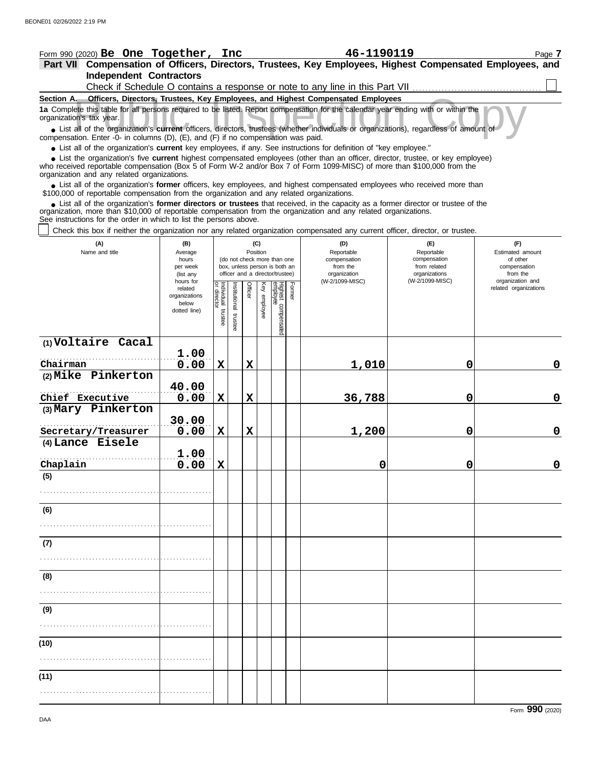|                          | Form 990 (2020) Be One Together, Inc                                                      |                                                                             |                                      |                                                              |                 |                 |                                 |        | 46-1190119                                                                                                                                                                                                                                                                  |                                                   | Page 7                                                |
|--------------------------|-------------------------------------------------------------------------------------------|-----------------------------------------------------------------------------|--------------------------------------|--------------------------------------------------------------|-----------------|-----------------|---------------------------------|--------|-----------------------------------------------------------------------------------------------------------------------------------------------------------------------------------------------------------------------------------------------------------------------------|---------------------------------------------------|-------------------------------------------------------|
|                          |                                                                                           |                                                                             |                                      |                                                              |                 |                 |                                 |        | Part VII Compensation of Officers, Directors, Trustees, Key Employees, Highest Compensated Employees, and                                                                                                                                                                   |                                                   |                                                       |
|                          | <b>Independent Contractors</b>                                                            |                                                                             |                                      |                                                              |                 |                 |                                 |        |                                                                                                                                                                                                                                                                             |                                                   |                                                       |
|                          |                                                                                           |                                                                             |                                      |                                                              |                 |                 |                                 |        | Check if Schedule O contains a response or note to any line in this Part VII                                                                                                                                                                                                |                                                   |                                                       |
|                          |                                                                                           |                                                                             |                                      |                                                              |                 |                 |                                 |        | Section A. Officers, Directors, Trustees, Key Employees, and Highest Compensated Employees                                                                                                                                                                                  |                                                   |                                                       |
| organization's tax year. |                                                                                           |                                                                             |                                      |                                                              |                 |                 |                                 |        | 1a Complete this table for all persons required to be listed. Report compensation for the calendar year ending with or within the<br>• List all of the organization's current officers, directors, trustees (whether individuals or organizations), regardless of amount of |                                                   |                                                       |
|                          | compensation. Enter -O- in columns (D), (E), and (F) if no compensation was paid.         |                                                                             |                                      |                                                              |                 |                 |                                 |        | • List all of the organization's current key employees, if any. See instructions for definition of "key employee."                                                                                                                                                          |                                                   |                                                       |
|                          | organization and any related organizations.                                               |                                                                             |                                      |                                                              |                 |                 |                                 |        | • List the organization's five current highest compensated employees (other than an officer, director, trustee, or key employee)<br>who received reportable compensation (Box 5 of Form W-2 and/or Box 7 of Form 1099-MISC) of more than \$100,000 from the                 |                                                   |                                                       |
|                          | \$100,000 of reportable compensation from the organization and any related organizations. |                                                                             |                                      |                                                              |                 |                 |                                 |        | • List all of the organization's former officers, key employees, and highest compensated employees who received more than                                                                                                                                                   |                                                   |                                                       |
|                          | See instructions for the order in which to list the persons above.                        |                                                                             |                                      |                                                              |                 |                 |                                 |        | • List all of the organization's former directors or trustees that received, in the capacity as a former director or trustee of the<br>organization, more than \$10,000 of reportable compensation from the organization and any related organizations.                     |                                                   |                                                       |
|                          |                                                                                           |                                                                             |                                      |                                                              |                 |                 |                                 |        | Check this box if neither the organization nor any related organization compensated any current officer, director, or trustee.                                                                                                                                              |                                                   |                                                       |
|                          | (A)<br>Name and title                                                                     | (B)<br>Average<br>hours<br>per week                                         |                                      | (do not check more than one<br>box, unless person is both an | (C)<br>Position |                 |                                 |        | (D)<br>Reportable<br>compensation<br>from the                                                                                                                                                                                                                               | (E)<br>Reportable<br>compensation<br>from related | (F)<br>Estimated amount<br>of other<br>compensation   |
|                          |                                                                                           | (list any<br>hours for<br>related<br>organizations<br>below<br>dotted line) | Individual<br>or director<br>trustee | officer and a director/trustee)<br>nstitutional              | Officer         | Key<br>enployee | Highest compensated<br>employee | Former | organization<br>(W-2/1099-MISC)                                                                                                                                                                                                                                             | organizations<br>(W-2/1099-MISC)                  | from the<br>organization and<br>related organizations |
|                          |                                                                                           |                                                                             |                                      | trustee                                                      |                 |                 |                                 |        |                                                                                                                                                                                                                                                                             |                                                   |                                                       |
|                          | (1) Voltaire Cacal                                                                        | 1.00                                                                        |                                      |                                                              |                 |                 |                                 |        |                                                                                                                                                                                                                                                                             |                                                   |                                                       |
| Chairman                 |                                                                                           | 0.00                                                                        | X                                    |                                                              | X               |                 |                                 |        | 1,010                                                                                                                                                                                                                                                                       | 0                                                 | 0                                                     |
|                          | (2) Mike Pinkerton                                                                        | 40.00                                                                       |                                      |                                                              |                 |                 |                                 |        |                                                                                                                                                                                                                                                                             |                                                   |                                                       |
| Chief Executive          |                                                                                           | 0.00                                                                        | $\mathbf x$                          |                                                              | X               |                 |                                 |        | 36,788                                                                                                                                                                                                                                                                      | 0                                                 | 0                                                     |
|                          | (3) Mary Pinkerton                                                                        | 30.00                                                                       |                                      |                                                              |                 |                 |                                 |        |                                                                                                                                                                                                                                                                             |                                                   |                                                       |
|                          | Secretary/Treasurer                                                                       | 0.00                                                                        | $\mathbf x$                          |                                                              | $\mathbf x$     |                 |                                 |        | 1,200                                                                                                                                                                                                                                                                       | 0                                                 | 0                                                     |
|                          | (4) Lance Eisele                                                                          | 1.00                                                                        |                                      |                                                              |                 |                 |                                 |        |                                                                                                                                                                                                                                                                             |                                                   |                                                       |
| Chaplain                 |                                                                                           | 0.00                                                                        | X                                    |                                                              |                 |                 |                                 |        | 0                                                                                                                                                                                                                                                                           | 0                                                 | 0                                                     |
| (5)                      |                                                                                           |                                                                             |                                      |                                                              |                 |                 |                                 |        |                                                                                                                                                                                                                                                                             |                                                   |                                                       |
|                          |                                                                                           |                                                                             |                                      |                                                              |                 |                 |                                 |        |                                                                                                                                                                                                                                                                             |                                                   |                                                       |
| (6)                      |                                                                                           |                                                                             |                                      |                                                              |                 |                 |                                 |        |                                                                                                                                                                                                                                                                             |                                                   |                                                       |
|                          |                                                                                           |                                                                             |                                      |                                                              |                 |                 |                                 |        |                                                                                                                                                                                                                                                                             |                                                   |                                                       |

**(7)**

. . . . . . . . . . . . . . . . . . . . . . . . . . . . . . . . . . . . . . . . . . . . . . . . . . . . .

**(8)**

. . . . . . . . . . . . . . . . . . . . . . . . . . . . . . . . . . . . . . . . . . . . . . . . . . . . .

. . . . . . . . . . . . . . . . . . . . . . . . . . . . . . . . . . . . . . . . . . . . . . . . . . . . .

**(9)**

**(10)**

**(11)**

. . . . . . . . . . . . . . . . . . . . . . . . . . . . . . . . . . . . . . . . . . . . . . . . . . . . .

. . . . . . . . . . . . . . . . . . . . . . . . . . . . . . . . . . . . . . . . . . . . . . . . . . . . .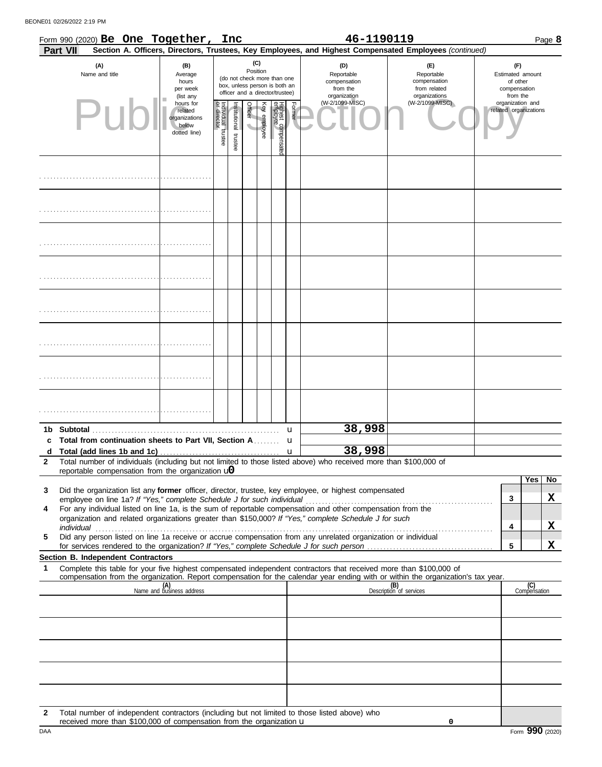BEONE01 02/26/2022 2:19 PM

|              | Form 990 (2020) Be One Together, Inc<br><b>Part VII</b>                                                                                                                                                                                                |                                                                |                                   |                       |                                            |              |                                                                                                 |        | 46-1190119                                                    | Section A. Officers, Directors, Trustees, Key Employees, and Highest Compensated Employees (continued) |                                                                 |                     | Page 8 |
|--------------|--------------------------------------------------------------------------------------------------------------------------------------------------------------------------------------------------------------------------------------------------------|----------------------------------------------------------------|-----------------------------------|-----------------------|--------------------------------------------|--------------|-------------------------------------------------------------------------------------------------|--------|---------------------------------------------------------------|--------------------------------------------------------------------------------------------------------|-----------------------------------------------------------------|---------------------|--------|
|              | (A)<br>Name and title                                                                                                                                                                                                                                  | (B)<br>Average<br>hours<br>per week<br>(list any               |                                   |                       | Position                                   | (C)          | (do not check more than one<br>box, unless person is both an<br>officer and a director/trustee) |        | (D)<br>Reportable<br>compensation<br>from the<br>organization | (E)<br>Reportable<br>compensation<br>from related<br>organizations                                     | (F)<br>Estimated amount<br>of other<br>compensation<br>from the |                     |        |
|              | Pur                                                                                                                                                                                                                                                    | hours for<br>related<br>organizations<br>below<br>dotted line) | Individual trustee<br>or director | Institutional trustee | <b>Officer</b><br>$\overline{\phantom{a}}$ | Key employee | Highest compensate<br>employee                                                                  | Former | (W-2/1099-MISC)                                               | (W-2/1099-MISC)                                                                                        | organization and<br>related organizations                       |                     |        |
|              |                                                                                                                                                                                                                                                        |                                                                |                                   |                       |                                            |              |                                                                                                 |        |                                                               |                                                                                                        |                                                                 |                     |        |
|              |                                                                                                                                                                                                                                                        |                                                                |                                   |                       |                                            |              |                                                                                                 |        |                                                               |                                                                                                        |                                                                 |                     |        |
|              |                                                                                                                                                                                                                                                        |                                                                |                                   |                       |                                            |              |                                                                                                 |        |                                                               |                                                                                                        |                                                                 |                     |        |
|              |                                                                                                                                                                                                                                                        |                                                                |                                   |                       |                                            |              |                                                                                                 |        |                                                               |                                                                                                        |                                                                 |                     |        |
|              |                                                                                                                                                                                                                                                        |                                                                |                                   |                       |                                            |              |                                                                                                 |        |                                                               |                                                                                                        |                                                                 |                     |        |
|              |                                                                                                                                                                                                                                                        |                                                                |                                   |                       |                                            |              |                                                                                                 |        |                                                               |                                                                                                        |                                                                 |                     |        |
|              |                                                                                                                                                                                                                                                        |                                                                |                                   |                       |                                            |              |                                                                                                 |        |                                                               |                                                                                                        |                                                                 |                     |        |
|              |                                                                                                                                                                                                                                                        |                                                                |                                   |                       |                                            |              |                                                                                                 |        |                                                               |                                                                                                        |                                                                 |                     |        |
|              | c Total from continuation sheets to Part VII, Section A                                                                                                                                                                                                |                                                                |                                   |                       |                                            |              |                                                                                                 | u      | 38,998                                                        |                                                                                                        |                                                                 |                     |        |
| d            |                                                                                                                                                                                                                                                        |                                                                |                                   |                       |                                            |              |                                                                                                 | u<br>u | 38,998                                                        |                                                                                                        |                                                                 |                     |        |
| $\mathbf{2}$ | Total number of individuals (including but not limited to those listed above) who received more than \$100,000 of                                                                                                                                      |                                                                |                                   |                       |                                            |              |                                                                                                 |        |                                                               |                                                                                                        |                                                                 |                     |        |
|              | reportable compensation from the organization $\mathbf{u}$                                                                                                                                                                                             |                                                                |                                   |                       |                                            |              |                                                                                                 |        |                                                               |                                                                                                        |                                                                 | Yes                 | No     |
| 3            | Did the organization list any former officer, director, trustee, key employee, or highest compensated                                                                                                                                                  |                                                                |                                   |                       |                                            |              |                                                                                                 |        |                                                               |                                                                                                        |                                                                 |                     |        |
| 4            | For any individual listed on line 1a, is the sum of reportable compensation and other compensation from the                                                                                                                                            |                                                                |                                   |                       |                                            |              |                                                                                                 |        |                                                               |                                                                                                        | 3                                                               |                     | X      |
|              | organization and related organizations greater than \$150,000? If "Yes," complete Schedule J for such                                                                                                                                                  |                                                                |                                   |                       |                                            |              |                                                                                                 |        |                                                               |                                                                                                        |                                                                 |                     |        |
| 5            | Did any person listed on line 1a receive or accrue compensation from any unrelated organization or individual                                                                                                                                          |                                                                |                                   |                       |                                            |              |                                                                                                 |        |                                                               |                                                                                                        | 4                                                               |                     | x      |
|              |                                                                                                                                                                                                                                                        |                                                                |                                   |                       |                                            |              |                                                                                                 |        |                                                               |                                                                                                        | 5                                                               |                     | X      |
|              | <b>Section B. Independent Contractors</b>                                                                                                                                                                                                              |                                                                |                                   |                       |                                            |              |                                                                                                 |        |                                                               |                                                                                                        |                                                                 |                     |        |
| 1            | Complete this table for your five highest compensated independent contractors that received more than \$100,000 of<br>compensation from the organization. Report compensation for the calendar year ending with or within the organization's tax year. |                                                                |                                   |                       |                                            |              |                                                                                                 |        |                                                               |                                                                                                        |                                                                 |                     |        |
|              |                                                                                                                                                                                                                                                        | (A)<br>Name and business address                               |                                   |                       |                                            |              |                                                                                                 |        |                                                               | (B)<br>Description of services                                                                         |                                                                 | (C)<br>Compensation |        |
|              |                                                                                                                                                                                                                                                        |                                                                |                                   |                       |                                            |              |                                                                                                 |        |                                                               |                                                                                                        |                                                                 |                     |        |
|              |                                                                                                                                                                                                                                                        |                                                                |                                   |                       |                                            |              |                                                                                                 |        |                                                               |                                                                                                        |                                                                 |                     |        |
|              |                                                                                                                                                                                                                                                        |                                                                |                                   |                       |                                            |              |                                                                                                 |        |                                                               |                                                                                                        |                                                                 |                     |        |
|              |                                                                                                                                                                                                                                                        |                                                                |                                   |                       |                                            |              |                                                                                                 |        |                                                               |                                                                                                        |                                                                 |                     |        |
|              |                                                                                                                                                                                                                                                        |                                                                |                                   |                       |                                            |              |                                                                                                 |        |                                                               |                                                                                                        |                                                                 |                     |        |
|              |                                                                                                                                                                                                                                                        |                                                                |                                   |                       |                                            |              |                                                                                                 |        |                                                               |                                                                                                        |                                                                 |                     |        |
| 2            | Total number of independent contractors (including but not limited to those listed above) who                                                                                                                                                          |                                                                |                                   |                       |                                            |              |                                                                                                 |        |                                                               |                                                                                                        |                                                                 |                     |        |

**0**

received more than  $$100,000$  of compensation from the organization  $\mathbf u$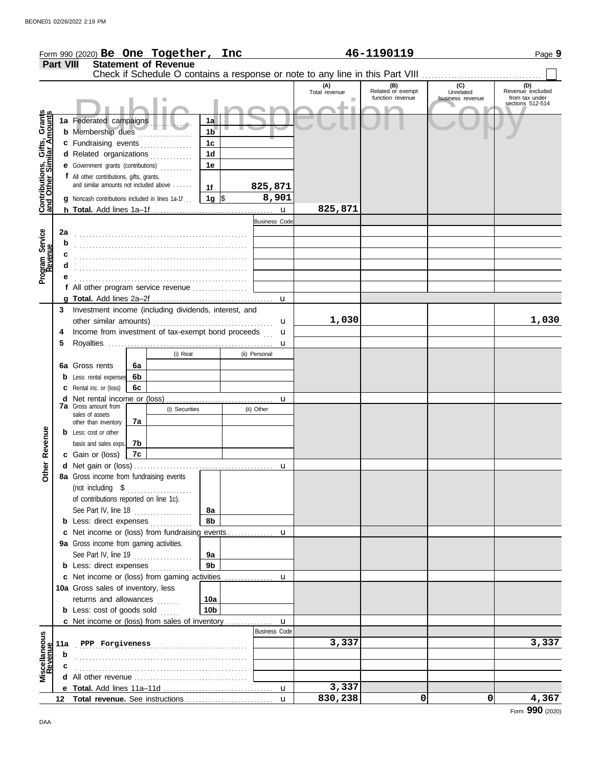|                                                           |                  | Form 990 (2020) Be One Together, Inc                                                |    |                                        |                 |                      |                      | 46-1190119               |                                                                               | Page 9                             |
|-----------------------------------------------------------|------------------|-------------------------------------------------------------------------------------|----|----------------------------------------|-----------------|----------------------|----------------------|--------------------------|-------------------------------------------------------------------------------|------------------------------------|
|                                                           | <b>Part VIII</b> |                                                                                     |    | <b>Statement of Revenue</b>            |                 |                      |                      |                          |                                                                               |                                    |
|                                                           |                  |                                                                                     |    |                                        |                 |                      |                      |                          | Check if Schedule O contains a response or note to any line in this Part VIII |                                    |
|                                                           |                  |                                                                                     |    |                                        |                 |                      | (A)<br>Total revenue | (B)<br>Related or exempt | (C)<br>Unrelated                                                              | (D)<br>Revenue excluded            |
|                                                           |                  |                                                                                     |    |                                        |                 |                      |                      | function revenue         | business revenue                                                              | from tax under<br>sections 512-514 |
|                                                           |                  |                                                                                     |    |                                        |                 |                      |                      |                          |                                                                               |                                    |
| Contributions, Gifts, Grants<br>and Other Similar Amounts |                  | 1a Federated campaigns                                                              |    |                                        | 1a              |                      |                      |                          |                                                                               |                                    |
|                                                           |                  | <b>b</b> Membership dues                                                            |    | <u> 1999 - Johann Stoff, ameri</u> kan | 1 <sub>b</sub>  |                      |                      |                          |                                                                               |                                    |
|                                                           |                  | c Fundraising events                                                                |    |                                        | 1c              |                      |                      |                          |                                                                               |                                    |
|                                                           |                  | d Related organizations                                                             |    |                                        | 1 <sub>d</sub>  |                      |                      |                          |                                                                               |                                    |
|                                                           |                  | e Government grants (contributions)                                                 |    |                                        | 1е              |                      |                      |                          |                                                                               |                                    |
|                                                           |                  | f All other contributions, gifts, grants,<br>and similar amounts not included above |    |                                        |                 |                      |                      |                          |                                                                               |                                    |
|                                                           |                  |                                                                                     |    |                                        | 1f              | 825,871<br>8,901     |                      |                          |                                                                               |                                    |
|                                                           |                  | g Noncash contributions included in lines 1a-1f                                     |    |                                        | 1g $\sqrt{3}$   |                      | 825,871              |                          |                                                                               |                                    |
|                                                           |                  |                                                                                     |    |                                        |                 | $\mathbf{u}$         |                      |                          |                                                                               |                                    |
|                                                           |                  |                                                                                     |    |                                        |                 | <b>Business Code</b> |                      |                          |                                                                               |                                    |
| Program Service<br>Revenue                                | 2a               |                                                                                     |    |                                        |                 |                      |                      |                          |                                                                               |                                    |
|                                                           | b                |                                                                                     |    |                                        |                 |                      |                      |                          |                                                                               |                                    |
|                                                           |                  |                                                                                     |    |                                        |                 |                      |                      |                          |                                                                               |                                    |
|                                                           |                  |                                                                                     |    |                                        |                 |                      |                      |                          |                                                                               |                                    |
|                                                           |                  | f All other program service revenue                                                 |    |                                        |                 |                      |                      |                          |                                                                               |                                    |
|                                                           |                  |                                                                                     |    |                                        |                 | u                    |                      |                          |                                                                               |                                    |
|                                                           | 3                | Investment income (including dividends, interest, and                               |    |                                        |                 |                      |                      |                          |                                                                               |                                    |
|                                                           |                  |                                                                                     |    |                                        |                 | u                    | 1,030                |                          |                                                                               | 1,030                              |
|                                                           | 4                | Income from investment of tax-exempt bond proceeds                                  |    |                                        |                 | u                    |                      |                          |                                                                               |                                    |
|                                                           | 5                |                                                                                     |    |                                        |                 | u                    |                      |                          |                                                                               |                                    |
|                                                           |                  |                                                                                     |    | (i) Real                               |                 | (ii) Personal        |                      |                          |                                                                               |                                    |
|                                                           |                  | 6a Gross rents                                                                      | 6a |                                        |                 |                      |                      |                          |                                                                               |                                    |
|                                                           |                  | <b>b</b> Less: rental expenses                                                      | 6b |                                        |                 |                      |                      |                          |                                                                               |                                    |
|                                                           |                  | <b>c</b> Rental inc. or (loss)                                                      | 6c |                                        |                 |                      |                      |                          |                                                                               |                                    |
|                                                           |                  |                                                                                     |    |                                        |                 | u                    |                      |                          |                                                                               |                                    |
|                                                           |                  | <b>7a</b> Gross amount from                                                         |    | (i) Securities                         |                 | (ii) Other           |                      |                          |                                                                               |                                    |
|                                                           |                  | sales of assets<br>other than inventory                                             | 7a |                                        |                 |                      |                      |                          |                                                                               |                                    |
|                                                           |                  | <b>b</b> Less: cost or other                                                        |    |                                        |                 |                      |                      |                          |                                                                               |                                    |
| Revenue                                                   |                  | basis and sales exps.                                                               | 7b |                                        |                 |                      |                      |                          |                                                                               |                                    |
|                                                           |                  | c Gain or (loss)                                                                    | 7c |                                        |                 |                      |                      |                          |                                                                               |                                    |
|                                                           |                  |                                                                                     |    |                                        |                 |                      |                      |                          |                                                                               |                                    |
| Other                                                     |                  | 8a Gross income from fundraising events                                             |    |                                        |                 |                      |                      |                          |                                                                               |                                    |
|                                                           |                  |                                                                                     |    |                                        |                 |                      |                      |                          |                                                                               |                                    |
|                                                           |                  | of contributions reported on line 1c).                                              |    |                                        |                 |                      |                      |                          |                                                                               |                                    |
|                                                           |                  | See Part IV, line 18 $\ldots$                                                       |    |                                        | 8a              |                      |                      |                          |                                                                               |                                    |
|                                                           |                  | <b>b</b> Less: direct expenses                                                      |    |                                        | 8b              |                      |                      |                          |                                                                               |                                    |
|                                                           |                  | c Net income or (loss) from fundraising events                                      |    |                                        |                 | u                    |                      |                          |                                                                               |                                    |
|                                                           |                  | 9a Gross income from gaming activities.                                             |    |                                        |                 |                      |                      |                          |                                                                               |                                    |
|                                                           |                  | See Part IV, line 19                                                                |    |                                        | 9a              |                      |                      |                          |                                                                               |                                    |
|                                                           |                  | <b>b</b> Less: direct expenses                                                      |    |                                        | 9b              |                      |                      |                          |                                                                               |                                    |
|                                                           |                  | c Net income or (loss) from gaming activities                                       |    |                                        |                 | u                    |                      |                          |                                                                               |                                    |
|                                                           |                  | 10a Gross sales of inventory, less                                                  |    |                                        |                 |                      |                      |                          |                                                                               |                                    |
|                                                           |                  | returns and allowances                                                              |    |                                        | 10a             |                      |                      |                          |                                                                               |                                    |
|                                                           |                  | <b>b</b> Less: cost of goods sold                                                   |    |                                        | 10 <sub>b</sub> |                      |                      |                          |                                                                               |                                    |
|                                                           |                  | c Net income or (loss) from sales of inventory                                      |    |                                        |                 | u                    |                      |                          |                                                                               |                                    |
|                                                           |                  |                                                                                     |    |                                        |                 | <b>Business Code</b> |                      |                          |                                                                               |                                    |
|                                                           |                  | 11a PPP Forgiveness                                                                 |    |                                        |                 |                      | 3,337                |                          |                                                                               | 3,337                              |
| Miscellaneous<br>Revenue                                  | b                |                                                                                     |    |                                        |                 |                      |                      |                          |                                                                               |                                    |
|                                                           | c                |                                                                                     |    |                                        |                 |                      |                      |                          |                                                                               |                                    |
|                                                           |                  |                                                                                     |    |                                        |                 |                      |                      |                          |                                                                               |                                    |
|                                                           |                  |                                                                                     |    |                                        |                 | u                    | 3,337                |                          |                                                                               |                                    |
|                                                           |                  |                                                                                     |    |                                        |                 | $\mathbf{u}$         | 830,238              | 0                        | 0                                                                             | 4,367                              |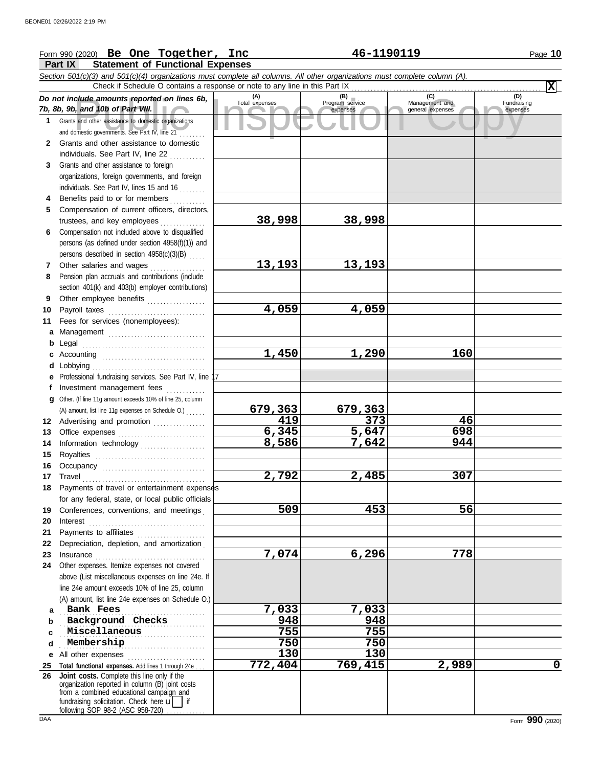## Form 990 (2020) Page **10 Be One Together, Inc 46-1190119**

**Part IX Statement of Functional Expenses**

|              | Section 501(c)(3) and 501(c)(4) organizations must complete all columns. All other organizations must complete column (A).<br>Check if Schedule O contains a response or note to any line in this Part IX                      |                       |                             |                                           | $ \mathbf{x} $                 |
|--------------|--------------------------------------------------------------------------------------------------------------------------------------------------------------------------------------------------------------------------------|-----------------------|-----------------------------|-------------------------------------------|--------------------------------|
|              |                                                                                                                                                                                                                                |                       | (B)                         |                                           |                                |
|              | Do not include amounts reported on lines 6b,<br>7b, 8b, 9b, and 10b of Part VIII.                                                                                                                                              | (A)<br>Total expenses | Program service<br>expenses | (C)<br>Management and<br>general expenses | (D)<br>Fundraising<br>expenses |
| 1            | Grants and other assistance to domestic organizations<br>and domestic governments. See Part IV, line 21                                                                                                                        |                       |                             |                                           |                                |
| $\mathbf{2}$ | Grants and other assistance to domestic                                                                                                                                                                                        |                       |                             |                                           |                                |
|              | individuals. See Part IV, line 22                                                                                                                                                                                              |                       |                             |                                           |                                |
| 3            | Grants and other assistance to foreign                                                                                                                                                                                         |                       |                             |                                           |                                |
|              | organizations, foreign governments, and foreign                                                                                                                                                                                |                       |                             |                                           |                                |
|              | individuals. See Part IV, lines 15 and 16                                                                                                                                                                                      |                       |                             |                                           |                                |
| 4            | Benefits paid to or for members                                                                                                                                                                                                |                       |                             |                                           |                                |
| 5.           | Compensation of current officers, directors,                                                                                                                                                                                   |                       |                             |                                           |                                |
|              | trustees, and key employees                                                                                                                                                                                                    | 38,998                | 38,998                      |                                           |                                |
| 6            | Compensation not included above to disqualified                                                                                                                                                                                |                       |                             |                                           |                                |
|              | persons (as defined under section 4958(f)(1)) and                                                                                                                                                                              |                       |                             |                                           |                                |
|              | persons described in section 4958(c)(3)(B)                                                                                                                                                                                     |                       |                             |                                           |                                |
| 7            | Other salaries and wages<br>Pension plan accruals and contributions (include                                                                                                                                                   | 13,193                | 13,193                      |                                           |                                |
| 8            |                                                                                                                                                                                                                                |                       |                             |                                           |                                |
| 9            | section 401(k) and 403(b) employer contributions)<br>Other employee benefits                                                                                                                                                   |                       |                             |                                           |                                |
| 10           |                                                                                                                                                                                                                                | 4,059                 | 4,059                       |                                           |                                |
| 11           | Fees for services (nonemployees):                                                                                                                                                                                              |                       |                             |                                           |                                |
| a            | Management                                                                                                                                                                                                                     |                       |                             |                                           |                                |
| b            | Legal                                                                                                                                                                                                                          |                       |                             |                                           |                                |
| c            |                                                                                                                                                                                                                                | 1,450                 | 1,290                       | 160                                       |                                |
| d            | Lobbying                                                                                                                                                                                                                       |                       |                             |                                           |                                |
|              | Professional fundraising services. See Part IV, line                                                                                                                                                                           |                       |                             |                                           |                                |
| f            | Investment management fees                                                                                                                                                                                                     |                       |                             |                                           |                                |
| a            | Other. (If line 11g amount exceeds 10% of line 25, column                                                                                                                                                                      |                       |                             |                                           |                                |
|              | (A) amount, list line 11g expenses on Schedule O.)                                                                                                                                                                             | 679,363               | <u>679,363</u>              |                                           |                                |
|              | 12 Advertising and promotion                                                                                                                                                                                                   | 419                   | 373                         | 46                                        |                                |
| 13           |                                                                                                                                                                                                                                | 6,345                 | 5,647                       | 698                                       |                                |
| 14           | Information technology                                                                                                                                                                                                         | 8,586                 | 7,642                       | 944                                       |                                |
| 15           |                                                                                                                                                                                                                                |                       |                             |                                           |                                |
| 16           |                                                                                                                                                                                                                                |                       |                             |                                           |                                |
| 17           |                                                                                                                                                                                                                                | 2,792                 | 2,485                       | 307                                       |                                |
|              | 18 Payments of travel or entertainment expenses<br>for any federal, state, or local public officials                                                                                                                           |                       |                             |                                           |                                |
| 19           | Conferences, conventions, and meetings                                                                                                                                                                                         | 509                   | 453                         | 56                                        |                                |
| 20           | Interest                                                                                                                                                                                                                       |                       |                             |                                           |                                |
| 21           | Payments to affiliates [11] production and production and production and production and production and production and production and production and production and production and production and production and production and |                       |                             |                                           |                                |
| 22           | Depreciation, depletion, and amortization                                                                                                                                                                                      |                       |                             |                                           |                                |
| 23           | Insurance                                                                                                                                                                                                                      | 7,074                 | 6,296                       | 778                                       |                                |
| 24           | Other expenses. Itemize expenses not covered                                                                                                                                                                                   |                       |                             |                                           |                                |
|              | above (List miscellaneous expenses on line 24e. If                                                                                                                                                                             |                       |                             |                                           |                                |
|              | line 24e amount exceeds 10% of line 25, column                                                                                                                                                                                 |                       |                             |                                           |                                |
|              | (A) amount, list line 24e expenses on Schedule O.)                                                                                                                                                                             |                       |                             |                                           |                                |
| a            | Bank Fees                                                                                                                                                                                                                      | 7,033                 | 7,033                       |                                           |                                |
| b            | Background Checks                                                                                                                                                                                                              | 948                   | 948                         |                                           |                                |
| C            | Miscellaneous                                                                                                                                                                                                                  | 755                   | 755                         |                                           |                                |
| d            | Membership                                                                                                                                                                                                                     | 750                   | 750                         |                                           |                                |
| е            | All other expenses<br>Total functional expenses. Add lines 1 through 24e.                                                                                                                                                      | 130<br>772,404        | 130<br>769,415              | 2,989                                     | 0                              |
| 25<br>26     | Joint costs. Complete this line only if the                                                                                                                                                                                    |                       |                             |                                           |                                |
|              | organization reported in column (B) joint costs                                                                                                                                                                                |                       |                             |                                           |                                |
|              | from a combined educational campaign and<br>fundraising solicitation. Check here $\mathbf{u}$   if                                                                                                                             |                       |                             |                                           |                                |
|              | following SOP 98-2 (ASC 958-720)                                                                                                                                                                                               |                       |                             |                                           |                                |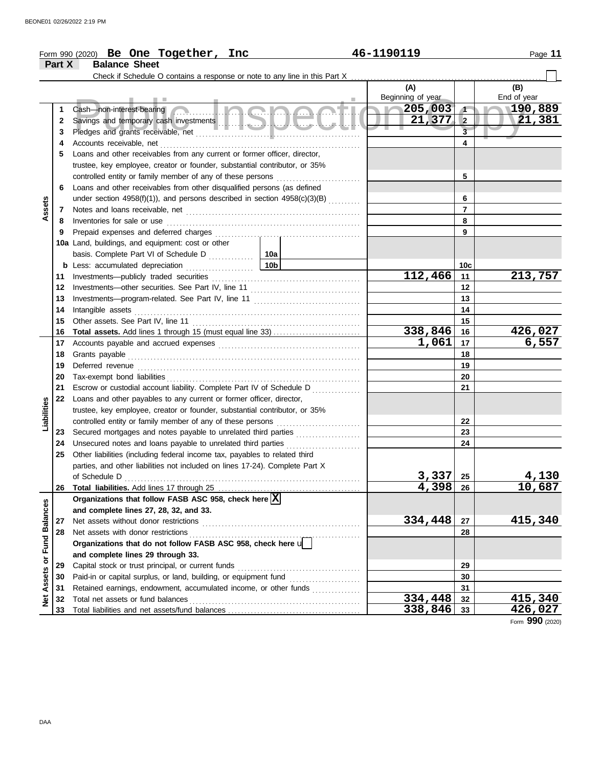|                         |        | Form 990 (2020) Be One Together, Inc                                         | 46-1190119               |                  | Page 11            |
|-------------------------|--------|------------------------------------------------------------------------------|--------------------------|------------------|--------------------|
|                         | Part X | <b>Balance Sheet</b>                                                         |                          |                  |                    |
|                         |        |                                                                              |                          |                  |                    |
|                         |        | a s                                                                          | (A)<br>Beginning of year |                  | (B)<br>End of year |
|                         | 1      | Cash—non-interest-bearing Communication Communication Communication          | 205,003                  | $\sqrt{1}$       | 190,889            |
|                         | 2      |                                                                              | $21,377$ 2               |                  | 21,381             |
|                         | 3      |                                                                              |                          | $\overline{3}$   |                    |
|                         | 4      |                                                                              |                          | $\blacktriangle$ |                    |
|                         | 5      | Loans and other receivables from any current or former officer, director,    |                          |                  |                    |
|                         |        | trustee, key employee, creator or founder, substantial contributor, or 35%   |                          |                  |                    |
|                         |        | controlled entity or family member of any of these persons                   |                          | 5                |                    |
|                         | 6      | Loans and other receivables from other disqualified persons (as defined      |                          |                  |                    |
|                         |        | under section 4958(f)(1)), and persons described in section $4958(c)(3)(B)$  |                          | 6                |                    |
| ssets                   | 7      |                                                                              |                          | $\overline{7}$   |                    |
| ⋖                       | 8      | Inventories for sale or use                                                  |                          | 8                |                    |
|                         | 9      | Prepaid expenses and deferred charges                                        |                          | 9                |                    |
|                         |        | 10a Land, buildings, and equipment: cost or other                            |                          |                  |                    |
|                         |        |                                                                              |                          |                  |                    |
|                         | b      | 10 <sub>b</sub><br>Less: accumulated depreciation                            |                          | 10c              |                    |
|                         | 11     |                                                                              | 112,466                  | 11               | 213,757            |
|                         | 12     |                                                                              |                          | $12 \,$          |                    |
|                         | 13     |                                                                              |                          | 13               |                    |
|                         | 14     | Intangible assets                                                            |                          | 14               |                    |
|                         | 15     |                                                                              |                          | 15               |                    |
|                         | 16     |                                                                              | 338,846                  | 16               | <u>426,027</u>     |
|                         | 17     |                                                                              | 1,061                    | 17               | 6,557              |
|                         | 18     | Grants payable                                                               |                          | 18               |                    |
|                         | 19     | Deferred revenue                                                             |                          | 19               |                    |
|                         | 20     |                                                                              |                          | 20               |                    |
|                         | 21     | Escrow or custodial account liability. Complete Part IV of Schedule D        |                          | 21               |                    |
|                         | 22     | Loans and other payables to any current or former officer, director,         |                          |                  |                    |
|                         |        | trustee, key employee, creator or founder, substantial contributor, or 35%   |                          |                  |                    |
| Liabilities             |        | controlled entity or family member of any of these persons                   |                          | 22               |                    |
|                         | 23     | Secured mortgages and notes payable to unrelated third parties               |                          | 23               |                    |
|                         | 24     | Unsecured notes and loans payable to unrelated third parties<br>.            |                          | 24               |                    |
|                         | 25     | Other liabilities (including federal income tax, payables to related third   |                          |                  |                    |
|                         |        | parties, and other liabilities not included on lines 17-24). Complete Part X |                          |                  |                    |
|                         |        | of Schedule D                                                                | 3,337                    | 25               | 4,130              |
|                         | 26     |                                                                              | 4,398                    | 26               | 10,687             |
|                         |        | Organizations that follow FASB ASC 958, check here $\boxed{\mathbf{X}}$      |                          |                  |                    |
|                         |        | and complete lines 27, 28, 32, and 33.                                       |                          |                  |                    |
|                         | 27     | Net assets without donor restrictions                                        | 334,448                  | 27               | 415,340            |
|                         | 28     | Net assets with donor restrictions                                           |                          | 28               |                    |
| Assets or Fund Balances |        | Organizations that do not follow FASB ASC 958, check here u                  |                          |                  |                    |
|                         |        | and complete lines 29 through 33.                                            |                          |                  |                    |
|                         | 29     | Capital stock or trust principal, or current funds                           |                          | 29               |                    |
|                         | 30     | Paid-in or capital surplus, or land, building, or equipment fund             |                          | 30               |                    |
|                         | 31     | Retained earnings, endowment, accumulated income, or other funds             |                          | 31               | 415,340            |
| Net                     | 32     | Total net assets or fund balances                                            | 334,448                  | 32               |                    |
|                         | 33     |                                                                              | 338,846                  | 33               | 426,027            |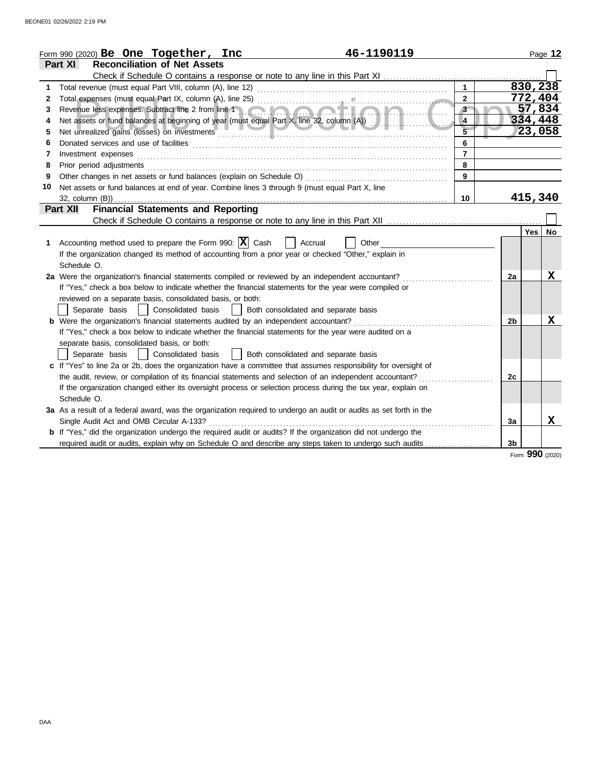|    | 46-1190119<br>Form 990 (2020) Be One Together, Inc                                                                                                                                                                             |                         |                |         | Page 12     |
|----|--------------------------------------------------------------------------------------------------------------------------------------------------------------------------------------------------------------------------------|-------------------------|----------------|---------|-------------|
|    | <b>Reconciliation of Net Assets</b><br>Part XI                                                                                                                                                                                 |                         |                |         |             |
|    | Check if Schedule O contains a response or note to any line in this Part XI                                                                                                                                                    |                         |                |         |             |
|    |                                                                                                                                                                                                                                | $\mathbf{1}$            |                | 830,238 |             |
| 2  |                                                                                                                                                                                                                                | $\overline{2}$          |                | 772,404 |             |
| 3  | Revenue less expenses. Subtract line 2 from line 1                                                                                                                                                                             | $\overline{3}$          |                | 57,834  |             |
| 4  |                                                                                                                                                                                                                                | $\overline{\mathbf{4}}$ |                | 334,448 |             |
| 5  | Net unrealized gains (losses) on investments entertainments and all the manufacture of the manufacture of the                                                                                                                  | $\overline{5}$          |                | 23,058  |             |
| 6  |                                                                                                                                                                                                                                | 6                       |                |         |             |
| 7  | Investment expenses                                                                                                                                                                                                            | $\overline{7}$          |                |         |             |
| 8  | Prior period adjustments [11, 12] and the contract of the contract of the contract of the contract of the contract of the contract of the contract of the contract of the contract of the contract of the contract of the cont | 8                       |                |         |             |
| 9  |                                                                                                                                                                                                                                | $\mathbf{9}$            |                |         |             |
| 10 | Net assets or fund balances at end of year. Combine lines 3 through 9 (must equal Part X, line                                                                                                                                 |                         |                |         |             |
|    | 32, column (B))                                                                                                                                                                                                                | 10 <sup>°</sup>         |                | 415,340 |             |
|    | <b>Financial Statements and Reporting</b><br>Part XII                                                                                                                                                                          |                         |                |         |             |
|    |                                                                                                                                                                                                                                |                         |                |         |             |
|    |                                                                                                                                                                                                                                |                         |                | Yes     | <b>No</b>   |
| 1  | Accounting method used to prepare the Form 990: $ X $ Cash<br>Accrual<br>Other                                                                                                                                                 |                         |                |         |             |
|    | If the organization changed its method of accounting from a prior year or checked "Other," explain in                                                                                                                          |                         |                |         |             |
|    | Schedule O.                                                                                                                                                                                                                    |                         |                |         |             |
|    | 2a Were the organization's financial statements compiled or reviewed by an independent accountant?                                                                                                                             |                         | 2a             |         | X           |
|    | If "Yes," check a box below to indicate whether the financial statements for the year were compiled or                                                                                                                         |                         |                |         |             |
|    | reviewed on a separate basis, consolidated basis, or both:                                                                                                                                                                     |                         |                |         |             |
|    | Separate basis<br>  Consolidated basis<br>  Both consolidated and separate basis                                                                                                                                               |                         |                |         |             |
|    | <b>b</b> Were the organization's financial statements audited by an independent accountant?                                                                                                                                    |                         | 2 <sub>b</sub> |         | $\mathbf X$ |
|    | If "Yes," check a box below to indicate whether the financial statements for the year were audited on a                                                                                                                        |                         |                |         |             |
|    | separate basis, consolidated basis, or both:                                                                                                                                                                                   |                         |                |         |             |
|    | Separate basis<br>  Consolidated basis<br>Both consolidated and separate basis                                                                                                                                                 |                         |                |         |             |
|    | c If "Yes" to line 2a or 2b, does the organization have a committee that assumes responsibility for oversight of                                                                                                               |                         |                |         |             |
|    | the audit, review, or compilation of its financial statements and selection of an independent accountant?                                                                                                                      |                         | 2c             |         |             |
|    | If the organization changed either its oversight process or selection process during the tax year, explain on                                                                                                                  |                         |                |         |             |
|    | Schedule O.                                                                                                                                                                                                                    |                         |                |         |             |
|    | 3a As a result of a federal award, was the organization required to undergo an audit or audits as set forth in the                                                                                                             |                         |                |         |             |
|    | Single Audit Act and OMB Circular A-133?                                                                                                                                                                                       |                         | 3a             |         | х           |
|    | <b>b</b> If "Yes," did the organization undergo the required audit or audits? If the organization did not undergo the                                                                                                          |                         |                |         |             |
|    | required audit or audits, explain why on Schedule O and describe any steps taken to undergo such audits                                                                                                                        |                         | 3 <sub>b</sub> |         |             |

Form **990** (2020)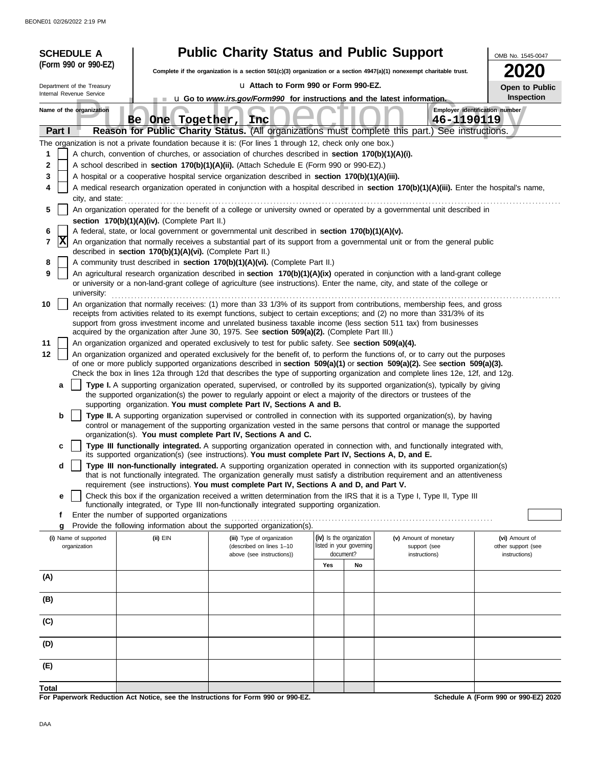| <b>SCHEDULE A</b>          |                                                            | <b>Public Charity Status and Public Support</b>                                                                      |     |                          |                                                                                                                                                                                                                                                                 | OMB No. 1545-0047                    |
|----------------------------|------------------------------------------------------------|----------------------------------------------------------------------------------------------------------------------|-----|--------------------------|-----------------------------------------------------------------------------------------------------------------------------------------------------------------------------------------------------------------------------------------------------------------|--------------------------------------|
| (Form 990 or 990-EZ)       |                                                            | Complete if the organization is a section 501(c)(3) organization or a section 4947(a)(1) nonexempt charitable trust. |     |                          |                                                                                                                                                                                                                                                                 | 2020                                 |
| Department of the Treasury |                                                            | La Attach to Form 990 or Form 990-EZ.                                                                                |     |                          |                                                                                                                                                                                                                                                                 | Open to Public                       |
| Internal Revenue Service   |                                                            | u Go to www.irs.gov/Form990 for instructions and the latest information.                                             |     |                          |                                                                                                                                                                                                                                                                 | Inspection                           |
| Name of the organization   | One Together, Inc.<br>Be l                                 |                                                                                                                      |     |                          | 46-1190119                                                                                                                                                                                                                                                      | Employer identification number       |
| Part I                     |                                                            |                                                                                                                      |     |                          | Reason for Public Charity Status. (All organizations must complete this part.) See instructions.                                                                                                                                                                |                                      |
|                            |                                                            | The organization is not a private foundation because it is: (For lines 1 through 12, check only one box.)            |     |                          |                                                                                                                                                                                                                                                                 |                                      |
| 1                          |                                                            | A church, convention of churches, or association of churches described in section 170(b)(1)(A)(i).                   |     |                          |                                                                                                                                                                                                                                                                 |                                      |
| 2                          |                                                            | A school described in section 170(b)(1)(A)(ii). (Attach Schedule E (Form 990 or 990-EZ).)                            |     |                          |                                                                                                                                                                                                                                                                 |                                      |
| 3                          |                                                            | A hospital or a cooperative hospital service organization described in section 170(b)(1)(A)(iii).                    |     |                          |                                                                                                                                                                                                                                                                 |                                      |
| 4<br>city, and state:      |                                                            |                                                                                                                      |     |                          | A medical research organization operated in conjunction with a hospital described in section 170(b)(1)(A)(iii). Enter the hospital's name,                                                                                                                      |                                      |
| 5                          |                                                            |                                                                                                                      |     |                          | An organization operated for the benefit of a college or university owned or operated by a governmental unit described in                                                                                                                                       |                                      |
|                            | section 170(b)(1)(A)(iv). (Complete Part II.)              |                                                                                                                      |     |                          |                                                                                                                                                                                                                                                                 |                                      |
| 6                          |                                                            | A federal, state, or local government or governmental unit described in section 170(b)(1)(A)(v).                     |     |                          |                                                                                                                                                                                                                                                                 |                                      |
| X<br>7                     | described in section 170(b)(1)(A)(vi). (Complete Part II.) |                                                                                                                      |     |                          | An organization that normally receives a substantial part of its support from a governmental unit or from the general public                                                                                                                                    |                                      |
| 8                          |                                                            | A community trust described in section 170(b)(1)(A)(vi). (Complete Part II.)                                         |     |                          |                                                                                                                                                                                                                                                                 |                                      |
| 9<br>university:           |                                                            |                                                                                                                      |     |                          | An agricultural research organization described in section 170(b)(1)(A)(ix) operated in conjunction with a land-grant college<br>or university or a non-land-grant college of agriculture (see instructions). Enter the name, city, and state of the college or |                                      |
| 10                         |                                                            |                                                                                                                      |     |                          | An organization that normally receives: (1) more than 33 1/3% of its support from contributions, membership fees, and gross                                                                                                                                     |                                      |
|                            |                                                            |                                                                                                                      |     |                          | receipts from activities related to its exempt functions, subject to certain exceptions; and (2) no more than 331/3% of its                                                                                                                                     |                                      |
|                            |                                                            | acquired by the organization after June 30, 1975. See section 509(a)(2). (Complete Part III.)                        |     |                          | support from gross investment income and unrelated business taxable income (less section 511 tax) from businesses                                                                                                                                               |                                      |
| 11                         |                                                            | An organization organized and operated exclusively to test for public safety. See section 509(a)(4).                 |     |                          |                                                                                                                                                                                                                                                                 |                                      |
| 12                         |                                                            |                                                                                                                      |     |                          | An organization organized and operated exclusively for the benefit of, to perform the functions of, or to carry out the purposes                                                                                                                                |                                      |
|                            |                                                            |                                                                                                                      |     |                          | of one or more publicly supported organizations described in section 509(a)(1) or section 509(a)(2). See section 509(a)(3).                                                                                                                                     |                                      |
|                            |                                                            |                                                                                                                      |     |                          | Check the box in lines 12a through 12d that describes the type of supporting organization and complete lines 12e, 12f, and 12g.                                                                                                                                 |                                      |
| a                          |                                                            |                                                                                                                      |     |                          | Type I. A supporting organization operated, supervised, or controlled by its supported organization(s), typically by giving<br>the supported organization(s) the power to regularly appoint or elect a majority of the directors or trustees of the             |                                      |
|                            |                                                            | supporting organization. You must complete Part IV, Sections A and B.                                                |     |                          |                                                                                                                                                                                                                                                                 |                                      |
| b                          |                                                            |                                                                                                                      |     |                          | Type II. A supporting organization supervised or controlled in connection with its supported organization(s), by having                                                                                                                                         |                                      |
|                            |                                                            | organization(s). You must complete Part IV, Sections A and C.                                                        |     |                          | control or management of the supporting organization vested in the same persons that control or manage the supported                                                                                                                                            |                                      |
| c                          |                                                            |                                                                                                                      |     |                          | Type III functionally integrated. A supporting organization operated in connection with, and functionally integrated with,                                                                                                                                      |                                      |
|                            |                                                            | its supported organization(s) (see instructions). You must complete Part IV, Sections A, D, and E.                   |     |                          |                                                                                                                                                                                                                                                                 |                                      |
| d                          |                                                            |                                                                                                                      |     |                          | Type III non-functionally integrated. A supporting organization operated in connection with its supported organization(s)                                                                                                                                       |                                      |
|                            |                                                            | requirement (see instructions). You must complete Part IV, Sections A and D, and Part V.                             |     |                          | that is not functionally integrated. The organization generally must satisfy a distribution requirement and an attentiveness                                                                                                                                    |                                      |
| е                          |                                                            |                                                                                                                      |     |                          | Check this box if the organization received a written determination from the IRS that it is a Type I, Type II, Type III                                                                                                                                         |                                      |
|                            |                                                            | functionally integrated, or Type III non-functionally integrated supporting organization.                            |     |                          |                                                                                                                                                                                                                                                                 |                                      |
| f<br>g                     | Enter the number of supported organizations                | Provide the following information about the supported organization(s).                                               |     |                          |                                                                                                                                                                                                                                                                 |                                      |
| (i) Name of supported      | $(ii)$ EIN                                                 | (iii) Type of organization                                                                                           |     | (iv) Is the organization | (v) Amount of monetary                                                                                                                                                                                                                                          | (vi) Amount of                       |
| organization               |                                                            | (described on lines 1-10                                                                                             |     | listed in your governing | support (see                                                                                                                                                                                                                                                    | other support (see                   |
|                            |                                                            | above (see instructions))                                                                                            | Yes | document?<br>No          | instructions)                                                                                                                                                                                                                                                   | instructions)                        |
| (A)                        |                                                            |                                                                                                                      |     |                          |                                                                                                                                                                                                                                                                 |                                      |
|                            |                                                            |                                                                                                                      |     |                          |                                                                                                                                                                                                                                                                 |                                      |
| (B)                        |                                                            |                                                                                                                      |     |                          |                                                                                                                                                                                                                                                                 |                                      |
|                            |                                                            |                                                                                                                      |     |                          |                                                                                                                                                                                                                                                                 |                                      |
| (C)                        |                                                            |                                                                                                                      |     |                          |                                                                                                                                                                                                                                                                 |                                      |
| (D)                        |                                                            |                                                                                                                      |     |                          |                                                                                                                                                                                                                                                                 |                                      |
| (E)                        |                                                            |                                                                                                                      |     |                          |                                                                                                                                                                                                                                                                 |                                      |
|                            |                                                            |                                                                                                                      |     |                          |                                                                                                                                                                                                                                                                 |                                      |
| Total                      |                                                            | For Panerwork Reduction Act Notice, see the Instructions for Form 990 or 990-F7                                      |     |                          |                                                                                                                                                                                                                                                                 | Schodule A (Form 990 or 990-F7) 2020 |

**For Paperwork Reduction Act Notice, see the Instructions for Form 990 or 990-EZ.**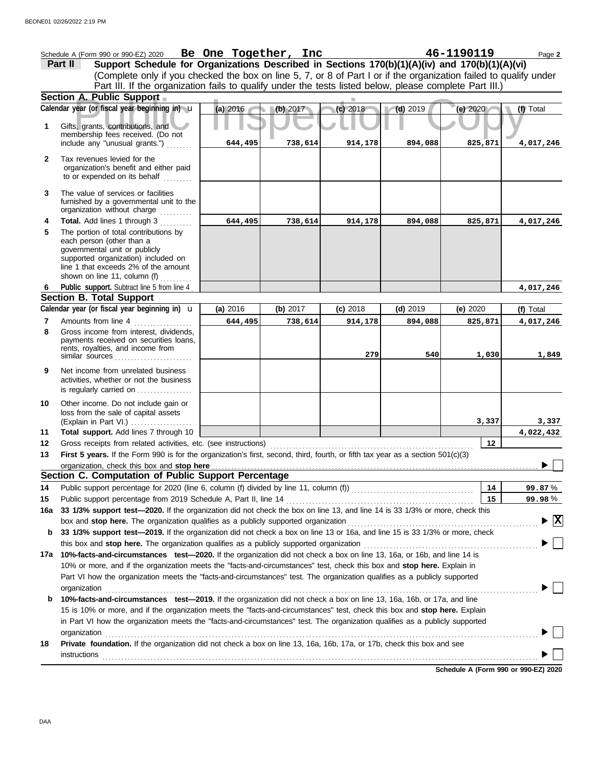|              | 46-1190119<br>Schedule A (Form 990 or 990-EZ) 2020 Be One Together, Inc<br>Page 2<br>Support Schedule for Organizations Described in Sections 170(b)(1)(A)(iv) and 170(b)(1)(A)(vi)<br>Part II<br>(Complete only if you checked the box on line 5, 7, or 8 of Part I or if the organization failed to qualify under<br>Part III. If the organization fails to qualify under the tests listed below, please complete Part III.) |          |          |                |                |                  |                                 |
|--------------|--------------------------------------------------------------------------------------------------------------------------------------------------------------------------------------------------------------------------------------------------------------------------------------------------------------------------------------------------------------------------------------------------------------------------------|----------|----------|----------------|----------------|------------------|---------------------------------|
|              | Section A. Public Support                                                                                                                                                                                                                                                                                                                                                                                                      |          |          |                |                |                  |                                 |
|              | Calendar year (or fiscal year beginning in) u                                                                                                                                                                                                                                                                                                                                                                                  | (a) 2016 | (b) 2017 | (c) 2018       | $(d)$ 2019     | (e) $2020$       | (f) Total                       |
| 1            | Gifts, grants, contributions, and<br>membership fees received. (Do not                                                                                                                                                                                                                                                                                                                                                         |          |          |                |                |                  |                                 |
|              | include any "unusual grants.")                                                                                                                                                                                                                                                                                                                                                                                                 | 644,495  | 738,614  | 914,178        | 894,088        | 825,871          | 4,017,246                       |
| $\mathbf{2}$ | Tax revenues levied for the<br>organization's benefit and either paid<br>to or expended on its behalf                                                                                                                                                                                                                                                                                                                          |          |          |                |                |                  |                                 |
| 3            | The value of services or facilities<br>furnished by a governmental unit to the<br>organization without charge                                                                                                                                                                                                                                                                                                                  |          |          |                |                |                  |                                 |
| 4            | Total. Add lines 1 through 3                                                                                                                                                                                                                                                                                                                                                                                                   | 644,495  | 738,614  | 914,178        | 894,088        | 825,871          | 4,017,246                       |
| 5            | The portion of total contributions by<br>each person (other than a<br>governmental unit or publicly<br>supported organization) included on<br>line 1 that exceeds 2% of the amount<br>shown on line 11, column (f)                                                                                                                                                                                                             |          |          |                |                |                  |                                 |
| 6            | Public support. Subtract line 5 from line 4.                                                                                                                                                                                                                                                                                                                                                                                   |          |          |                |                |                  | 4,017,246                       |
|              | <b>Section B. Total Support</b>                                                                                                                                                                                                                                                                                                                                                                                                |          |          |                |                |                  |                                 |
|              | Calendar year (or fiscal year beginning in) $\mathbf u$                                                                                                                                                                                                                                                                                                                                                                        | (a) 2016 | (b) 2017 | $(c)$ 2018     | $(d)$ 2019     | (e) 2020         | (f) Total                       |
| 7<br>8       | Amounts from line 4<br>Gross income from interest, dividends,<br>payments received on securities loans,<br>rents, royalties, and income from<br>similar sources                                                                                                                                                                                                                                                                | 644,495  | 738,614  | 914,178<br>279 | 894,088<br>540 | 825,871<br>1,030 | 4,017,246<br>1,849              |
| 9            | Net income from unrelated business<br>activities, whether or not the business<br>is regularly carried on                                                                                                                                                                                                                                                                                                                       |          |          |                |                |                  |                                 |
| 10           | Other income. Do not include gain or<br>loss from the sale of capital assets<br>(Explain in Part VI.)                                                                                                                                                                                                                                                                                                                          |          |          |                |                | 3,337            | 3,337                           |
| 11           | Total support. Add lines 7 through 10                                                                                                                                                                                                                                                                                                                                                                                          |          |          |                |                |                  | 4,022,432                       |
| 12           | Gross receipts from related activities, etc. (see instructions)                                                                                                                                                                                                                                                                                                                                                                |          |          |                |                | 12               |                                 |
| 13           | First 5 years. If the Form 990 is for the organization's first, second, third, fourth, or fifth tax year as a section 501(c)(3)                                                                                                                                                                                                                                                                                                |          |          |                |                |                  | $\overline{ }$                  |
|              | organization, check this box and stop here <b>construction and all and all and all and all and all and all and all and all and all and all and all and all and all and all and all and all and all and all and all and all and a</b>                                                                                                                                                                                           |          |          |                |                |                  |                                 |
|              | Section C. Computation of Public Support Percentage                                                                                                                                                                                                                                                                                                                                                                            |          |          |                |                |                  |                                 |
| 14           |                                                                                                                                                                                                                                                                                                                                                                                                                                |          |          |                |                | 14               | 99.87%                          |
| 15           | 33 1/3% support test-2020. If the organization did not check the box on line 13, and line 14 is 33 1/3% or more, check this                                                                                                                                                                                                                                                                                                    |          |          |                |                | 15               | 99.98%                          |
| 16a          |                                                                                                                                                                                                                                                                                                                                                                                                                                |          |          |                |                |                  | $\blacktriangleright$ $\vert$ X |
| b            | 33 1/3% support test-2019. If the organization did not check a box on line 13 or 16a, and line 15 is 33 1/3% or more, check                                                                                                                                                                                                                                                                                                    |          |          |                |                |                  |                                 |
|              | this box and stop here. The organization qualifies as a publicly supported organization                                                                                                                                                                                                                                                                                                                                        |          |          |                |                |                  |                                 |
|              | 17a 10%-facts-and-circumstances test-2020. If the organization did not check a box on line 13, 16a, or 16b, and line 14 is                                                                                                                                                                                                                                                                                                     |          |          |                |                |                  |                                 |
|              | 10% or more, and if the organization meets the "facts-and-circumstances" test, check this box and stop here. Explain in<br>Part VI how the organization meets the "facts-and-circumstances" test. The organization qualifies as a publicly supported                                                                                                                                                                           |          |          |                |                |                  |                                 |
|              | organization                                                                                                                                                                                                                                                                                                                                                                                                                   |          |          |                |                |                  |                                 |
| b            | 10%-facts-and-circumstances test-2019. If the organization did not check a box on line 13, 16a, 16b, or 17a, and line                                                                                                                                                                                                                                                                                                          |          |          |                |                |                  |                                 |
|              | 15 is 10% or more, and if the organization meets the "facts-and-circumstances" test, check this box and stop here. Explain                                                                                                                                                                                                                                                                                                     |          |          |                |                |                  |                                 |
|              | in Part VI how the organization meets the "facts-and-circumstances" test. The organization qualifies as a publicly supported                                                                                                                                                                                                                                                                                                   |          |          |                |                |                  |                                 |
|              |                                                                                                                                                                                                                                                                                                                                                                                                                                |          |          |                |                |                  |                                 |
| 18           | Private foundation. If the organization did not check a box on line 13, 16a, 16b, 17a, or 17b, check this box and see                                                                                                                                                                                                                                                                                                          |          |          |                |                |                  |                                 |
|              |                                                                                                                                                                                                                                                                                                                                                                                                                                |          |          |                |                |                  |                                 |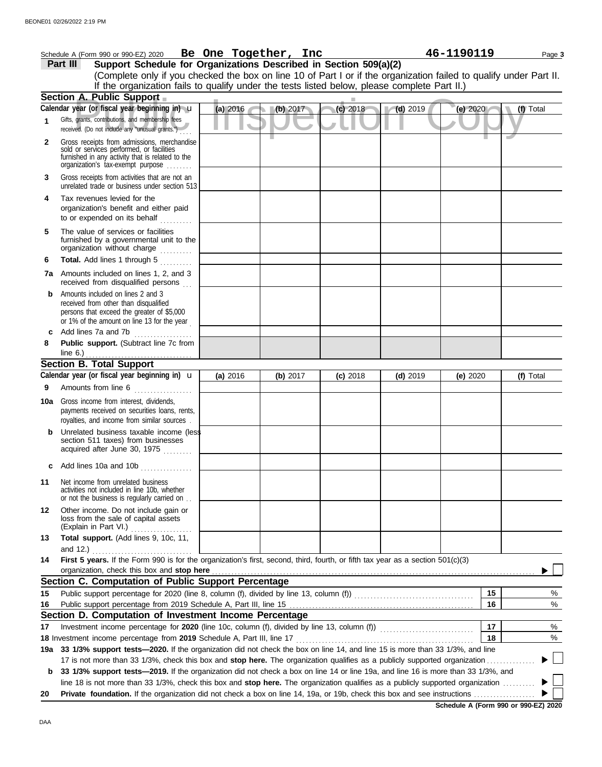|     | Schedule A (Form 990 or 990-EZ) 2020 Be One Together, Inc                                                                                                                                                                                                        |          |          |  |            |            | 46-1190119 |    |           | Page 3 |
|-----|------------------------------------------------------------------------------------------------------------------------------------------------------------------------------------------------------------------------------------------------------------------|----------|----------|--|------------|------------|------------|----|-----------|--------|
|     | Support Schedule for Organizations Described in Section 509(a)(2)<br>Part III                                                                                                                                                                                    |          |          |  |            |            |            |    |           |        |
|     | (Complete only if you checked the box on line 10 of Part I or if the organization failed to qualify under Part II.                                                                                                                                               |          |          |  |            |            |            |    |           |        |
|     | If the organization fails to qualify under the tests listed below, please complete Part II.)                                                                                                                                                                     |          |          |  |            |            |            |    |           |        |
|     | Section A. Public Support                                                                                                                                                                                                                                        |          |          |  |            |            |            |    |           |        |
|     | Calendar year (or fiscal year beginning in) u                                                                                                                                                                                                                    | (a) 2016 | (b) 2017 |  | $(c)$ 2018 | $(d)$ 2019 | (e) 2020   |    | (f) Total |        |
| 1   | Gifts, grants, contributions, and membership fees<br>received. (Do not include any "unusual grants.")                                                                                                                                                            |          |          |  |            |            |            |    |           |        |
| 2   | Gross receipts from admissions, merchandise<br>sold or services performed, or facilities<br>furnished in any activity that is related to the<br>organization's tax-exempt purpose                                                                                |          |          |  |            |            |            |    |           |        |
| 3   | Gross receipts from activities that are not an<br>unrelated trade or business under section 513                                                                                                                                                                  |          |          |  |            |            |            |    |           |        |
| 4   | Tax revenues levied for the<br>organization's benefit and either paid<br>to or expended on its behalf                                                                                                                                                            |          |          |  |            |            |            |    |           |        |
| 5   | The value of services or facilities<br>furnished by a governmental unit to the<br>organization without charge                                                                                                                                                    |          |          |  |            |            |            |    |           |        |
| 6   | Total. Add lines 1 through 5<br>in Saadaad                                                                                                                                                                                                                       |          |          |  |            |            |            |    |           |        |
|     | 7a Amounts included on lines 1, 2, and 3<br>received from disqualified persons                                                                                                                                                                                   |          |          |  |            |            |            |    |           |        |
| b   | Amounts included on lines 2 and 3<br>received from other than disqualified<br>persons that exceed the greater of \$5,000<br>or 1% of the amount on line 13 for the year                                                                                          |          |          |  |            |            |            |    |           |        |
| c   | Add lines 7a and 7b                                                                                                                                                                                                                                              |          |          |  |            |            |            |    |           |        |
| 8   | Public support. (Subtract line 7c from                                                                                                                                                                                                                           |          |          |  |            |            |            |    |           |        |
|     | <b>Section B. Total Support</b>                                                                                                                                                                                                                                  |          |          |  |            |            |            |    |           |        |
|     | Calendar year (or fiscal year beginning in) $\mathbf u$                                                                                                                                                                                                          | (a) 2016 | (b) 2017 |  | $(c)$ 2018 | $(d)$ 2019 | (e) 2020   |    | (f) Total |        |
| 9   | Amounts from line 6                                                                                                                                                                                                                                              |          |          |  |            |            |            |    |           |        |
| 10a | Gross income from interest, dividends,<br>payments received on securities loans, rents,<br>royalties, and income from similar sources.                                                                                                                           |          |          |  |            |            |            |    |           |        |
|     | Unrelated business taxable income (less<br>section 511 taxes) from businesses<br>acquired after June 30, 1975                                                                                                                                                    |          |          |  |            |            |            |    |           |        |
|     | c Add lines 10a and 10b                                                                                                                                                                                                                                          |          |          |  |            |            |            |    |           |        |
| 11  | Net income from unrelated business<br>activities not included in line 10b, whether<br>or not the business is regularly carried on                                                                                                                                |          |          |  |            |            |            |    |           |        |
| 12  | Other income. Do not include gain or<br>loss from the sale of capital assets<br>(Explain in Part VI.)<br>.                                                                                                                                                       |          |          |  |            |            |            |    |           |        |
| 13  | Total support. (Add lines 9, 10c, 11,<br>and 12.)                                                                                                                                                                                                                |          |          |  |            |            |            |    |           |        |
| 14  | First 5 years. If the Form 990 is for the organization's first, second, third, fourth, or fifth tax year as a section 501(c)(3)<br>organization, check this box and stop here                                                                                    |          |          |  |            |            |            |    |           |        |
|     | Section C. Computation of Public Support Percentage                                                                                                                                                                                                              |          |          |  |            |            |            |    |           |        |
| 15  |                                                                                                                                                                                                                                                                  |          |          |  |            |            |            | 15 |           | %      |
| 16  |                                                                                                                                                                                                                                                                  |          |          |  |            |            |            | 16 |           | %      |
|     | Section D. Computation of Investment Income Percentage                                                                                                                                                                                                           |          |          |  |            |            |            |    |           |        |
| 17  |                                                                                                                                                                                                                                                                  |          |          |  |            |            |            | 17 |           | %      |
|     | 18 Investment income percentage from 2019 Schedule A, Part III, line 17                                                                                                                                                                                          |          |          |  |            |            |            | 18 |           | %      |
|     | 19a 33 1/3% support tests-2020. If the organization did not check the box on line 14, and line 15 is more than 33 1/3%, and line                                                                                                                                 |          |          |  |            |            |            |    |           |        |
| b   | 17 is not more than 33 1/3%, check this box and stop here. The organization qualifies as a publicly supported organization.<br>33 1/3% support tests—2019. If the organization did not check a box on line 14 or line 19a, and line 16 is more than 33 1/3%, and |          |          |  |            |            |            |    |           |        |
|     | line 18 is not more than 33 1/3%, check this box and stop here. The organization qualifies as a publicly supported organization                                                                                                                                  |          |          |  |            |            |            |    |           |        |
| 20  |                                                                                                                                                                                                                                                                  |          |          |  |            |            |            |    |           |        |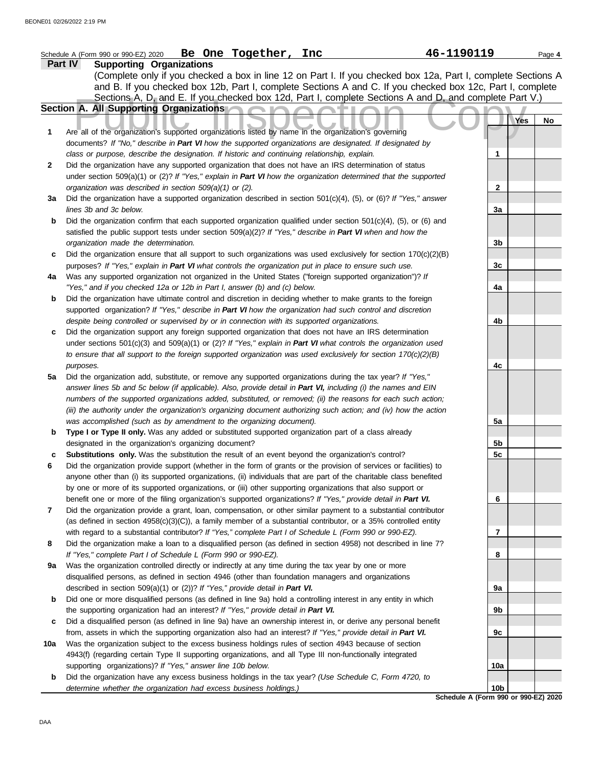|     | Schedule A (Form 990 or 990-EZ) 2020 Be One Together, Inc                                                           | 46-1190119                           | Page 4 |
|-----|---------------------------------------------------------------------------------------------------------------------|--------------------------------------|--------|
|     | <b>Supporting Organizations</b><br>Part IV                                                                          |                                      |        |
|     | (Complete only if you checked a box in line 12 on Part I. If you checked box 12a, Part I, complete Sections A       |                                      |        |
|     | and B. If you checked box 12b, Part I, complete Sections A and C. If you checked box 12c, Part I, complete          |                                      |        |
|     | Sections A, D, and E. If you checked box 12d, Part I, complete Sections A and D, and complete Part V.)              |                                      |        |
|     | Section A. All Supporting Organizations                                                                             |                                      |        |
|     |                                                                                                                     | Yes                                  | No     |
| 1   | Are all of the organization's supported organizations listed by name in the organization's governing                |                                      |        |
|     | documents? If "No," describe in Part VI how the supported organizations are designated. If designated by            |                                      |        |
|     | class or purpose, describe the designation. If historic and continuing relationship, explain.                       | 1                                    |        |
| 2   | Did the organization have any supported organization that does not have an IRS determination of status              |                                      |        |
|     | under section 509(a)(1) or (2)? If "Yes," explain in Part VI how the organization determined that the supported     |                                      |        |
|     | organization was described in section 509(a)(1) or (2).                                                             | $\mathbf{2}$                         |        |
| 3a  | Did the organization have a supported organization described in section $501(c)(4)$ , (5), or (6)? If "Yes," answer |                                      |        |
|     | lines 3b and 3c below.                                                                                              | 3a                                   |        |
| b   | Did the organization confirm that each supported organization qualified under section $501(c)(4)$ , (5), or (6) and |                                      |        |
|     | satisfied the public support tests under section 509(a)(2)? If "Yes," describe in Part VI when and how the          |                                      |        |
|     | organization made the determination.                                                                                | 3b                                   |        |
| c   | Did the organization ensure that all support to such organizations was used exclusively for section $170(c)(2)(B)$  |                                      |        |
|     | purposes? If "Yes," explain in Part VI what controls the organization put in place to ensure such use.              | 3c                                   |        |
| 4a  | Was any supported organization not organized in the United States ("foreign supported organization")? If            |                                      |        |
|     | "Yes," and if you checked 12a or 12b in Part I, answer (b) and (c) below.                                           | 4a                                   |        |
| b   | Did the organization have ultimate control and discretion in deciding whether to make grants to the foreign         |                                      |        |
|     | supported organization? If "Yes," describe in Part VI how the organization had such control and discretion          |                                      |        |
|     | despite being controlled or supervised by or in connection with its supported organizations.                        | 4b                                   |        |
| c   | Did the organization support any foreign supported organization that does not have an IRS determination             |                                      |        |
|     | under sections $501(c)(3)$ and $509(a)(1)$ or (2)? If "Yes," explain in Part VI what controls the organization used |                                      |        |
|     | to ensure that all support to the foreign supported organization was used exclusively for section $170(c)(2)(B)$    |                                      |        |
|     | purposes.                                                                                                           | 4с                                   |        |
| 5a  | Did the organization add, substitute, or remove any supported organizations during the tax year? If "Yes,"          |                                      |        |
|     | answer lines 5b and 5c below (if applicable). Also, provide detail in Part VI, including (i) the names and EIN      |                                      |        |
|     | numbers of the supported organizations added, substituted, or removed; (ii) the reasons for each such action;       |                                      |        |
|     | (iii) the authority under the organization's organizing document authorizing such action; and (iv) how the action   |                                      |        |
|     | was accomplished (such as by amendment to the organizing document).                                                 | 5a                                   |        |
| b   | Type I or Type II only. Was any added or substituted supported organization part of a class already                 |                                      |        |
|     | designated in the organization's organizing document?                                                               | 5b                                   |        |
|     | Substitutions only. Was the substitution the result of an event beyond the organization's control?                  | 5c                                   |        |
|     | Did the organization provide support (whether in the form of grants or the provision of services or facilities) to  |                                      |        |
|     | anyone other than (i) its supported organizations, (ii) individuals that are part of the charitable class benefited |                                      |        |
|     | by one or more of its supported organizations, or (iii) other supporting organizations that also support or         |                                      |        |
|     | benefit one or more of the filing organization's supported organizations? If "Yes," provide detail in Part VI.      | 6                                    |        |
| 7   | Did the organization provide a grant, loan, compensation, or other similar payment to a substantial contributor     |                                      |        |
|     | (as defined in section $4958(c)(3)(C)$ ), a family member of a substantial contributor, or a 35% controlled entity  |                                      |        |
|     | with regard to a substantial contributor? If "Yes," complete Part I of Schedule L (Form 990 or 990-EZ).             | 7                                    |        |
| 8   | Did the organization make a loan to a disqualified person (as defined in section 4958) not described in line 7?     |                                      |        |
|     | If "Yes," complete Part I of Schedule L (Form 990 or 990-EZ).                                                       | 8                                    |        |
| 9a  | Was the organization controlled directly or indirectly at any time during the tax year by one or more               |                                      |        |
|     | disqualified persons, as defined in section 4946 (other than foundation managers and organizations                  |                                      |        |
|     | described in section 509(a)(1) or (2))? If "Yes," provide detail in Part VI.                                        | 9а                                   |        |
| b   | Did one or more disqualified persons (as defined in line 9a) hold a controlling interest in any entity in which     |                                      |        |
|     | the supporting organization had an interest? If "Yes," provide detail in Part VI.                                   | 9b                                   |        |
| c   | Did a disqualified person (as defined in line 9a) have an ownership interest in, or derive any personal benefit     |                                      |        |
|     | from, assets in which the supporting organization also had an interest? If "Yes," provide detail in Part VI.        | 9c                                   |        |
| 10a | Was the organization subject to the excess business holdings rules of section 4943 because of section               |                                      |        |
|     | 4943(f) (regarding certain Type II supporting organizations, and all Type III non-functionally integrated           |                                      |        |
|     | supporting organizations)? If "Yes," answer line 10b below.                                                         | 10a                                  |        |
| b   | Did the organization have any excess business holdings in the tax year? (Use Schedule C, Form 4720, to              |                                      |        |
|     | determine whether the organization had excess business holdings.)                                                   | 10b                                  |        |
|     |                                                                                                                     | Schodule A (Form 990 or 990-F7) 2020 |        |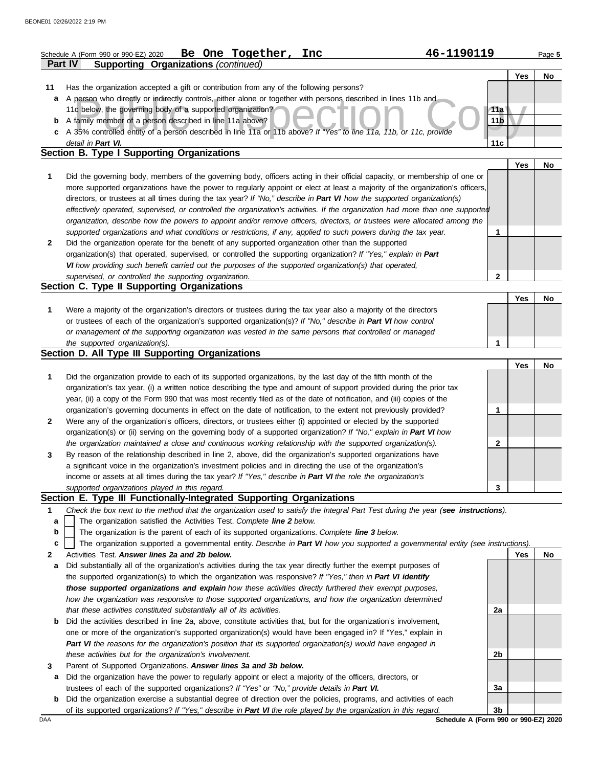|              | Be One Together,<br>Inc<br>Schedule A (Form 990 or 990-EZ) 2020                                                                                                                                                                              | 46-1190119      |     | Page 5 |
|--------------|----------------------------------------------------------------------------------------------------------------------------------------------------------------------------------------------------------------------------------------------|-----------------|-----|--------|
|              | <b>Part IV</b><br><b>Supporting Organizations (continued)</b>                                                                                                                                                                                |                 |     |        |
| 11           | Has the organization accepted a gift or contribution from any of the following persons?                                                                                                                                                      |                 | Yes | No     |
| a            | A person who directly or indirectly controls, either alone or together with persons described in lines 11b and                                                                                                                               |                 |     |        |
|              | 11c below, the governing body of a supported organization?                                                                                                                                                                                   | 11a             |     |        |
|              | <b>b</b> A family member of a person described in line 11a above?                                                                                                                                                                            | 11 <sub>b</sub> |     |        |
|              | c A 35% controlled entity of a person described in line 11a or 11b above? If "Yes" to line 11a, 11b, or 11c, provide                                                                                                                         |                 |     |        |
|              | detail in Part VI.                                                                                                                                                                                                                           | 11c             |     |        |
|              | <b>Section B. Type I Supporting Organizations</b>                                                                                                                                                                                            |                 |     |        |
|              |                                                                                                                                                                                                                                              |                 | Yes | No     |
| 1            | Did the governing body, members of the governing body, officers acting in their official capacity, or membership of one or                                                                                                                   |                 |     |        |
|              | more supported organizations have the power to regularly appoint or elect at least a majority of the organization's officers,                                                                                                                |                 |     |        |
|              | directors, or trustees at all times during the tax year? If "No," describe in Part VI how the supported organization(s)                                                                                                                      |                 |     |        |
|              | effectively operated, supervised, or controlled the organization's activities. If the organization had more than one supported                                                                                                               |                 |     |        |
|              | organization, describe how the powers to appoint and/or remove officers, directors, or trustees were allocated among the<br>supported organizations and what conditions or restrictions, if any, applied to such powers during the tax year. |                 |     |        |
| $\mathbf{2}$ | Did the organization operate for the benefit of any supported organization other than the supported                                                                                                                                          | 1               |     |        |
|              | organization(s) that operated, supervised, or controlled the supporting organization? If "Yes," explain in Part                                                                                                                              |                 |     |        |
|              | VI how providing such benefit carried out the purposes of the supported organization(s) that operated,                                                                                                                                       |                 |     |        |
|              | supervised, or controlled the supporting organization.                                                                                                                                                                                       | 2               |     |        |
|              | Section C. Type II Supporting Organizations                                                                                                                                                                                                  |                 |     |        |
|              |                                                                                                                                                                                                                                              |                 | Yes | No     |
| 1            | Were a majority of the organization's directors or trustees during the tax year also a majority of the directors                                                                                                                             |                 |     |        |
|              | or trustees of each of the organization's supported organization(s)? If "No," describe in Part VI how control                                                                                                                                |                 |     |        |
|              | or management of the supporting organization was vested in the same persons that controlled or managed                                                                                                                                       |                 |     |        |
|              | the supported organization(s).                                                                                                                                                                                                               | 1               |     |        |
|              | Section D. All Type III Supporting Organizations                                                                                                                                                                                             |                 |     |        |
|              |                                                                                                                                                                                                                                              |                 | Yes | No     |
| 1            | Did the organization provide to each of its supported organizations, by the last day of the fifth month of the                                                                                                                               |                 |     |        |
|              | organization's tax year, (i) a written notice describing the type and amount of support provided during the prior tax                                                                                                                        |                 |     |        |
|              | year, (ii) a copy of the Form 990 that was most recently filed as of the date of notification, and (iii) copies of the                                                                                                                       |                 |     |        |
|              | organization's governing documents in effect on the date of notification, to the extent not previously provided?                                                                                                                             | 1               |     |        |
| 2            | Were any of the organization's officers, directors, or trustees either (i) appointed or elected by the supported<br>organization(s) or (ii) serving on the governing body of a supported organization? If "No," explain in Part VI how       |                 |     |        |
|              | the organization maintained a close and continuous working relationship with the supported organization(s).                                                                                                                                  | 2               |     |        |
|              | By reason of the relationship described in line 2, above, did the organization's supported organizations have                                                                                                                                |                 |     |        |
|              | a significant voice in the organization's investment policies and in directing the use of the organization's                                                                                                                                 |                 |     |        |
|              | income or assets at all times during the tax year? If "Yes," describe in Part VI the role the organization's                                                                                                                                 |                 |     |        |
|              | supported organizations played in this regard.                                                                                                                                                                                               | 3               |     |        |
|              | Section E. Type III Functionally-Integrated Supporting Organizations                                                                                                                                                                         |                 |     |        |
| 1            | Check the box next to the method that the organization used to satisfy the Integral Part Test during the year (see instructions).                                                                                                            |                 |     |        |
| a            | The organization satisfied the Activities Test. Complete line 2 below.                                                                                                                                                                       |                 |     |        |
| b            | The organization is the parent of each of its supported organizations. Complete line 3 below.                                                                                                                                                |                 |     |        |
| с            | The organization supported a governmental entity. Describe in Part VI how you supported a governmental entity (see instructions).                                                                                                            |                 |     |        |
| 2            | Activities Test. Answer lines 2a and 2b below.                                                                                                                                                                                               |                 | Yes | No     |
| a            | Did substantially all of the organization's activities during the tax year directly further the exempt purposes of                                                                                                                           |                 |     |        |
|              | the supported organization(s) to which the organization was responsive? If "Yes," then in Part VI identify                                                                                                                                   |                 |     |        |
|              | those supported organizations and explain how these activities directly furthered their exempt purposes,                                                                                                                                     |                 |     |        |
|              | how the organization was responsive to those supported organizations, and how the organization determined                                                                                                                                    |                 |     |        |
|              | that these activities constituted substantially all of its activities.                                                                                                                                                                       | 2a              |     |        |
| b            | Did the activities described in line 2a, above, constitute activities that, but for the organization's involvement,                                                                                                                          |                 |     |        |
|              | one or more of the organization's supported organization(s) would have been engaged in? If "Yes," explain in                                                                                                                                 |                 |     |        |
|              | Part VI the reasons for the organization's position that its supported organization(s) would have engaged in<br>these activities but for the organization's involvement.                                                                     | 2b              |     |        |
| 3            | Parent of Supported Organizations. Answer lines 3a and 3b below.                                                                                                                                                                             |                 |     |        |
| а            | Did the organization have the power to regularly appoint or elect a majority of the officers, directors, or                                                                                                                                  |                 |     |        |
|              | trustees of each of the supported organizations? If "Yes" or "No," provide details in Part VI.                                                                                                                                               | 3a              |     |        |

**b** Did the organization exercise a substantial degree of direction over the policies, programs, and activities of each of its supported organizations? *If "Yes," describe in Part VI the role played by the organization in this regard.* **3b**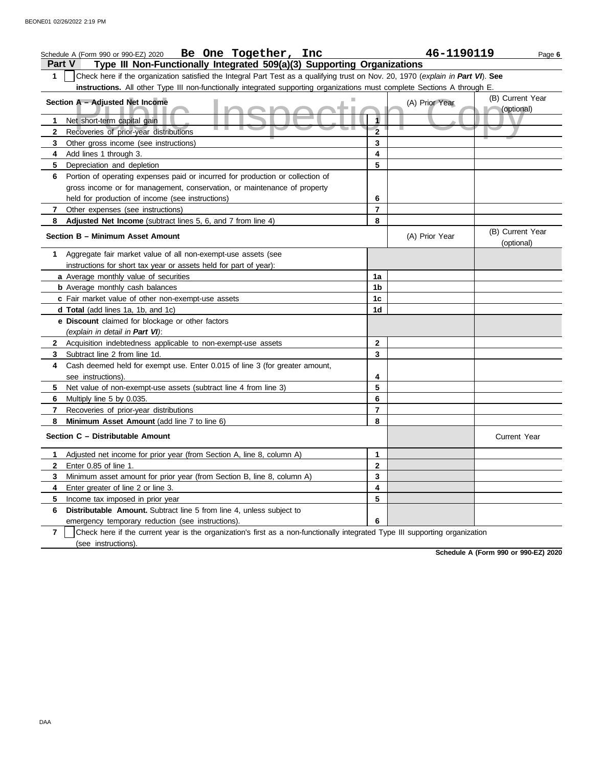|                   | Schedule A (Form 990 or 990-EZ) 2020 Be One Together, Inc                                                                        |                | 46-1190119     | Page 6                         |  |
|-------------------|----------------------------------------------------------------------------------------------------------------------------------|----------------|----------------|--------------------------------|--|
|                   | Type III Non-Functionally Integrated 509(a)(3) Supporting Organizations<br><b>Part V</b>                                         |                |                |                                |  |
| 1                 | Check here if the organization satisfied the Integral Part Test as a qualifying trust on Nov. 20, 1970 (explain in Part VI). See |                |                |                                |  |
|                   | instructions. All other Type III non-functionally integrated supporting organizations must complete Sections A through E.        |                |                |                                |  |
|                   | Section A - Adjusted Net Income                                                                                                  |                | (A) Prior Year | (B) Current Year<br>(optional) |  |
| 1.                | Net short-term capital gain                                                                                                      |                |                |                                |  |
| $\mathbf{2}$      | Recoveries of prior-year distributions                                                                                           | $\overline{2}$ |                |                                |  |
| 3                 | Other gross income (see instructions)                                                                                            | 3              |                |                                |  |
| 4                 | Add lines 1 through 3.                                                                                                           | 4              |                |                                |  |
| 5                 | Depreciation and depletion                                                                                                       | 5              |                |                                |  |
| 6                 | Portion of operating expenses paid or incurred for production or collection of                                                   |                |                |                                |  |
|                   | gross income or for management, conservation, or maintenance of property                                                         |                |                |                                |  |
|                   | held for production of income (see instructions)                                                                                 | 6              |                |                                |  |
| 7                 | Other expenses (see instructions)                                                                                                | $\overline{7}$ |                |                                |  |
| 8                 | Adjusted Net Income (subtract lines 5, 6, and 7 from line 4)                                                                     | 8              |                |                                |  |
|                   | Section B - Minimum Asset Amount                                                                                                 |                | (A) Prior Year | (B) Current Year<br>(optional) |  |
| 1                 | Aggregate fair market value of all non-exempt-use assets (see                                                                    |                |                |                                |  |
|                   | instructions for short tax year or assets held for part of year):                                                                |                |                |                                |  |
|                   | a Average monthly value of securities                                                                                            | 1a             |                |                                |  |
|                   | <b>b</b> Average monthly cash balances                                                                                           | 1b             |                |                                |  |
|                   | c Fair market value of other non-exempt-use assets                                                                               | 1c             |                |                                |  |
|                   | d Total (add lines 1a, 1b, and 1c)                                                                                               | 1d             |                |                                |  |
|                   | e Discount claimed for blockage or other factors                                                                                 |                |                |                                |  |
|                   | (explain in detail in Part VI):                                                                                                  | $\mathbf{2}$   |                |                                |  |
| $\mathbf{2}$<br>3 | Acquisition indebtedness applicable to non-exempt-use assets<br>Subtract line 2 from line 1d.                                    | 3              |                |                                |  |
| 4                 | Cash deemed held for exempt use. Enter 0.015 of line 3 (for greater amount,                                                      |                |                |                                |  |
|                   | see instructions).                                                                                                               | 4              |                |                                |  |
| 5                 | Net value of non-exempt-use assets (subtract line 4 from line 3)                                                                 | 5              |                |                                |  |
| 6                 | Multiply line 5 by 0.035.                                                                                                        | 6              |                |                                |  |
| 7                 | Recoveries of prior-year distributions                                                                                           | $\overline{7}$ |                |                                |  |
| 8                 | Minimum Asset Amount (add line 7 to line 6)                                                                                      | 8              |                |                                |  |
|                   | Section C - Distributable Amount                                                                                                 |                |                | <b>Current Year</b>            |  |
| 1                 | Adjusted net income for prior year (from Section A, line 8, column A)                                                            | 1              |                |                                |  |
|                   | Enter 0.85 of line 1.                                                                                                            | 2              |                |                                |  |
| 3                 | Minimum asset amount for prior year (from Section B, line 8, column A)                                                           | 3              |                |                                |  |
| 4                 | Enter greater of line 2 or line 3.                                                                                               | 4              |                |                                |  |
| 5                 | Income tax imposed in prior year                                                                                                 | 5              |                |                                |  |
| 6                 | Distributable Amount. Subtract line 5 from line 4, unless subject to                                                             |                |                |                                |  |
|                   | emergency temporary reduction (see instructions).                                                                                | 6              |                |                                |  |
| $\overline{7}$    | Check here if the current year is the organization's first as a non-functionally integrated Type III supporting organization     |                |                |                                |  |
|                   | (see instructions).                                                                                                              |                |                |                                |  |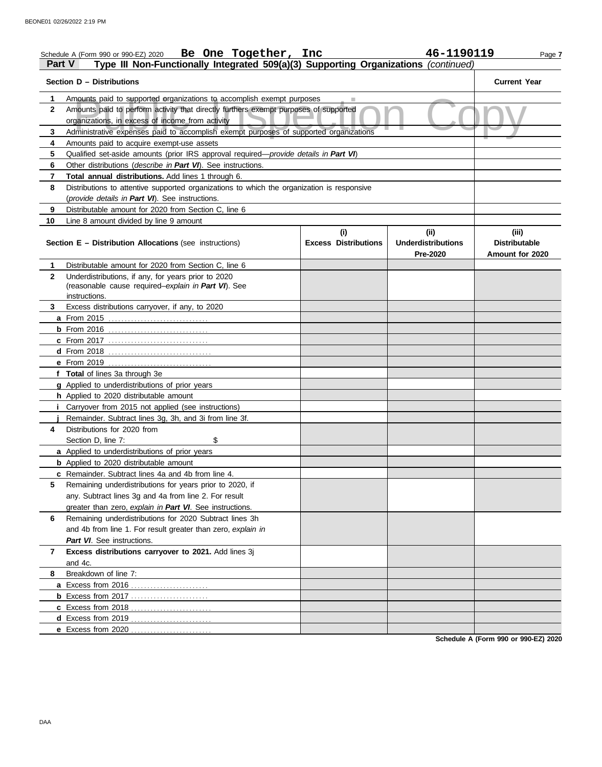|              | Be One Together, Inc<br>Schedule A (Form 990 or 990-EZ) 2020                                                                             |                             | 46-1190119                                   | Page 7                                  |
|--------------|------------------------------------------------------------------------------------------------------------------------------------------|-----------------------------|----------------------------------------------|-----------------------------------------|
| Part V       | Type III Non-Functionally Integrated 509(a)(3) Supporting Organizations (continued)                                                      |                             |                                              |                                         |
|              | Section D – Distributions                                                                                                                |                             |                                              | <b>Current Year</b>                     |
| 1            | Amounts paid to supported organizations to accomplish exempt purposes                                                                    |                             |                                              |                                         |
| 2            | Amounts paid to perform activity that directly furthers exempt purposes of supported<br>organizations, in excess of income from activity |                             |                                              |                                         |
| 3            | Administrative expenses paid to accomplish exempt purposes of supported organizations                                                    |                             |                                              |                                         |
| 4            | Amounts paid to acquire exempt-use assets                                                                                                |                             |                                              |                                         |
| 5            | Qualified set-aside amounts (prior IRS approval required— <i>provide details in Part VI</i> )                                            |                             |                                              |                                         |
| 6            | Other distributions ( <i>describe in Part VI</i> ). See instructions.                                                                    |                             |                                              |                                         |
| 7            | Total annual distributions. Add lines 1 through 6.                                                                                       |                             |                                              |                                         |
| 8            | Distributions to attentive supported organizations to which the organization is responsive                                               |                             |                                              |                                         |
|              | (provide details in Part VI). See instructions.                                                                                          |                             |                                              |                                         |
| 9            | Distributable amount for 2020 from Section C, line 6                                                                                     |                             |                                              |                                         |
| 10           | Line 8 amount divided by line 9 amount                                                                                                   |                             |                                              |                                         |
|              |                                                                                                                                          | (i)                         | (ii)                                         | (iii)                                   |
|              | <b>Section E – Distribution Allocations (see instructions)</b>                                                                           | <b>Excess Distributions</b> | <b>Underdistributions</b><br><b>Pre-2020</b> | <b>Distributable</b><br>Amount for 2020 |
| 1.           | Distributable amount for 2020 from Section C, line 6                                                                                     |                             |                                              |                                         |
| $\mathbf{2}$ | Underdistributions, if any, for years prior to 2020<br>(reasonable cause required-explain in Part VI). See                               |                             |                                              |                                         |
|              | instructions.                                                                                                                            |                             |                                              |                                         |
| 3            | Excess distributions carryover, if any, to 2020                                                                                          |                             |                                              |                                         |
|              |                                                                                                                                          |                             |                                              |                                         |
|              | <b>b</b> From 2016                                                                                                                       |                             |                                              |                                         |
|              | c From 2017                                                                                                                              |                             |                                              |                                         |
|              |                                                                                                                                          |                             |                                              |                                         |
|              |                                                                                                                                          |                             |                                              |                                         |
|              | f Total of lines 3a through 3e                                                                                                           |                             |                                              |                                         |
|              | g Applied to underdistributions of prior years                                                                                           |                             |                                              |                                         |
|              | h Applied to 2020 distributable amount                                                                                                   |                             |                                              |                                         |
|              | Carryover from 2015 not applied (see instructions)                                                                                       |                             |                                              |                                         |
|              | Remainder. Subtract lines 3g, 3h, and 3i from line 3f.                                                                                   |                             |                                              |                                         |
| 4            | Distributions for 2020 from                                                                                                              |                             |                                              |                                         |
|              | Section D, line 7:<br>\$                                                                                                                 |                             |                                              |                                         |
|              | a Applied to underdistributions of prior years                                                                                           |                             |                                              |                                         |
|              | <b>b</b> Applied to 2020 distributable amount                                                                                            |                             |                                              |                                         |
|              | c Remainder. Subtract lines 4a and 4b from line 4.                                                                                       |                             |                                              |                                         |
| 5            | Remaining underdistributions for years prior to 2020, if                                                                                 |                             |                                              |                                         |
|              | any. Subtract lines 3g and 4a from line 2. For result                                                                                    |                             |                                              |                                         |
|              | greater than zero, explain in Part VI. See instructions.                                                                                 |                             |                                              |                                         |
| 6            | Remaining underdistributions for 2020 Subtract lines 3h                                                                                  |                             |                                              |                                         |
|              | and 4b from line 1. For result greater than zero, explain in                                                                             |                             |                                              |                                         |
|              | Part VI. See instructions.                                                                                                               |                             |                                              |                                         |
| 7            | Excess distributions carryover to 2021. Add lines 3j                                                                                     |                             |                                              |                                         |
|              | and 4c.                                                                                                                                  |                             |                                              |                                         |
| 8            | Breakdown of line 7:                                                                                                                     |                             |                                              |                                         |
|              |                                                                                                                                          |                             |                                              |                                         |
|              |                                                                                                                                          |                             |                                              |                                         |
|              |                                                                                                                                          |                             |                                              |                                         |
|              |                                                                                                                                          |                             |                                              |                                         |
|              |                                                                                                                                          |                             |                                              |                                         |
|              |                                                                                                                                          |                             |                                              |                                         |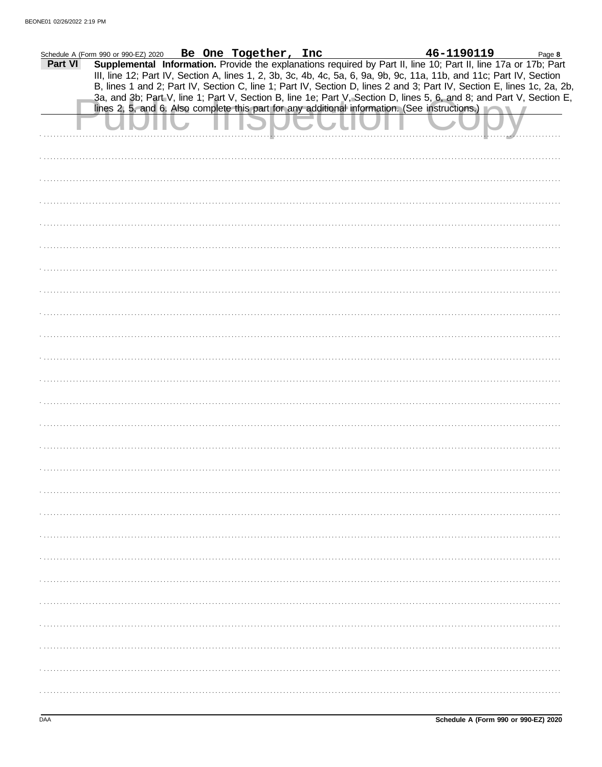| Schedule A (Form 990 or 990-EZ) 2020 |  |  | Be One Together, Inc                                                                                                 |  |  |  | 46-1190119 | Page 8                                                                                                                 |
|--------------------------------------|--|--|----------------------------------------------------------------------------------------------------------------------|--|--|--|------------|------------------------------------------------------------------------------------------------------------------------|
| Part VI                              |  |  | III, line 12; Part IV, Section A, lines 1, 2, 3b, 3c, 4b, 4c, 5a, 6, 9a, 9b, 9c, 11a, 11b, and 11c; Part IV, Section |  |  |  |            | Supplemental Information. Provide the explanations required by Part II, line 10; Part II, line 17a or 17b; Part        |
|                                      |  |  |                                                                                                                      |  |  |  |            | B, lines 1 and 2; Part IV, Section C, line 1; Part IV, Section D, lines 2 and 3; Part IV, Section E, lines 1c, 2a, 2b, |
|                                      |  |  | lines 2, 5, and 6. Also complete this part for any additional information. (See instructions.)                       |  |  |  |            | 3a, and 3b; Part V, line 1; Part V, Section B, line 1e; Part V, Section D, lines 5, 6, and 8; and Part V, Section E,   |
|                                      |  |  |                                                                                                                      |  |  |  |            |                                                                                                                        |
|                                      |  |  |                                                                                                                      |  |  |  |            |                                                                                                                        |
|                                      |  |  |                                                                                                                      |  |  |  |            |                                                                                                                        |
|                                      |  |  |                                                                                                                      |  |  |  |            |                                                                                                                        |
|                                      |  |  |                                                                                                                      |  |  |  |            |                                                                                                                        |
|                                      |  |  |                                                                                                                      |  |  |  |            |                                                                                                                        |
|                                      |  |  |                                                                                                                      |  |  |  |            |                                                                                                                        |
|                                      |  |  |                                                                                                                      |  |  |  |            |                                                                                                                        |
|                                      |  |  |                                                                                                                      |  |  |  |            |                                                                                                                        |
|                                      |  |  |                                                                                                                      |  |  |  |            |                                                                                                                        |
|                                      |  |  |                                                                                                                      |  |  |  |            |                                                                                                                        |
|                                      |  |  |                                                                                                                      |  |  |  |            |                                                                                                                        |
|                                      |  |  |                                                                                                                      |  |  |  |            |                                                                                                                        |
|                                      |  |  |                                                                                                                      |  |  |  |            |                                                                                                                        |
|                                      |  |  |                                                                                                                      |  |  |  |            |                                                                                                                        |
|                                      |  |  |                                                                                                                      |  |  |  |            |                                                                                                                        |
|                                      |  |  |                                                                                                                      |  |  |  |            |                                                                                                                        |
|                                      |  |  |                                                                                                                      |  |  |  |            |                                                                                                                        |
|                                      |  |  |                                                                                                                      |  |  |  |            |                                                                                                                        |
|                                      |  |  |                                                                                                                      |  |  |  |            |                                                                                                                        |
|                                      |  |  |                                                                                                                      |  |  |  |            |                                                                                                                        |
|                                      |  |  |                                                                                                                      |  |  |  |            |                                                                                                                        |
|                                      |  |  |                                                                                                                      |  |  |  |            |                                                                                                                        |
|                                      |  |  |                                                                                                                      |  |  |  |            |                                                                                                                        |
|                                      |  |  |                                                                                                                      |  |  |  |            |                                                                                                                        |
|                                      |  |  |                                                                                                                      |  |  |  |            |                                                                                                                        |
|                                      |  |  |                                                                                                                      |  |  |  |            |                                                                                                                        |
|                                      |  |  |                                                                                                                      |  |  |  |            |                                                                                                                        |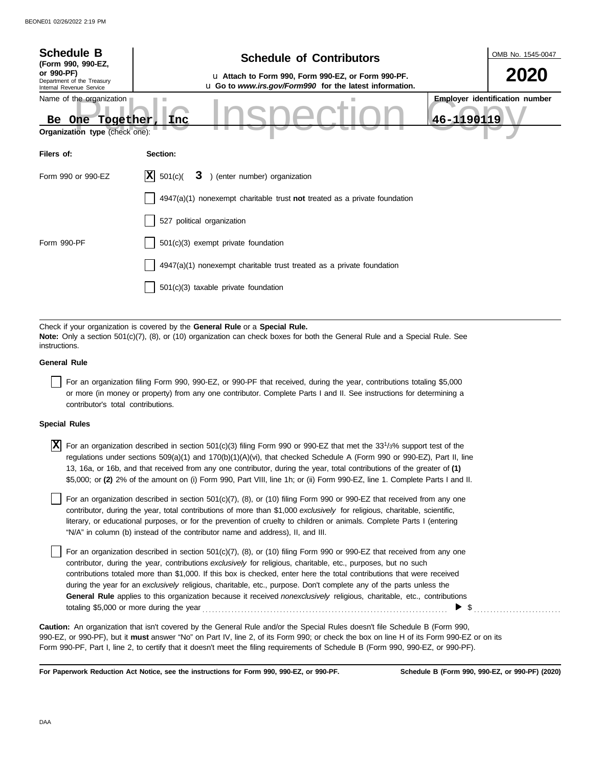| <b>Schedule B</b><br>(Form 990, 990-EZ,                                          | <b>Schedule of Contributors</b>                                                                                                                                                                             | OMB No. 1545-0047                     |  |  |
|----------------------------------------------------------------------------------|-------------------------------------------------------------------------------------------------------------------------------------------------------------------------------------------------------------|---------------------------------------|--|--|
| or 990-PF)<br>Department of the Treasury<br>Internal Revenue Service             | u Attach to Form 990, Form 990-EZ, or Form 990-PF.<br>u Go to www.irs.gov/Form990 for the latest information.                                                                                               |                                       |  |  |
| Name of the organization<br>Together<br>Be One<br>Organization type (check one): | 46-1190119<br><b>Inc</b>                                                                                                                                                                                    | <b>Employer identification number</b> |  |  |
| Filers of:                                                                       | Section:                                                                                                                                                                                                    |                                       |  |  |
| Form 990 or 990-EZ                                                               | X <br>501(c)<br>) (enter number) organization<br>3                                                                                                                                                          |                                       |  |  |
|                                                                                  | $4947(a)(1)$ nonexempt charitable trust not treated as a private foundation                                                                                                                                 |                                       |  |  |
|                                                                                  | 527 political organization                                                                                                                                                                                  |                                       |  |  |
| Form 990-PF                                                                      | 501(c)(3) exempt private foundation                                                                                                                                                                         |                                       |  |  |
|                                                                                  | $4947(a)(1)$ nonexempt charitable trust treated as a private foundation                                                                                                                                     |                                       |  |  |
|                                                                                  | $501(c)(3)$ taxable private foundation                                                                                                                                                                      |                                       |  |  |
|                                                                                  |                                                                                                                                                                                                             |                                       |  |  |
| instructions.                                                                    | Check if your organization is covered by the General Rule or a Special Rule.<br>Note: Only a section 501(c)(7), (8), or (10) organization can check boxes for both the General Rule and a Special Rule. See |                                       |  |  |
| <b>General Rule</b>                                                              |                                                                                                                                                                                                             |                                       |  |  |
|                                                                                  | For an organization filing Form 990, 990-EZ, or 990-PF that received, during the year, contributions totaling \$5,000                                                                                       |                                       |  |  |

or more (in money or property) from any one contributor. Complete Parts I and II. See instructions for determining a contributor's total contributions.

## **Special Rules**

 $\overline{X}$  For an organization described in section 501(c)(3) filing Form 990 or 990-EZ that met the 33<sup>1</sup>/3% support test of the regulations under sections 509(a)(1) and 170(b)(1)(A)(vi), that checked Schedule A (Form 990 or 990-EZ), Part II, line 13, 16a, or 16b, and that received from any one contributor, during the year, total contributions of the greater of **(1)** \$5,000; or **(2)** 2% of the amount on (i) Form 990, Part VIII, line 1h; or (ii) Form 990-EZ, line 1. Complete Parts I and II.

literary, or educational purposes, or for the prevention of cruelty to children or animals. Complete Parts I (entering For an organization described in section 501(c)(7), (8), or (10) filing Form 990 or 990-EZ that received from any one contributor, during the year, total contributions of more than \$1,000 *exclusively* for religious, charitable, scientific, "N/A" in column (b) instead of the contributor name and address), II, and III.

For an organization described in section 501(c)(7), (8), or (10) filing Form 990 or 990-EZ that received from any one contributor, during the year, contributions *exclusively* for religious, charitable, etc., purposes, but no such contributions totaled more than \$1,000. If this box is checked, enter here the total contributions that were received during the year for an *exclusively* religious, charitable, etc., purpose. Don't complete any of the parts unless the **General Rule** applies to this organization because it received *nonexclusively* religious, charitable, etc., contributions totaling \$5,000 or more during the year . . . . . . . . . . . . . . . . . . . . . . . . . . . . . . . . . . . . . . . . . . . . . . . . . . . . . . . . . . . . . . . . . . . . . . . . . . . .  $\blacktriangleright$  \$

990-EZ, or 990-PF), but it **must** answer "No" on Part IV, line 2, of its Form 990; or check the box on line H of its Form 990-EZ or on its Form 990-PF, Part I, line 2, to certify that it doesn't meet the filing requirements of Schedule B (Form 990, 990-EZ, or 990-PF). **Caution:** An organization that isn't covered by the General Rule and/or the Special Rules doesn't file Schedule B (Form 990,

**For Paperwork Reduction Act Notice, see the instructions for Form 990, 990-EZ, or 990-PF.**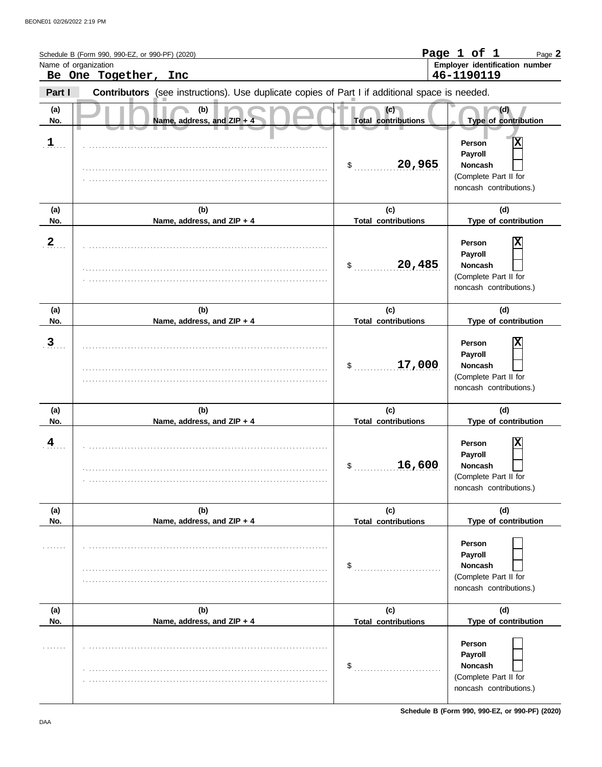|                      | Schedule B (Form 990, 990-EZ, or 990-PF) (2020)                                                |                                   | Page 1 of 1<br>Page 2                                                                        |
|----------------------|------------------------------------------------------------------------------------------------|-----------------------------------|----------------------------------------------------------------------------------------------|
| Name of organization | Be One Together, Inc                                                                           |                                   | Employer identification number<br>46-1190119                                                 |
| Part I               | Contributors (see instructions). Use duplicate copies of Part I if additional space is needed. |                                   |                                                                                              |
| (a)<br>No.           | (b)<br>Name, address, and ZIP + 4                                                              | (c)<br><b>Total contributions</b> | (d)<br>Type of contribution                                                                  |
| 1                    |                                                                                                | 20,965<br>\$                      | X<br>Person<br>Payroll<br><b>Noncash</b><br>(Complete Part II for<br>noncash contributions.) |
| (a)<br>No.           | (b)<br>Name, address, and ZIP + 4                                                              | (c)<br><b>Total contributions</b> | (d)<br>Type of contribution                                                                  |
| $\mathbf 2$          |                                                                                                | 20,485<br>\$                      | X<br>Person<br>Payroll<br><b>Noncash</b><br>(Complete Part II for<br>noncash contributions.) |
| (a)<br>No.           | (b)<br>Name, address, and ZIP + 4                                                              | (c)<br><b>Total contributions</b> | (d)<br>Type of contribution                                                                  |
| 3                    |                                                                                                | 17,000<br>\$                      | Х<br>Person<br>Payroll<br><b>Noncash</b><br>(Complete Part II for<br>noncash contributions.) |
| (a)<br>No.           | (b)<br>Name, address, and ZIP + 4                                                              | (c)<br><b>Total contributions</b> | (d)<br>Type of contribution                                                                  |
| 4                    |                                                                                                | 16,600<br>\$                      | X<br>Person<br>Payroll<br>Noncash<br>(Complete Part II for<br>noncash contributions.)        |
| (a)<br>No.           | (b)<br>Name, address, and ZIP + 4                                                              | (c)<br><b>Total contributions</b> | (d)<br>Type of contribution                                                                  |
|                      |                                                                                                | \$                                | Person<br>Payroll<br><b>Noncash</b><br>(Complete Part II for<br>noncash contributions.)      |
| (a)<br>No.           | (b)<br>Name, address, and ZIP + 4                                                              | (c)<br><b>Total contributions</b> | (d)<br>Type of contribution                                                                  |
|                      |                                                                                                | \$                                | Person<br>Payroll<br>Noncash<br>(Complete Part II for<br>noncash contributions.)             |

**Schedule B (Form 990, 990-EZ, or 990-PF) (2020)**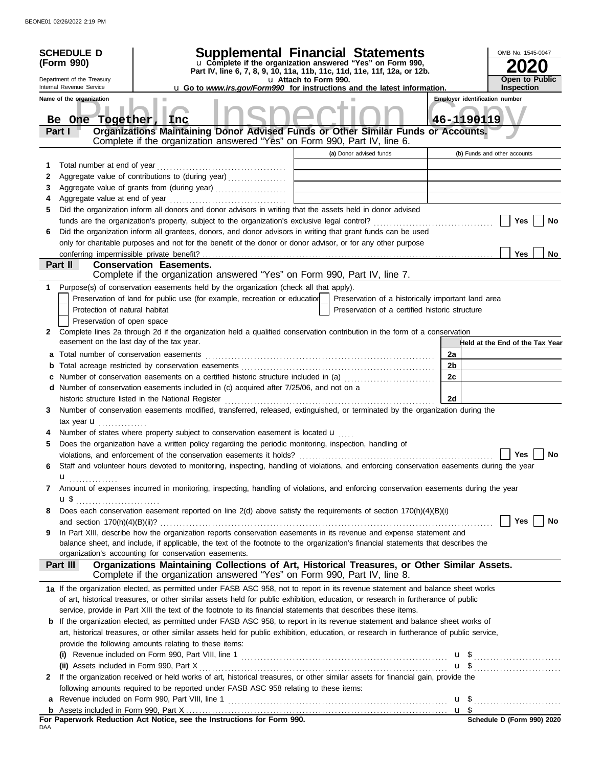|                                                                                                                                                                                                                              | <b>SCHEDULE D</b><br>(Form 990)<br>Department of the Treasury<br>Internal Revenue Service<br>Name of the organization | <b>Supplemental Financial Statements</b><br>u Complete if the organization answered "Yes" on Form 990,<br>Part IV, line 6, 7, 8, 9, 10, 11a, 11b, 11c, 11d, 11e, 11f, 12a, or 12b.<br>u Attach to Form 990.<br><b>u</b> Go to <i>www.irs.gov/Form990</i> for instructions and the latest information. |    | OMB No. 1545-0047<br><b>Open to Public</b><br><b>Inspection</b>                     |
|------------------------------------------------------------------------------------------------------------------------------------------------------------------------------------------------------------------------------|-----------------------------------------------------------------------------------------------------------------------|-------------------------------------------------------------------------------------------------------------------------------------------------------------------------------------------------------------------------------------------------------------------------------------------------------|----|-------------------------------------------------------------------------------------|
| Be One Together, Inc.<br>Organizations Maintaining Donor Advised Funds or Other Similar Funds or Accounts.<br>Part I<br>Complete if the organization answered "Yes" on Form 990, Part IV, line 6.<br>(a) Donor advised funds |                                                                                                                       |                                                                                                                                                                                                                                                                                                       |    | <b>Employer identification number</b><br>46-1190119<br>(b) Funds and other accounts |
|                                                                                                                                                                                                                              |                                                                                                                       |                                                                                                                                                                                                                                                                                                       |    |                                                                                     |
| 1<br>2                                                                                                                                                                                                                       | Total number at end of year                                                                                           | Aggregate value of contributions to (during year)                                                                                                                                                                                                                                                     |    |                                                                                     |
| 3                                                                                                                                                                                                                            |                                                                                                                       |                                                                                                                                                                                                                                                                                                       |    |                                                                                     |
| 4                                                                                                                                                                                                                            |                                                                                                                       |                                                                                                                                                                                                                                                                                                       |    |                                                                                     |
| 5                                                                                                                                                                                                                            |                                                                                                                       | Did the organization inform all donors and donor advisors in writing that the assets held in donor advised                                                                                                                                                                                            |    |                                                                                     |
|                                                                                                                                                                                                                              |                                                                                                                       |                                                                                                                                                                                                                                                                                                       |    | Yes<br>No                                                                           |
| 6                                                                                                                                                                                                                            |                                                                                                                       | Did the organization inform all grantees, donors, and donor advisors in writing that grant funds can be used                                                                                                                                                                                          |    |                                                                                     |
|                                                                                                                                                                                                                              |                                                                                                                       | only for charitable purposes and not for the benefit of the donor or donor advisor, or for any other purpose                                                                                                                                                                                          |    |                                                                                     |
|                                                                                                                                                                                                                              |                                                                                                                       |                                                                                                                                                                                                                                                                                                       |    | Yes<br>No                                                                           |
|                                                                                                                                                                                                                              | Part II                                                                                                               | <b>Conservation Easements.</b>                                                                                                                                                                                                                                                                        |    |                                                                                     |
|                                                                                                                                                                                                                              |                                                                                                                       | Complete if the organization answered "Yes" on Form 990, Part IV, line 7.                                                                                                                                                                                                                             |    |                                                                                     |
|                                                                                                                                                                                                                              |                                                                                                                       | 1 Purpose(s) of conservation easements held by the organization (check all that apply).                                                                                                                                                                                                               |    |                                                                                     |
|                                                                                                                                                                                                                              |                                                                                                                       | Preservation of land for public use (for example, recreation or education<br>Preservation of a historically important land area                                                                                                                                                                       |    |                                                                                     |
|                                                                                                                                                                                                                              |                                                                                                                       | Protection of natural habitat<br>Preservation of a certified historic structure                                                                                                                                                                                                                       |    |                                                                                     |
|                                                                                                                                                                                                                              |                                                                                                                       | Preservation of open space                                                                                                                                                                                                                                                                            |    |                                                                                     |
| 2                                                                                                                                                                                                                            |                                                                                                                       | Complete lines 2a through 2d if the organization held a qualified conservation contribution in the form of a conservation                                                                                                                                                                             |    |                                                                                     |
|                                                                                                                                                                                                                              |                                                                                                                       | easement on the last day of the tax year.                                                                                                                                                                                                                                                             |    | Held at the End of the Tax Year                                                     |
| а                                                                                                                                                                                                                            |                                                                                                                       | Total number of conservation easements                                                                                                                                                                                                                                                                | 2a |                                                                                     |
| b                                                                                                                                                                                                                            |                                                                                                                       |                                                                                                                                                                                                                                                                                                       | 2b |                                                                                     |
|                                                                                                                                                                                                                              |                                                                                                                       | Number of conservation easements on a certified historic structure included in (a)                                                                                                                                                                                                                    | 2c |                                                                                     |
|                                                                                                                                                                                                                              |                                                                                                                       | d Number of conservation easements included in (c) acquired after 7/25/06, and not on a                                                                                                                                                                                                               |    |                                                                                     |
|                                                                                                                                                                                                                              |                                                                                                                       |                                                                                                                                                                                                                                                                                                       | 2d |                                                                                     |
| 3                                                                                                                                                                                                                            |                                                                                                                       | Number of conservation easements modified, transferred, released, extinguished, or terminated by the organization during the                                                                                                                                                                          |    |                                                                                     |
|                                                                                                                                                                                                                              | tax year $\mathbf u$                                                                                                  |                                                                                                                                                                                                                                                                                                       |    |                                                                                     |
|                                                                                                                                                                                                                              |                                                                                                                       | Number of states where property subject to conservation easement is located $\mathbf{u}$                                                                                                                                                                                                              |    |                                                                                     |
| 5                                                                                                                                                                                                                            |                                                                                                                       | Does the organization have a written policy regarding the periodic monitoring, inspection, handling of                                                                                                                                                                                                |    |                                                                                     |
|                                                                                                                                                                                                                              |                                                                                                                       | violations, and enforcement of the conservation easements it holds?                                                                                                                                                                                                                                   |    | Yes  <br>No                                                                         |
| 6                                                                                                                                                                                                                            |                                                                                                                       | Staff and volunteer hours devoted to monitoring, inspecting, handling of violations, and enforcing conservation easements during the year                                                                                                                                                             |    |                                                                                     |
|                                                                                                                                                                                                                              | u <sub></sub>                                                                                                         |                                                                                                                                                                                                                                                                                                       |    |                                                                                     |
| 7                                                                                                                                                                                                                            |                                                                                                                       | Amount of expenses incurred in monitoring, inspecting, handling of violations, and enforcing conservation easements during the year                                                                                                                                                                   |    |                                                                                     |
|                                                                                                                                                                                                                              |                                                                                                                       |                                                                                                                                                                                                                                                                                                       |    |                                                                                     |
| 8                                                                                                                                                                                                                            |                                                                                                                       | Does each conservation easement reported on line 2(d) above satisfy the requirements of section 170(h)(4)(B)(i)                                                                                                                                                                                       |    |                                                                                     |
|                                                                                                                                                                                                                              |                                                                                                                       |                                                                                                                                                                                                                                                                                                       |    | Yes  <br>No                                                                         |
| 9                                                                                                                                                                                                                            |                                                                                                                       | In Part XIII, describe how the organization reports conservation easements in its revenue and expense statement and                                                                                                                                                                                   |    |                                                                                     |
|                                                                                                                                                                                                                              |                                                                                                                       | balance sheet, and include, if applicable, the text of the footnote to the organization's financial statements that describes the<br>organization's accounting for conservation easements.                                                                                                            |    |                                                                                     |
|                                                                                                                                                                                                                              | Part III                                                                                                              | Organizations Maintaining Collections of Art, Historical Treasures, or Other Similar Assets.                                                                                                                                                                                                          |    |                                                                                     |
|                                                                                                                                                                                                                              |                                                                                                                       | Complete if the organization answered "Yes" on Form 990, Part IV, line 8.                                                                                                                                                                                                                             |    |                                                                                     |
|                                                                                                                                                                                                                              |                                                                                                                       | 1a If the organization elected, as permitted under FASB ASC 958, not to report in its revenue statement and balance sheet works                                                                                                                                                                       |    |                                                                                     |
|                                                                                                                                                                                                                              |                                                                                                                       | of art, historical treasures, or other similar assets held for public exhibition, education, or research in furtherance of public                                                                                                                                                                     |    |                                                                                     |
|                                                                                                                                                                                                                              |                                                                                                                       | service, provide in Part XIII the text of the footnote to its financial statements that describes these items.                                                                                                                                                                                        |    |                                                                                     |
|                                                                                                                                                                                                                              |                                                                                                                       | <b>b</b> If the organization elected, as permitted under FASB ASC 958, to report in its revenue statement and balance sheet works of                                                                                                                                                                  |    |                                                                                     |
|                                                                                                                                                                                                                              |                                                                                                                       | art, historical treasures, or other similar assets held for public exhibition, education, or research in furtherance of public service,                                                                                                                                                               |    |                                                                                     |
|                                                                                                                                                                                                                              |                                                                                                                       | provide the following amounts relating to these items:                                                                                                                                                                                                                                                |    |                                                                                     |
|                                                                                                                                                                                                                              |                                                                                                                       | (i) Revenue included on Form 990, Part VIII, line 1 $\ldots$ $\ldots$ $\ldots$ $\ldots$ $\ldots$ $\ldots$ $\ldots$ $\ldots$ $\ldots$ $\ldots$                                                                                                                                                         |    |                                                                                     |
|                                                                                                                                                                                                                              |                                                                                                                       |                                                                                                                                                                                                                                                                                                       |    | $u \$                                                                               |
| 2                                                                                                                                                                                                                            |                                                                                                                       | If the organization received or held works of art, historical treasures, or other similar assets for financial gain, provide the                                                                                                                                                                      |    |                                                                                     |
|                                                                                                                                                                                                                              |                                                                                                                       | following amounts required to be reported under FASB ASC 958 relating to these items:                                                                                                                                                                                                                 |    |                                                                                     |
|                                                                                                                                                                                                                              |                                                                                                                       | <b>a</b> Revenue included on Form 990, Part VIII, line 1 $\ldots$ $\ldots$ $\ldots$ $\ldots$ $\ldots$ $\ldots$ $\ldots$ $\ldots$ $\ldots$ $\ldots$                                                                                                                                                    |    |                                                                                     |
|                                                                                                                                                                                                                              |                                                                                                                       |                                                                                                                                                                                                                                                                                                       |    |                                                                                     |
|                                                                                                                                                                                                                              |                                                                                                                       | For Paperwork Reduction Act Notice, see the Instructions for Form 990.                                                                                                                                                                                                                                |    | Schedule D (Form 990) 2020                                                          |
| DAA                                                                                                                                                                                                                          |                                                                                                                       |                                                                                                                                                                                                                                                                                                       |    |                                                                                     |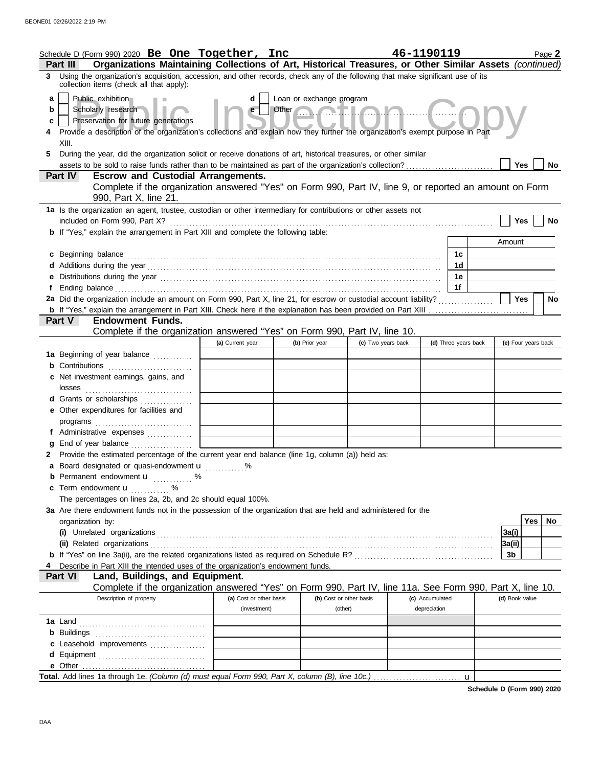| Schedule D (Form 990) 2020 Be One Together, Inc                                                                                                                               |  |                         |       |                          |                    | 46-1190119      |                      |   |                | Page 2              |
|-------------------------------------------------------------------------------------------------------------------------------------------------------------------------------|--|-------------------------|-------|--------------------------|--------------------|-----------------|----------------------|---|----------------|---------------------|
| Organizations Maintaining Collections of Art, Historical Treasures, or Other Similar Assets (continued)<br><b>Part III</b>                                                    |  |                         |       |                          |                    |                 |                      |   |                |                     |
| 3 Using the organization's acquisition, accession, and other records, check any of the following that make significant use of its<br>collection items (check all that apply): |  |                         |       |                          |                    |                 |                      |   |                |                     |
| Public exhibition<br>a                                                                                                                                                        |  | d                       |       | Loan or exchange program |                    |                 |                      |   |                |                     |
| Scholarly research<br>b                                                                                                                                                       |  | e                       | Other |                          |                    |                 |                      |   |                |                     |
| Preservation for future generations<br>c                                                                                                                                      |  |                         |       |                          |                    |                 |                      |   |                |                     |
| Provide a description of the organization's collections and explain how they further the organization's exempt purpose in Part<br>XIII.                                       |  |                         |       |                          |                    |                 |                      |   |                |                     |
| During the year, did the organization solicit or receive donations of art, historical treasures, or other similar<br>5.                                                       |  |                         |       |                          |                    |                 |                      |   |                |                     |
| assets to be sold to raise funds rather than to be maintained as part of the organization's collection?                                                                       |  |                         |       |                          |                    |                 |                      |   | <b>Yes</b>     | No                  |
| Part IV<br><b>Escrow and Custodial Arrangements.</b>                                                                                                                          |  |                         |       |                          |                    |                 |                      |   |                |                     |
| Complete if the organization answered "Yes" on Form 990, Part IV, line 9, or reported an amount on Form                                                                       |  |                         |       |                          |                    |                 |                      |   |                |                     |
| 990, Part X, line 21.                                                                                                                                                         |  |                         |       |                          |                    |                 |                      |   |                |                     |
| 1a Is the organization an agent, trustee, custodian or other intermediary for contributions or other assets not                                                               |  |                         |       |                          |                    |                 |                      |   |                |                     |
| included on Form 990, Part X?                                                                                                                                                 |  |                         |       |                          |                    |                 |                      |   | Yes            | No                  |
| <b>b</b> If "Yes," explain the arrangement in Part XIII and complete the following table:                                                                                     |  |                         |       |                          |                    |                 |                      |   | Amount         |                     |
| c Beginning balance                                                                                                                                                           |  |                         |       |                          |                    |                 | 1c                   |   |                |                     |
|                                                                                                                                                                               |  |                         |       |                          |                    |                 | 1d                   |   |                |                     |
| e Distributions during the year manufactured contains and the year manufactured with the set of the set of the                                                                |  |                         |       |                          |                    |                 | 1е                   |   |                |                     |
|                                                                                                                                                                               |  |                         |       |                          |                    |                 | 1f                   |   |                |                     |
| 2a Did the organization include an amount on Form 990, Part X, line 21, for escrow or custodial account liability?                                                            |  |                         |       |                          |                    |                 |                      |   | <b>Yes</b>     | <b>No</b>           |
|                                                                                                                                                                               |  |                         |       |                          |                    |                 |                      |   |                |                     |
| Part V<br><b>Endowment Funds.</b>                                                                                                                                             |  |                         |       |                          |                    |                 |                      |   |                |                     |
| Complete if the organization answered "Yes" on Form 990, Part IV, line 10.                                                                                                    |  | (a) Current year        |       | (b) Prior year           | (c) Two years back |                 | (d) Three years back |   |                | (e) Four years back |
| 1a Beginning of year balance                                                                                                                                                  |  |                         |       |                          |                    |                 |                      |   |                |                     |
| <b>b</b> Contributions <b>contributions</b>                                                                                                                                   |  |                         |       |                          |                    |                 |                      |   |                |                     |
| c Net investment earnings, gains, and                                                                                                                                         |  |                         |       |                          |                    |                 |                      |   |                |                     |
| losses                                                                                                                                                                        |  |                         |       |                          |                    |                 |                      |   |                |                     |
| <b>d</b> Grants or scholarships<br>.                                                                                                                                          |  |                         |       |                          |                    |                 |                      |   |                |                     |
| e Other expenditures for facilities and                                                                                                                                       |  |                         |       |                          |                    |                 |                      |   |                |                     |
|                                                                                                                                                                               |  |                         |       |                          |                    |                 |                      |   |                |                     |
| f Administrative expenses                                                                                                                                                     |  |                         |       |                          |                    |                 |                      |   |                |                     |
| 2 Provide the estimated percentage of the current year end balance (line 1g, column (a)) held as:                                                                             |  |                         |       |                          |                    |                 |                      |   |                |                     |
| a Board designated or quasi-endowment u                                                                                                                                       |  |                         |       |                          |                    |                 |                      |   |                |                     |
| <b>b</b> Permanent endowment $\mathbf{u}$ %                                                                                                                                   |  |                         |       |                          |                    |                 |                      |   |                |                     |
| c Term endowment <b>u</b>                                                                                                                                                     |  |                         |       |                          |                    |                 |                      |   |                |                     |
| The percentages on lines 2a, 2b, and 2c should equal 100%.                                                                                                                    |  |                         |       |                          |                    |                 |                      |   |                |                     |
| 3a Are there endowment funds not in the possession of the organization that are held and administered for the                                                                 |  |                         |       |                          |                    |                 |                      |   |                |                     |
| organization by:                                                                                                                                                              |  |                         |       |                          |                    |                 |                      |   |                | Yes<br>No.          |
|                                                                                                                                                                               |  |                         |       |                          |                    |                 |                      |   | 3a(i)          |                     |
|                                                                                                                                                                               |  |                         |       |                          |                    |                 |                      |   | 3a(ii)         |                     |
| 3b<br>Describe in Part XIII the intended uses of the organization's endowment funds.<br>4                                                                                     |  |                         |       |                          |                    |                 |                      |   |                |                     |
| <b>Part VI</b><br>Land, Buildings, and Equipment.                                                                                                                             |  |                         |       |                          |                    |                 |                      |   |                |                     |
| Complete if the organization answered "Yes" on Form 990, Part IV, line 11a. See Form 990, Part X, line 10.                                                                    |  |                         |       |                          |                    |                 |                      |   |                |                     |
| Description of property                                                                                                                                                       |  | (a) Cost or other basis |       | (b) Cost or other basis  |                    | (c) Accumulated |                      |   | (d) Book value |                     |
|                                                                                                                                                                               |  | (investment)            |       | (other)                  |                    | depreciation    |                      |   |                |                     |
|                                                                                                                                                                               |  |                         |       |                          |                    |                 |                      |   |                |                     |
|                                                                                                                                                                               |  |                         |       |                          |                    |                 |                      |   |                |                     |
| c Leasehold improvements                                                                                                                                                      |  |                         |       |                          |                    |                 |                      |   |                |                     |
|                                                                                                                                                                               |  |                         |       |                          |                    |                 |                      |   |                |                     |
|                                                                                                                                                                               |  |                         |       |                          |                    |                 |                      | u |                |                     |

**Schedule D (Form 990) 2020**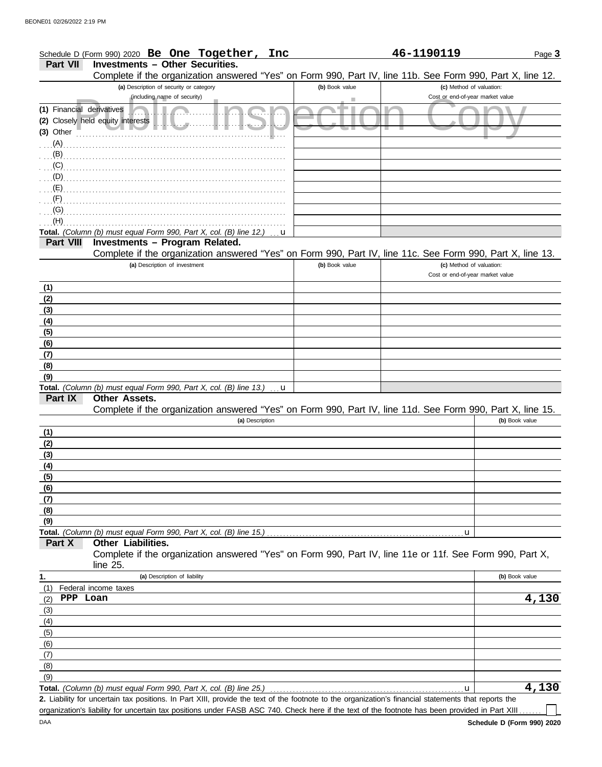. . . . . . . . . . . . . . . . . . . . . . . . . . . . . . . . . . . . . . . . . . . . . . . . . . . . . . . . . . . . . . . . . . . . . . . . . . . . (A) . . . . . . . . . . . . . . . . . . . . . . . . . . . . . . . . . . . . . . . . . . . . . . . . . . . . . . . . . . . . . . . . . . . . . . . . . . . . (B) . . . . . . . . . . . . . . . . . . . . . . . . . . . . . . . . . . . . . . . . . . . . . . . . . . . . . . . . . . . . . . . . . . . . . . . . . . . . (C)

| Schedule D (Form 990) 2020 Be One Together,<br>Inc                                                         |                | 46-1190119                       | Page 3 |
|------------------------------------------------------------------------------------------------------------|----------------|----------------------------------|--------|
| <b>Part VII</b><br><b>Investments - Other Securities.</b>                                                  |                |                                  |        |
| Complete if the organization answered "Yes" on Form 990, Part IV, line 11b. See Form 990, Part X, line 12. |                |                                  |        |
| (a) Description of security or category                                                                    | (b) Book value | (c) Method of valuation:         |        |
| (including name of security)                                                                               |                | Cost or end-of-year market value |        |
| (1) Financial derivatives                                                                                  |                |                                  |        |
| (2) Closely held equity interests                                                                          |                |                                  |        |
| (3) Other                                                                                                  |                |                                  |        |

| (D)              |                                                                                                                             |                |                                                              |                             |
|------------------|-----------------------------------------------------------------------------------------------------------------------------|----------------|--------------------------------------------------------------|-----------------------------|
| $(E)$ .          |                                                                                                                             |                |                                                              |                             |
|                  |                                                                                                                             |                |                                                              |                             |
| (G)              |                                                                                                                             |                |                                                              |                             |
| (H)              |                                                                                                                             |                |                                                              |                             |
|                  | Total. (Column (b) must equal Form 990, Part X, col. (B) line 12.)<br>u                                                     |                |                                                              |                             |
| <b>Part VIII</b> | Investments - Program Related.                                                                                              |                |                                                              |                             |
|                  | Complete if the organization answered "Yes" on Form 990, Part IV, line 11c. See Form 990, Part X, line 13.                  |                |                                                              |                             |
|                  | (a) Description of investment                                                                                               | (b) Book value | (c) Method of valuation:<br>Cost or end-of-year market value |                             |
| (1)              |                                                                                                                             |                |                                                              |                             |
| (2)              |                                                                                                                             |                |                                                              |                             |
| (3)              |                                                                                                                             |                |                                                              |                             |
| (4)              |                                                                                                                             |                |                                                              |                             |
| (5)              |                                                                                                                             |                |                                                              |                             |
| (6)              |                                                                                                                             |                |                                                              |                             |
| (7)              |                                                                                                                             |                |                                                              |                             |
| (8)              |                                                                                                                             |                |                                                              |                             |
| (9)              |                                                                                                                             |                |                                                              |                             |
|                  | Total. (Column (b) must equal Form 990, Part X, col. (B) line 13.)<br>$\mathbf u$                                           |                |                                                              |                             |
| Part IX          | Other Assets.<br>Complete if the organization answered "Yes" on Form 990, Part IV, line 11d. See Form 990, Part X, line 15. |                |                                                              |                             |
|                  | (a) Description                                                                                                             |                |                                                              | (b) Book value              |
| (1)              |                                                                                                                             |                |                                                              |                             |
| (2)              |                                                                                                                             |                |                                                              |                             |
| (3)              |                                                                                                                             |                |                                                              |                             |
| (4)              |                                                                                                                             |                |                                                              |                             |
| (5)              |                                                                                                                             |                |                                                              |                             |
| (6)              |                                                                                                                             |                |                                                              |                             |
| (7)              |                                                                                                                             |                |                                                              |                             |
| (8)              |                                                                                                                             |                |                                                              |                             |
| (9)              |                                                                                                                             |                |                                                              |                             |
|                  |                                                                                                                             |                | $\mathbf u$                                                  |                             |
| Part X           | Other Liabilities.                                                                                                          |                |                                                              |                             |
|                  | Complete if the organization answered "Yes" on Form 990, Part IV, line 11e or 11f. See Form 990, Part X,<br>line 25.        |                |                                                              |                             |
|                  | (a) Deparintion of lightlifts                                                                                               |                |                                                              | $\left  \right $ Dook volve |

| 1.  | (a) Description of liability                                       | (b) Book value |
|-----|--------------------------------------------------------------------|----------------|
| (1) | Federal income taxes                                               |                |
| (2) | PPP Loan                                                           | 4,130          |
| (3) |                                                                    |                |
| (4) |                                                                    |                |
| (5) |                                                                    |                |
| (6) |                                                                    |                |
| (7) |                                                                    |                |
| (8) |                                                                    |                |
| (9) |                                                                    |                |
|     | Total. (Column (b) must equal Form 990, Part X, col. (B) line 25.) | L30            |

Liability for uncertain tax positions. In Part XIII, provide the text of the footnote to the organization's financial statements that reports the **2.**

organization's liability for uncertain tax positions under FASB ASC 740. Check here if the text of the footnote has been provided in Part XIII..

 $\Box$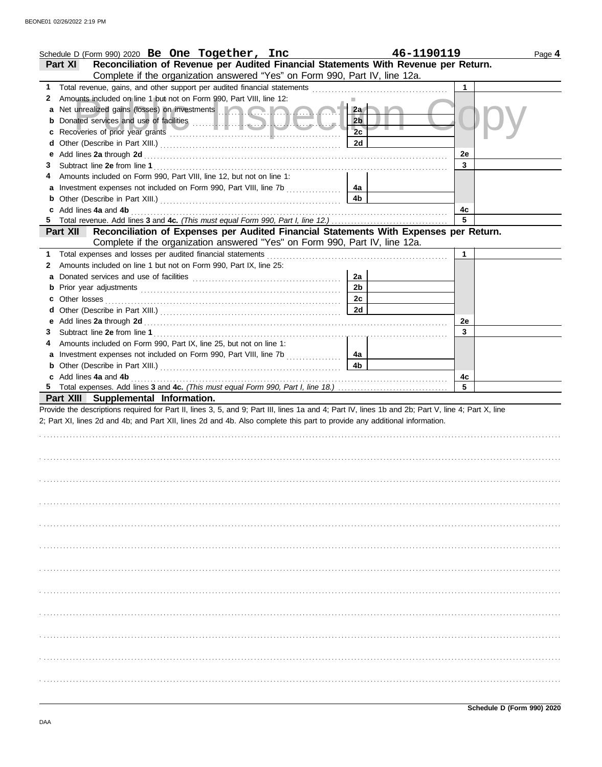|    | Schedule D (Form 990) 2020 Be One Together, Inc                                                                                                                                                                                          | 46-1190119           |         | Page 4 |
|----|------------------------------------------------------------------------------------------------------------------------------------------------------------------------------------------------------------------------------------------|----------------------|---------|--------|
|    | Reconciliation of Revenue per Audited Financial Statements With Revenue per Return.<br>Part XI                                                                                                                                           |                      |         |        |
|    | Complete if the organization answered "Yes" on Form 990, Part IV, line 12a.                                                                                                                                                              |                      |         |        |
| 1. | Total revenue, gains, and other support per audited financial statements [111][11][11][11][11][11][11][11][11]                                                                                                                           |                      | 1.      |        |
| 2  | Amounts included on line 1 but not on Form 990, Part VIII, line 12:                                                                                                                                                                      |                      |         |        |
|    | Net unrealized gains (losses) on investments <b>the contract of the contract of the contract of the contract of the contract of the contract of the contract of the contract of the contract of the contract of the contract of </b>     | 2a                   |         |        |
|    |                                                                                                                                                                                                                                          | 2 <sub>b</sub>       |         |        |
|    |                                                                                                                                                                                                                                          | 2c                   |         |        |
|    |                                                                                                                                                                                                                                          | 2d                   |         |        |
| е  |                                                                                                                                                                                                                                          |                      | 2e      |        |
| 3  |                                                                                                                                                                                                                                          |                      | 3       |        |
|    | Amounts included on Form 990, Part VIII, line 12, but not on line 1:                                                                                                                                                                     |                      |         |        |
|    |                                                                                                                                                                                                                                          | 4a                   |         |        |
|    |                                                                                                                                                                                                                                          | 4 <sub>b</sub>       |         |        |
|    | c Add lines 4a and 4b                                                                                                                                                                                                                    |                      | 4с      |        |
|    |                                                                                                                                                                                                                                          |                      | 5       |        |
|    | Reconciliation of Expenses per Audited Financial Statements With Expenses per Return.<br>Part XII                                                                                                                                        |                      |         |        |
|    | Complete if the organization answered "Yes" on Form 990, Part IV, line 12a.                                                                                                                                                              |                      |         |        |
| 1  | Total expenses and losses per audited financial statements                                                                                                                                                                               |                      | 1       |        |
| 2  | Amounts included on line 1 but not on Form 990, Part IX, line 25:                                                                                                                                                                        |                      |         |        |
|    |                                                                                                                                                                                                                                          | 2a<br>2 <sub>b</sub> |         |        |
|    |                                                                                                                                                                                                                                          | 2c                   |         |        |
|    |                                                                                                                                                                                                                                          | 2d                   |         |        |
|    |                                                                                                                                                                                                                                          |                      |         |        |
|    |                                                                                                                                                                                                                                          |                      | 2e      |        |
| 3  |                                                                                                                                                                                                                                          |                      | 3       |        |
|    | Amounts included on Form 990, Part IX, line 25, but not on line 1:                                                                                                                                                                       |                      |         |        |
|    | Investment expenses not included on Form 990, Part VIII, line 7b                                                                                                                                                                         | 4a<br>4 <sub>b</sub> |         |        |
|    | <b>b</b> Other (Describe in Part XIII.) <b>CONSIDENT DESCRIPTION DESCRIPTION DESCRIPTION DESCRIPTION DESCRIPTION DESCRIPTION DESCRIPTION DESCRIPTION DESCRIPTION DESCRIPTION DESCRIPTION DESCRIPTION DESCRI</b><br>c Add lines 4a and 4b |                      |         |        |
|    |                                                                                                                                                                                                                                          |                      | 4c<br>5 |        |
|    | Part XIII Supplemental Information.                                                                                                                                                                                                      |                      |         |        |
|    | Provide the descriptions required for Part II, lines 3, 5, and 9; Part III, lines 1a and 4; Part IV, lines 1b and 2b; Part V, line 4; Part X, line                                                                                       |                      |         |        |
|    | 2; Part XI, lines 2d and 4b; and Part XII, lines 2d and 4b. Also complete this part to provide any additional information.                                                                                                               |                      |         |        |
|    |                                                                                                                                                                                                                                          |                      |         |        |
|    |                                                                                                                                                                                                                                          |                      |         |        |
|    |                                                                                                                                                                                                                                          |                      |         |        |
|    |                                                                                                                                                                                                                                          |                      |         |        |
|    |                                                                                                                                                                                                                                          |                      |         |        |
|    |                                                                                                                                                                                                                                          |                      |         |        |
|    |                                                                                                                                                                                                                                          |                      |         |        |
|    |                                                                                                                                                                                                                                          |                      |         |        |
|    |                                                                                                                                                                                                                                          |                      |         |        |
|    |                                                                                                                                                                                                                                          |                      |         |        |
|    |                                                                                                                                                                                                                                          |                      |         |        |
|    |                                                                                                                                                                                                                                          |                      |         |        |
|    |                                                                                                                                                                                                                                          |                      |         |        |
|    |                                                                                                                                                                                                                                          |                      |         |        |
|    |                                                                                                                                                                                                                                          |                      |         |        |
|    |                                                                                                                                                                                                                                          |                      |         |        |
|    |                                                                                                                                                                                                                                          |                      |         |        |
|    |                                                                                                                                                                                                                                          |                      |         |        |
|    |                                                                                                                                                                                                                                          |                      |         |        |
|    |                                                                                                                                                                                                                                          |                      |         |        |
|    |                                                                                                                                                                                                                                          |                      |         |        |
|    |                                                                                                                                                                                                                                          |                      |         |        |
|    |                                                                                                                                                                                                                                          |                      |         |        |
|    |                                                                                                                                                                                                                                          |                      |         |        |
|    |                                                                                                                                                                                                                                          |                      |         |        |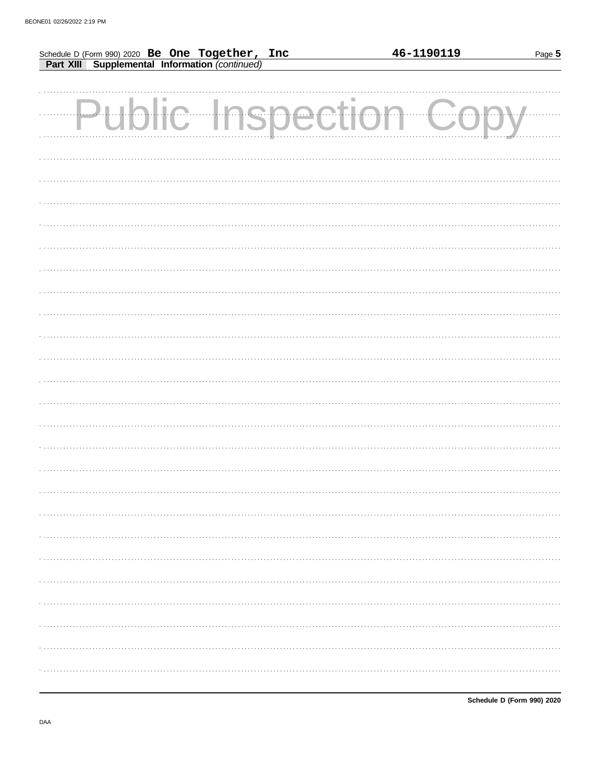| Schedule D (Form 990) 2020 Be One Together, Inc<br>Part XIII Supplemental Information (continued) |        | 46-1190119<br>Page 5 |
|---------------------------------------------------------------------------------------------------|--------|----------------------|
|                                                                                                   |        |                      |
| Public Insp                                                                                       | ection |                      |
|                                                                                                   |        |                      |
|                                                                                                   |        |                      |
|                                                                                                   |        |                      |
|                                                                                                   |        |                      |
|                                                                                                   |        |                      |
|                                                                                                   |        |                      |
|                                                                                                   |        |                      |
|                                                                                                   |        |                      |
|                                                                                                   |        |                      |
|                                                                                                   |        |                      |
|                                                                                                   |        |                      |
|                                                                                                   |        |                      |
|                                                                                                   |        |                      |
|                                                                                                   |        |                      |
|                                                                                                   |        |                      |
|                                                                                                   |        |                      |
|                                                                                                   |        |                      |
|                                                                                                   |        |                      |
|                                                                                                   |        | . <b>.</b> .         |
|                                                                                                   |        |                      |
|                                                                                                   |        | .                    |
|                                                                                                   |        |                      |
|                                                                                                   |        | .                    |
|                                                                                                   |        |                      |
|                                                                                                   |        |                      |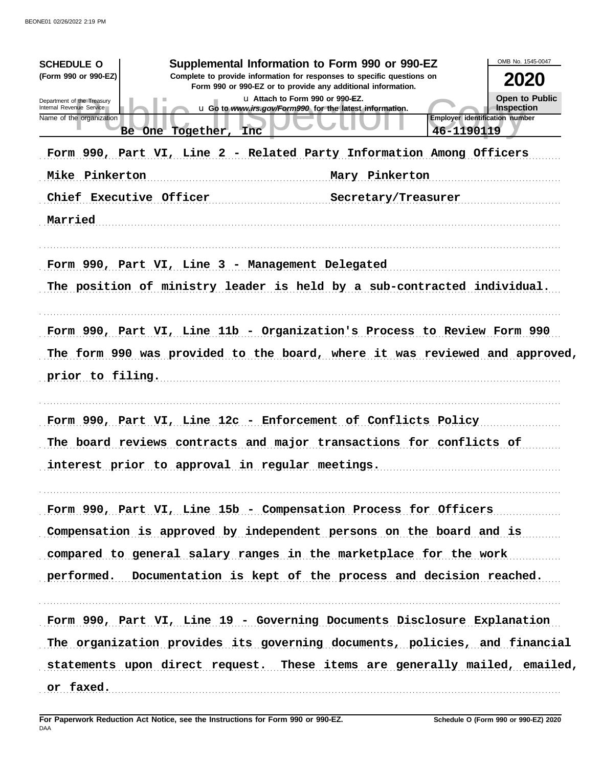| Supplemental Information to Form 990 or 990-EZ<br><b>SCHEDULE O</b><br>(Form 990 or 990-EZ)<br>Complete to provide information for responses to specific questions on<br>Form 990 or 990-EZ or to provide any additional information.<br>u Attach to Form 990 or 990-EZ.<br>Department of the Treasury<br>Internal Revenue Service<br>u Go to www.irs.gov/Form990 for the latest information.<br>Name of the organization<br>46-1190119<br>Be One Together, Inc.<br>Form 990, Part VI, Line 2 - Related Party Information Among Officers<br>Mike Pinkerton<br>Mary Pinkerton<br>Chief Executive Officer<br>Secretary/Treasurer<br>Married | OMB No. 1545-0047<br>2020<br><b>Open to Public</b><br>Inspection<br><b>Employer identification number</b> |
|-------------------------------------------------------------------------------------------------------------------------------------------------------------------------------------------------------------------------------------------------------------------------------------------------------------------------------------------------------------------------------------------------------------------------------------------------------------------------------------------------------------------------------------------------------------------------------------------------------------------------------------------|-----------------------------------------------------------------------------------------------------------|
| Form 990, Part VI, Line 3 - Management Delegated<br>The position of ministry leader is held by a sub-contracted individual.<br>Form 990, Part VI, Line 11b - Organization's Process to Review Form 990<br>The form 990 was provided to the board, where it was reviewed and approved,<br>prior to filing.                                                                                                                                                                                                                                                                                                                                 |                                                                                                           |
| Form 990, Part VI, Line 12c - Enforcement of Conflicts Policy<br>The board reviews contracts and major transactions for conflicts of<br>interest prior to approval in regular meetings.                                                                                                                                                                                                                                                                                                                                                                                                                                                   |                                                                                                           |
| Form 990, Part VI, Line 15b - Compensation Process for Officers<br>Compensation is approved by independent persons on the board and is<br>compared to general salary ranges in the marketplace for the work<br>performed. Documentation is kept of the process and decision reached.                                                                                                                                                                                                                                                                                                                                                      |                                                                                                           |
| Form 990, Part VI, Line 19 - Governing Documents Disclosure Explanation<br>The organization provides its governing documents, policies, and financial<br>statements upon direct request. These items are generally mailed, emailed,<br>or faxed.                                                                                                                                                                                                                                                                                                                                                                                          |                                                                                                           |